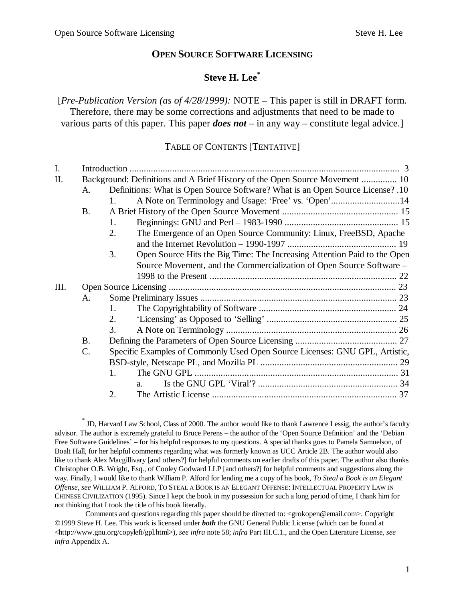1

## **OPEN SOURCE SOFTWARE LICENSING**

## **Steve H. Lee\***

[*Pre-Publication Version (as of 4/28/1999):* NOTE – This paper is still in DRAFT form. Therefore, there may be some corrections and adjustments that need to be made to various parts of this paper. This paper *does not* – in any way – constitute legal advice.]

#### TABLE OF CONTENTS [TENTATIVE]

| I.                                                                      |                                                                             |                                                                                |  |  |  |
|-------------------------------------------------------------------------|-----------------------------------------------------------------------------|--------------------------------------------------------------------------------|--|--|--|
| II.                                                                     | Background: Definitions and A Brief History of the Open Source Movement  10 |                                                                                |  |  |  |
|                                                                         | A.                                                                          | Definitions: What is Open Source Software? What is an Open Source License? .10 |  |  |  |
|                                                                         |                                                                             | 1.                                                                             |  |  |  |
|                                                                         | <b>B.</b>                                                                   |                                                                                |  |  |  |
|                                                                         |                                                                             | 1.                                                                             |  |  |  |
| The Emergence of an Open Source Community: Linux, FreeBSD, Apache<br>2. |                                                                             |                                                                                |  |  |  |
|                                                                         |                                                                             |                                                                                |  |  |  |
|                                                                         |                                                                             | Open Source Hits the Big Time: The Increasing Attention Paid to the Open<br>3. |  |  |  |
|                                                                         |                                                                             | Source Movement, and the Commercialization of Open Source Software –           |  |  |  |
|                                                                         |                                                                             |                                                                                |  |  |  |
| III.                                                                    |                                                                             |                                                                                |  |  |  |
|                                                                         | A.                                                                          |                                                                                |  |  |  |
|                                                                         |                                                                             | $1_{-}$                                                                        |  |  |  |
|                                                                         |                                                                             | 2.                                                                             |  |  |  |
|                                                                         |                                                                             | 3.                                                                             |  |  |  |
|                                                                         | <b>B.</b>                                                                   |                                                                                |  |  |  |
|                                                                         | $C$ .                                                                       | Specific Examples of Commonly Used Open Source Licenses: GNU GPL, Artistic,    |  |  |  |
|                                                                         |                                                                             |                                                                                |  |  |  |
|                                                                         |                                                                             | 1.                                                                             |  |  |  |
|                                                                         |                                                                             | $a_{-}$                                                                        |  |  |  |
|                                                                         |                                                                             | 2.                                                                             |  |  |  |

<sup>\*</sup> JD, Harvard Law School, Class of 2000. The author would like to thank Lawrence Lessig, the author's faculty advisor. The author is extremely grateful to Bruce Perens – the author of the 'Open Source Definition' and the 'Debian Free Software Guidelines' – for his helpful responses to my questions. A special thanks goes to Pamela Samuelson, of Boalt Hall, for her helpful comments regarding what was formerly known as UCC Article 2B. The author would also like to thank Alex Macgillivary [and others?] for helpful comments on earlier drafts of this paper. The author also thanks Christopher O.B. Wright, Esq., of Cooley Godward LLP [and others?] for helpful comments and suggestions along the way. Finally, I would like to thank William P. Alford for lending me a copy of his book, *To Steal a Book is an Elegant Offense*, *see* WILLIAM P. ALFORD, TO STEAL A BOOK IS AN ELEGANT OFFENSE: INTELLECTUAL PROPERTY LAW IN CHINESE CIVILIZATION (1995). Since I kept the book in my possession for such a long period of time, I thank him for not thinking that I took the title of his book literally.

Comments and questions regarding this paper should be directed to: <grokopen@email.com>. Copyright ©1999 Steve H. Lee. This work is licensed under *both* the GNU General Public License (which can be found at  $\langle$ http://www.gnu.org/copyleft/gpl.html>), *see infra* note 58; *infra* Part III.C.1., and the Open Literature License, *see infra* Appendix A.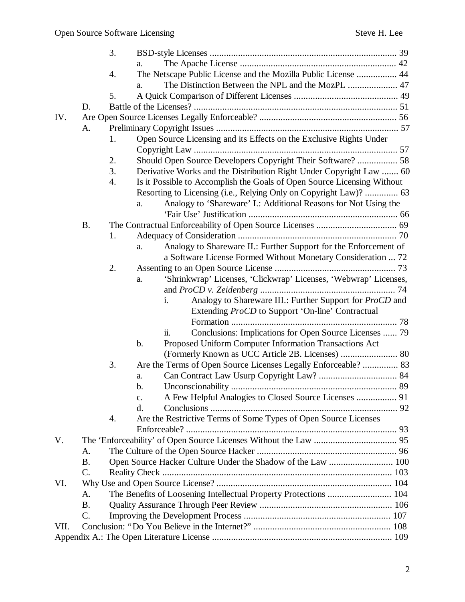|      |                 | 3. |                                                                         |  |  |
|------|-----------------|----|-------------------------------------------------------------------------|--|--|
|      |                 |    | a.                                                                      |  |  |
|      |                 | 4. | The Netscape Public License and the Mozilla Public License  44          |  |  |
|      |                 |    | a.                                                                      |  |  |
|      |                 | 5. |                                                                         |  |  |
|      | D.              |    |                                                                         |  |  |
| IV.  |                 |    |                                                                         |  |  |
|      | A.              |    |                                                                         |  |  |
|      |                 | 1. | Open Source Licensing and its Effects on the Exclusive Rights Under     |  |  |
|      |                 |    |                                                                         |  |  |
|      |                 | 2. | Should Open Source Developers Copyright Their Software?  58             |  |  |
|      |                 | 3. | Derivative Works and the Distribution Right Under Copyright Law  60     |  |  |
|      |                 | 4. | Is it Possible to Accomplish the Goals of Open Source Licensing Without |  |  |
|      |                 |    | Resorting to Licensing (i.e., Relying Only on Copyright Law)?  63       |  |  |
|      |                 |    | Analogy to 'Shareware' I.: Additional Reasons for Not Using the<br>a.   |  |  |
|      |                 |    |                                                                         |  |  |
|      | <b>B.</b>       |    |                                                                         |  |  |
|      |                 | 1. |                                                                         |  |  |
|      |                 |    | Analogy to Shareware II.: Further Support for the Enforcement of<br>a.  |  |  |
|      |                 |    | a Software License Formed Without Monetary Consideration  72            |  |  |
|      |                 | 2. |                                                                         |  |  |
|      |                 |    | 'Shrinkwrap' Licenses, 'Clickwrap' Licenses, 'Webwrap' Licenses,<br>a.  |  |  |
|      |                 |    |                                                                         |  |  |
|      |                 |    | Analogy to Shareware III.: Further Support for <i>ProCD</i> and<br>i.   |  |  |
|      |                 |    | Extending <i>ProCD</i> to Support 'On-line' Contractual                 |  |  |
|      |                 |    |                                                                         |  |  |
|      |                 |    | ii.<br>Conclusions: Implications for Open Source Licenses  79           |  |  |
|      |                 |    | Proposed Uniform Computer Information Transactions Act<br>b.            |  |  |
|      |                 |    |                                                                         |  |  |
|      |                 | 3. | Are the Terms of Open Source Licenses Legally Enforceable?  83          |  |  |
|      |                 |    | a.                                                                      |  |  |
|      |                 |    | b.                                                                      |  |  |
|      |                 |    | A Few Helpful Analogies to Closed Source Licenses  91<br>$\mathbf{c}$ . |  |  |
|      |                 |    | d.                                                                      |  |  |
|      |                 | 4. | Are the Restrictive Terms of Some Types of Open Source Licenses         |  |  |
| V.   |                 |    |                                                                         |  |  |
|      | A.              |    |                                                                         |  |  |
|      | <b>B.</b>       |    | Open Source Hacker Culture Under the Shadow of the Law  100             |  |  |
|      | $\mathcal{C}$ . |    |                                                                         |  |  |
| VI.  |                 |    |                                                                         |  |  |
|      | A.              |    | The Benefits of Loosening Intellectual Property Protections  104        |  |  |
|      | <b>B.</b>       |    |                                                                         |  |  |
|      | C.              |    |                                                                         |  |  |
| VII. |                 |    |                                                                         |  |  |
|      |                 |    |                                                                         |  |  |
|      |                 |    |                                                                         |  |  |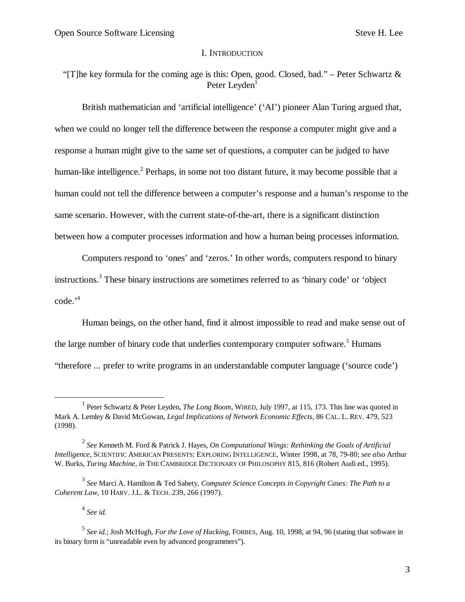#### I. INTRODUCTION

"[T]he key formula for the coming age is this: Open, good. Closed, bad." – Peter Schwartz & Peter Leyden<sup>1</sup>

British mathematician and 'artificial intelligence' ('AI') pioneer Alan Turing argued that, when we could no longer tell the difference between the response a computer might give and a response a human might give to the same set of questions, a computer can be judged to have human-like intelligence.<sup>2</sup> Perhaps, in some not too distant future, it may become possible that a human could not tell the difference between a computer's response and a human's response to the same scenario. However, with the current state-of-the-art, there is a significant distinction between how a computer processes information and how a human being processes information.

Computers respond to 'ones' and 'zeros.' In other words, computers respond to binary instructions.<sup>3</sup> These binary instructions are sometimes referred to as 'binary code' or 'object code.' 4

Human beings, on the other hand, find it almost impossible to read and make sense out of the large number of binary code that underlies contemporary computer software.<sup>5</sup> Humans "therefore ... prefer to write programs in an understandable computer language ('source code')

4 *See id.*

 $\overline{a}$ 

<sup>&</sup>lt;sup>1</sup> Peter Schwartz & Peter Leyden, *The Long Boom*, WIRED, July 1997, at 115, 173. This line was quoted in Mark A. Lemley & David McGowan, *Legal Implications of Network Economic Effects*, 86 CAL. L. REV. 479, 523 (1998).

<sup>2</sup> *See* Kenneth M. Ford & Patrick J. Hayes, *On Computational Wings: Rethinking the Goals of Artificial Intelligence*, SCIENTIFIC AMERICAN PRESENTS: EXPLORING INTELLIGENCE, Winter 1998, at 78, 79-80; *see also* Arthur W. Burks, *Turing Machine*, *in* THE CAMBRIDGE DICTIONARY OF PHILOSOPHY 815, 816 (Robert Audi ed., 1995).

<sup>3</sup> *See* Marci A. Hamilton & Ted Sabety, *Computer Science Concepts in Copyright Cases: The Path to a Coherent Law*, 10 HARV. J.L. & TECH. 239, 266 (1997).

<sup>5</sup> *See id.*; Josh McHugh, *For the Love of Hacking*, FORBES, Aug. 10, 1998, at 94, 96 (stating that software in its binary form is "unreadable even by advanced programmers").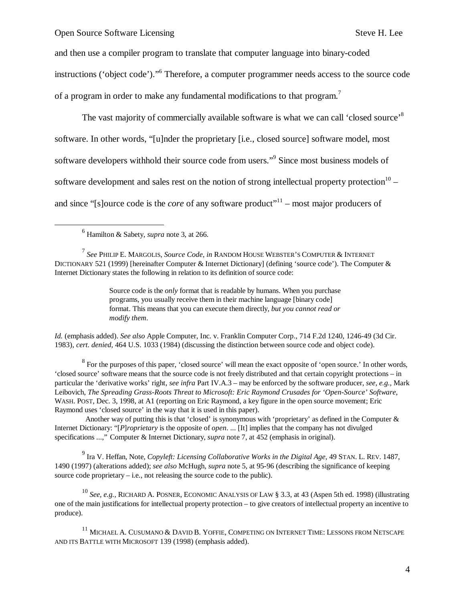and then use a compiler program to translate that computer language into binary-coded instructions ('object code')." 6 Therefore, a computer programmer needs access to the source code of a program in order to make any fundamental modifications to that program.<sup>7</sup>

The vast majority of commercially available software is what we can call 'closed source'<sup>8</sup> software. In other words, "[u]nder the proprietary [i.e., closed source] software model, most software developers withhold their source code from users."<sup>9</sup> Since most business models of software development and sales rest on the notion of strong intellectual property protection<sup>10</sup> – and since "[s]ource code is the *core* of any software product"<sup>11</sup> – most major producers of

-

*Id.* (emphasis added). *See also* Apple Computer, Inc. v. Franklin Computer Corp., 714 F.2d 1240, 1246-49 (3d Cir. 1983), *cert. denied*, 464 U.S. 1033 (1984) (discussing the distinction between source code and object code).

 $8\text{ For the purposes of this paper, 'closed source' will mean the exact opposite of 'open source.' In other words,$ 'closed source' software means that the source code is not freely distributed and that certain copyright protections – in particular the 'derivative works' right, *see infra* Part IV.A.3 – may be enforced by the software producer, *see, e.g.,* Mark Leibovich, *The Spreading Grass-Roots Threat to Microsoft: Eric Raymond Crusades for 'Open-Source' Software*, WASH. POST, Dec. 3, 1998, at A1 (reporting on Eric Raymond, a key figure in the open source movement; Eric Raymond uses 'closed source' in the way that it is used in this paper).

Another way of putting this is that 'closed' is synonymous with 'proprietary' as defined in the Computer & Internet Dictionary: "[*P*]*roprietary* is the opposite of *open*. ... [It] implies that the company has not divulged specifications ...," Computer & Internet Dictionary, *supra* note 7, at 452 (emphasis in original).

9 Ira V. Heffan, Note, *Copyleft: Licensing Collaborative Works in the Digital Age*, 49 STAN. L. REV. 1487, 1490 (1997) (alterations added); *see also* McHugh, *supra* note 5, at 95-96 (describing the significance of keeping source code proprietary – i.e., not releasing the source code to the public).

<sup>10</sup> *See, e.g.,* RICHARD A. POSNER, ECONOMIC ANALYSIS OF LAW § 3.3, at 43 (Aspen 5th ed. 1998) (illustrating one of the main justifications for intellectual property protection – to give creators of intellectual property an incentive to produce).

 $^{11}$  MICHAEL A. CUSUMANO & DAVID B. YOFFIE, COMPETING ON INTERNET TIME: LESSONS FROM NETSCAPE AND ITS BATTLE WITH MICROSOFT 139 (1998) (emphasis added).

<sup>6</sup> Hamilton & Sabety, *supra* note 3, at 266.

<sup>7</sup> *See* PHILIP E. MARGOLIS, *Source Code*, *in* RANDOM HOUSE WEBSTER'S COMPUTER & INTERNET DICTIONARY 521 (1999) [hereinafter Computer & Internet Dictionary] (defining 'source code'). The Computer & Internet Dictionary states the following in relation to its definition of source code:

Source code is the *only* format that is readable by humans. When you purchase programs, you usually receive them in their machine language [binary code] format. This means that you can execute them directly, *but you cannot read or modify them*.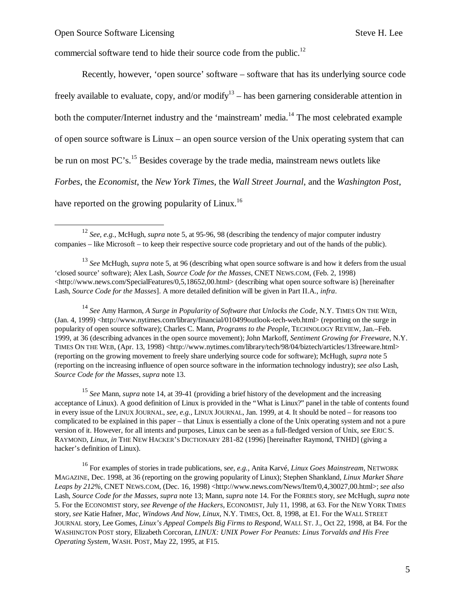$\overline{a}$ 

commercial software tend to hide their source code from the public.<sup>12</sup>

Recently, however, 'open source' software – software that has its underlying source code freely available to evaluate, copy, and/or modify<sup>13</sup> – has been garnering considerable attention in both the computer/Internet industry and the 'mainstream' media.<sup>14</sup> The most celebrated example of open source software is Linux – an open source version of the Unix operating system that can be run on most PC's.<sup>15</sup> Besides coverage by the trade media, mainstream news outlets like *Forbes*, the *Economist*, the *New York Times*, the *Wall Street Journal*, and the *Washington Post*, have reported on the growing popularity of Linux.<sup>16</sup>

<sup>14</sup> *See* Amy Harmon, *A Surge in Popularity of Software that Unlocks the Code*, N.Y. TIMES ON THE WEB, (Jan. 4, 1999) <http://www.nytimes.com/library/financial/010499outlook-tech-web.html> (reporting on the surge in popularity of open source software); Charles C. Mann, *Programs to the People*, TECHNOLOGY REVIEW, Jan.–Feb. 1999, at 36 (describing advances in the open source movement); John Markoff, *Sentiment Growing for Freeware*, N.Y. TIMES ON THE WEB, (Apr. 13, 1998) <http://www.nytimes.com/library/tech/98/04/biztech/articles/13freeware.html> (reporting on the growing movement to freely share underlying source code for software); McHugh, *supra* note 5 (reporting on the increasing influence of open source software in the information technology industry); *see also* Lash, *Source Code for the Masses*, *supra* note 13.

<sup>15</sup> *See* Mann, *supra* note 14, at 39-41 (providing a brief history of the development and the increasing acceptance of Linux). A good definition of Linux is provided in the "What is Linux?" panel in the table of contents found in every issue of the LINUX JOURNAL, *see, e.g.,* LINUX JOURNAL, Jan. 1999, at 4. It should be noted – for reasons too complicated to be explained in this paper – that Linux is essentially a clone of the Unix operating system and not a pure version of it. However, for all intents and purposes, Linux can be seen as a full-fledged version of Unix, *see* ERIC S. RAYMOND, *Linux*, *in* THE NEW HACKER'S DICTIONARY 281-82 (1996) [hereinafter Raymond, TNHD] (giving a hacker's definition of Linux).

<sup>16</sup> For examples of stories in trade publications, s*ee, e.g.,* Anita Karvé, *Linux Goes Mainstream*, NETWORK MAGAZINE, Dec. 1998, at 36 (reporting on the growing popularity of Linux); Stephen Shankland, *Linux Market Share*  Leaps by 212%, CNET NEWS.COM, (Dec. 16, 1998) <http://www.news.com/News/Item/0,4,30027,00.html>; see also Lash, *Source Code for the Masses*, *supra* note 13; Mann, *supra* note 14. For the FORBES story, *see* McHugh, *supra* note 5. For the ECONOMIST story, *see Revenge of the Hackers*, ECONOMIST, July 11, 1998, at 63. For the NEW YORK TIMES story, *see* Katie Hafner, *Mac, Windows And Now, Linux*, N.Y. TIMES, Oct. 8, 1998, at E1. For the WALL STREET JOURNAL story, Lee Gomes, *Linux's Appeal Compels Big Firms to Respond*, WALL ST. J., Oct 22, 1998, at B4. For the WASHINGTON POST story, Elizabeth Corcoran, *LINUX: UNIX Power For Peanuts: Linus Torvalds and His Free Operating System*, WASH. POST, May 22, 1995, at F15.

<sup>12</sup> *See, e.g.,* McHugh, *supra* note 5, at 95-96, 98 (describing the tendency of major computer industry companies – like Microsoft – to keep their respective source code proprietary and out of the hands of the public).

<sup>13</sup> *See* McHugh, *supra* note 5, at 96 (describing what open source software is and how it defers from the usual 'closed source' software); Alex Lash, *Source Code for the Masses*, CNET NEWS.COM, (Feb. 2, 1998)  $\langle$ http://www.news.com/SpecialFeatures/0,5,18652,00.html> (describing what open source software is) [hereinafter Lash, *Source Code for the Masses*]. A more detailed definition will be given in Part II.A., *infra*.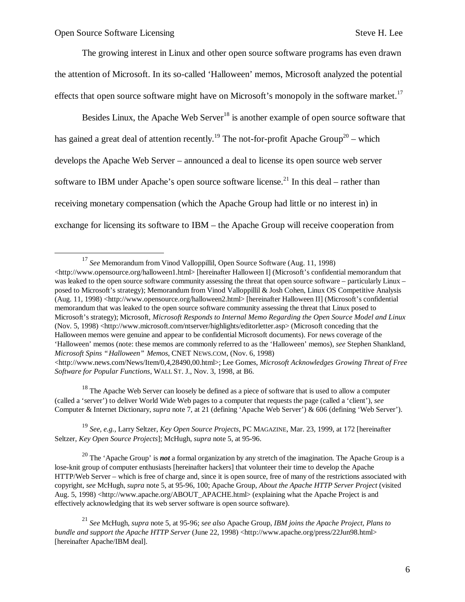1

The growing interest in Linux and other open source software programs has even drawn the attention of Microsoft. In its so-called 'Halloween' memos, Microsoft analyzed the potential effects that open source software might have on Microsoft's monopoly in the software market.<sup>17</sup>

Besides Linux, the Apache Web Server<sup>18</sup> is another example of open source software that has gained a great deal of attention recently.<sup>19</sup> The not-for-profit Apache Group<sup>20</sup> – which develops the Apache Web Server – announced a deal to license its open source web server software to IBM under Apache's open source software license.<sup>21</sup> In this deal – rather than receiving monetary compensation (which the Apache Group had little or no interest in) in exchange for licensing its software to IBM – the Apache Group will receive cooperation from

*Software for Popular Functions*, WALL ST. J., Nov. 3, 1998, at B6. <sup>18</sup> The Apache Web Server can loosely be defined as a piece of software that is used to allow a computer

(called a 'server') to deliver World Wide Web pages to a computer that requests the page (called a 'client'), *see* Computer & Internet Dictionary, *supra* note 7, at 21 (defining 'Apache Web Server') & 606 (defining 'Web Server').

<sup>19</sup> *See, e.g.,* Larry Seltzer, *Key Open Source Projects*, PC MAGAZINE, Mar. 23, 1999, at 172 [hereinafter Seltzer, *Key Open Source Projects*]; McHugh, *supra* note 5, at 95-96.

<sup>20</sup> The 'Apache Group' is **not** a formal organization by any stretch of the imagination. The Apache Group is a lose-knit group of computer enthusiasts [hereinafter hackers] that volunteer their time to develop the Apache HTTP/Web Server – which is free of charge and, since it is open source, free of many of the restrictions associated with copyright, *see* McHugh, *supra* note 5, at 95-96, 100; Apache Group, *About the Apache HTTP Server Project* (visited Aug. 5, 1998) <http://www.apache.org/ABOUT\_APACHE.html> (explaining what the Apache Project is and effectively acknowledging that its web server software is open source software).

<sup>21</sup> *See* McHugh, *supra* note 5, at 95-96; *see also* Apache Group, *IBM joins the Apache Project, Plans to bundle and support the Apache HTTP Server* (June 22, 1998) <http://www.apache.org/press/22Jun98.html> [hereinafter Apache/IBM deal].

<sup>17</sup> *See* Memorandum from Vinod Valloppillil, Open Source Software (Aug. 11, 1998) <http://www.opensource.org/halloween1.html> [hereinafter Halloween I] (Microsoft's confidential memorandum that was leaked to the open source software community assessing the threat that open source software – particularly Linux – posed to Microsoft's strategy); Memorandum from Vinod Valloppillil & Josh Cohen, Linux OS Competitive Analysis (Aug. 11, 1998) <http://www.opensource.org/halloween2.html> [hereinafter Halloween II] (Microsoft's confidential memorandum that was leaked to the open source software community assessing the threat that Linux posed to Microsoft's strategy); Microsoft, *Microsoft Responds to Internal Memo Regarding the Open Source Model and Linux* (Nov. 5, 1998) <http://www.microsoft.com/ntserver/highlights/editorletter.asp> (Microsoft conceding that the Halloween memos were genuine and appear to be confidential Microsoft documents). For news coverage of the 'Halloween' memos (note: these memos are commonly referred to as the 'Halloween' memos), *see* Stephen Shankland, *Microsoft Spins "Halloween" Memos*, CNET NEWS.COM, (Nov. 6, 1998)  $\lt$ http://www.news.com/News/Item/0,4,28490,00.html>; Lee Gomes, *Microsoft Acknowledges Growing Threat of Free*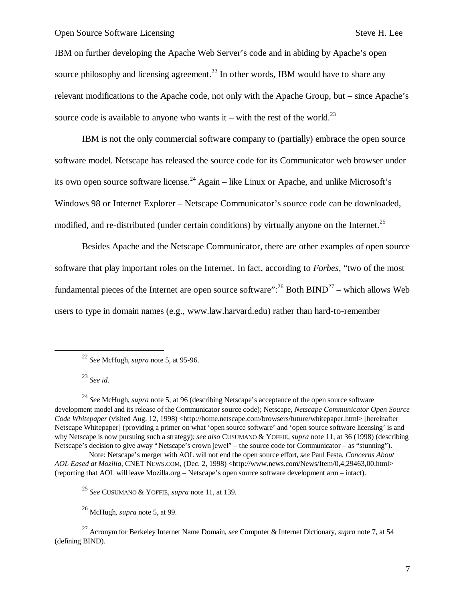IBM on further developing the Apache Web Server's code and in abiding by Apache's open source philosophy and licensing agreement.<sup>22</sup> In other words, IBM would have to share any relevant modifications to the Apache code, not only with the Apache Group, but – since Apache's source code is available to anyone who wants it – with the rest of the world.<sup>23</sup>

IBM is not the only commercial software company to (partially) embrace the open source software model. Netscape has released the source code for its Communicator web browser under its own open source software license.<sup>24</sup> Again – like Linux or Apache, and unlike Microsoft's Windows 98 or Internet Explorer – Netscape Communicator's source code can be downloaded, modified, and re-distributed (under certain conditions) by virtually anyone on the Internet.<sup>25</sup>

Besides Apache and the Netscape Communicator, there are other examples of open source software that play important roles on the Internet. In fact, according to *Forbes*, "two of the most fundamental pieces of the Internet are open source software":  $^{26}$  Both BIND<sup>27</sup> – which allows Web users to type in domain names (e.g., www.law.harvard.edu) rather than hard-to-remember

<sup>23</sup> *See id.*

1

<sup>24</sup> *See* McHugh, *supra* note 5, at 96 (describing Netscape's acceptance of the open source software development model and its release of the Communicator source code); Netscape, *Netscape Communicator Open Source Code Whitepaper* (visited Aug. 12, 1998) <http://home.netscape.com/browsers/future/whitepaper.html> [hereinafter Netscape Whitepaper] (providing a primer on what 'open source software' and 'open source software licensing' is and why Netscape is now pursuing such a strategy); *see also* CUSUMANO & YOFFIE, *supra* note 11, at 36 (1998) (describing Netscape's decision to give away "Netscape's crown jewel" – the source code for Communicator – as "stunning").

Note: Netscape's merger with AOL will not end the open source effort, *see* Paul Festa, *Concerns About*  AOL Eased at Mozilla, CNET NEWS.COM, (Dec. 2, 1998) <http://www.news.com/News/Item/0,4,29463,00.html> (reporting that AOL will leave Mozilla.org – Netscape's open source software development arm – intact).

<sup>25</sup> *See* CUSUMANO & YOFFIE, *supra* note 11, at 139.

<sup>26</sup> McHugh, *supra* note 5, at 99.

<sup>27</sup> Acronym for Berkeley Internet Name Domain, *see* Computer & Internet Dictionary, *supra* note 7, at 54 (defining BIND).

<sup>22</sup> *See* McHugh, *supra* note 5, at 95-96.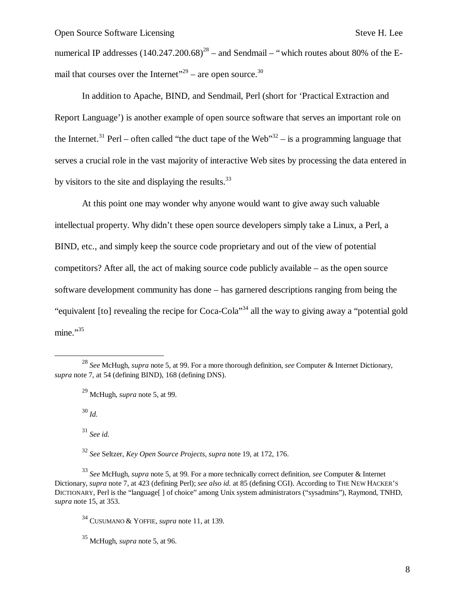numerical IP addresses  $(140.247.200.68)^{28}$  – and Sendmail – "which routes about 80% of the Email that courses over the Internet"<sup>29</sup> – are open source.<sup>30</sup>

In addition to Apache, BIND, and Sendmail, Perl (short for 'Practical Extraction and Report Language') is another example of open source software that serves an important role on the Internet.<sup>31</sup> Perl – often called "the duct tape of the Web"<sup>32</sup> – is a programming language that serves a crucial role in the vast majority of interactive Web sites by processing the data entered in by visitors to the site and displaying the results.<sup>33</sup>

At this point one may wonder why anyone would want to give away such valuable intellectual property. Why didn't these open source developers simply take a Linux, a Perl, a BIND, etc., and simply keep the source code proprietary and out of the view of potential competitors? After all, the act of making source code publicly available – as the open source software development community has done – has garnered descriptions ranging from being the "equivalent [to] revealing the recipe for Coca-Cola"<sup>34</sup> all the way to giving away a "potential gold mine."35

<sup>30</sup> *Id.*

1

<sup>31</sup> *See id.*

<sup>32</sup> *See* Seltzer, *Key Open Source Projects*, *supra* note 19, at 172, 176.

<sup>35</sup> McHugh, *supra* note 5, at 96.

<sup>28</sup> *See* McHugh, *supra* note 5, at 99. For a more thorough definition, *see* Computer & Internet Dictionary, *supra* note 7, at 54 (defining BIND), 168 (defining DNS).

<sup>29</sup> McHugh, *supra* note 5, at 99.

<sup>33</sup> *See* McHugh, *supra* note 5, at 99*.* For a more technically correct definition, *see* Computer & Internet Dictionary, *supra* note 7, at 423 (defining Perl); *see also id.* at 85 (defining CGI). According to THE NEW HACKER'S DICTIONARY, Perl is the "language[ ] of choice" among Unix system administrators ("sysadmins"), Raymond, TNHD, *supra* note 15, at 353.

<sup>34</sup> CUSUMANO & YOFFIE, *supra* note 11, at 139.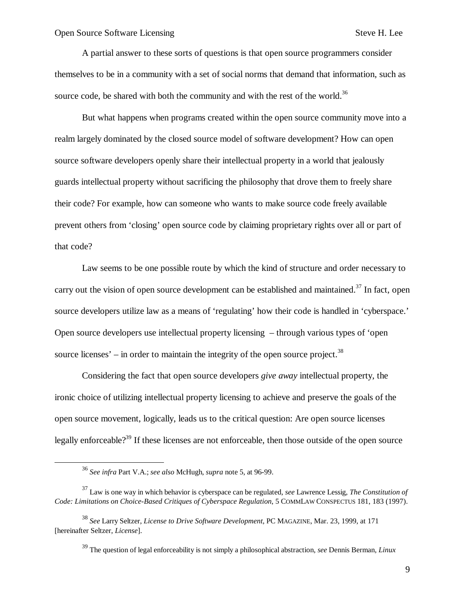A partial answer to these sorts of questions is that open source programmers consider themselves to be in a community with a set of social norms that demand that information, such as source code, be shared with both the community and with the rest of the world.<sup>36</sup>

But what happens when programs created within the open source community move into a realm largely dominated by the closed source model of software development? How can open source software developers openly share their intellectual property in a world that jealously guards intellectual property without sacrificing the philosophy that drove them to freely share their code? For example, how can someone who wants to make source code freely available prevent others from 'closing' open source code by claiming proprietary rights over all or part of that code?

Law seems to be one possible route by which the kind of structure and order necessary to carry out the vision of open source development can be established and maintained.<sup>37</sup> In fact, open source developers utilize law as a means of 'regulating' how their code is handled in 'cyberspace.' Open source developers use intellectual property licensing – through various types of 'open source licenses' – in order to maintain the integrity of the open source project.<sup>38</sup>

Considering the fact that open source developers *give away* intellectual property, the ironic choice of utilizing intellectual property licensing to achieve and preserve the goals of the open source movement, logically, leads us to the critical question: Are open source licenses legally enforceable?<sup>39</sup> If these licenses are not enforceable, then those outside of the open source

 $\overline{a}$ 

<sup>36</sup> *See infra* Part V.A.; *see also* McHugh, *supra* note 5, at 96-99.

<sup>37</sup> Law is one way in which behavior is cyberspace can be regulated, *see* Lawrence Lessig, *The Constitution of Code: Limitations on Choice-Based Critiques of Cyberspace Regulation*, 5 COMMLAW CONSPECTUS 181, 183 (1997).

<sup>38</sup> *See* Larry Seltzer, *License to Drive Software Development*, PC MAGAZINE, Mar. 23, 1999, at 171 [hereinafter Seltzer, *License*].

<sup>39</sup> The question of legal enforceability is not simply a philosophical abstraction, *see* Dennis Berman, *Linux*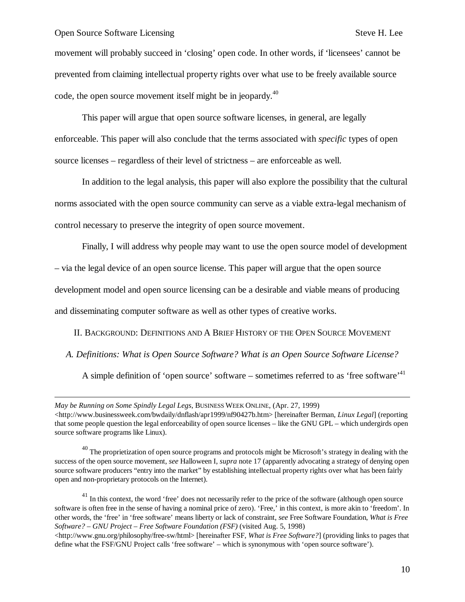$\overline{a}$ 

movement will probably succeed in 'closing' open code. In other words, if 'licensees' cannot be prevented from claiming intellectual property rights over what use to be freely available source code, the open source movement itself might be in jeopardy.<sup>40</sup>

This paper will argue that open source software licenses, in general, are legally enforceable. This paper will also conclude that the terms associated with *specific* types of open source licenses – regardless of their level of strictness – are enforceable as well.

In addition to the legal analysis, this paper will also explore the possibility that the cultural norms associated with the open source community can serve as a viable extra-legal mechanism of control necessary to preserve the integrity of open source movement.

Finally, I will address why people may want to use the open source model of development

– via the legal device of an open source license. This paper will argue that the open source

development model and open source licensing can be a desirable and viable means of producing

and disseminating computer software as well as other types of creative works.

II. BACKGROUND: DEFINITIONS AND A BRIEF HISTORY OF THE OPEN SOURCE MOVEMENT

*A. Definitions: What is Open Source Software? What is an Open Source Software License?*

A simple definition of 'open source' software – sometimes referred to as 'free software'<sup>41</sup>

*May be Running on Some Spindly Legal Legs*, BUSINESS WEEK ONLINE, (Apr. 27, 1999) <http://www.businessweek.com/bwdaily/dnflash/apr1999/nf90427b.htm> [hereinafter Berman, *Linux Legal*] (reporting that some people question the legal enforceability of open source licenses – like the GNU GPL – which undergirds open source software programs like Linux).

<sup>40</sup> The proprietization of open source programs and protocols might be Microsoft's strategy in dealing with the success of the open source movement, *see* Halloween I, *supra* note 17 (apparently advocating a strategy of denying open source software producers "entry into the market" by establishing intellectual property rights over what has been fairly open and non-proprietary protocols on the Internet).

 $41$  In this context, the word 'free' does not necessarily refer to the price of the software (although open source software is often free in the sense of having a nominal price of zero). 'Free,' in this context, is more akin to 'freedom'. In other words, the 'free' in 'free software' means liberty or lack of constraint, *see* Free Software Foundation, *What is Free Software? – GNU Project – Free Software Foundation (FSF)* (visited Aug. 5, 1998)

 $\langle$ http://www.gnu.org/philosophy/free-sw/html> [hereinafter FSF, *What is Free Software?*] (providing links to pages that define what the FSF/GNU Project calls 'free software' – which is synonymous with 'open source software').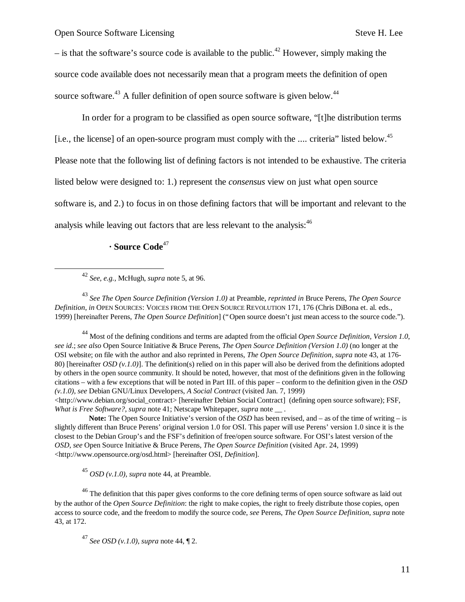$-$  is that the software's source code is available to the public.<sup>42</sup> However, simply making the source code available does not necessarily mean that a program meets the definition of open source software.<sup>43</sup> A fuller definition of open source software is given below.<sup>44</sup>

In order for a program to be classified as open source software, "[t]he distribution terms [i.e., the license] of an open-source program must comply with the .... criteria" listed below.<sup>45</sup> Please note that the following list of defining factors is not intended to be exhaustive. The criteria listed below were designed to: 1.) represent the *consensus* view on just what open source software is, and 2.) to focus in on those defining factors that will be important and relevant to the analysis while leaving out factors that are less relevant to the analysis:<sup>46</sup>

**· Source Code**<sup>47</sup>

1

<sup>43</sup> *See The Open Source Definition (Version 1.0)* at Preamble, *reprinted in* Bruce Perens, *The Open Source Definition*, *in* OPEN SOURCES: VOICES FROM THE OPEN SOURCE REVOLUTION 171, 176 (Chris DiBona et. al. eds., 1999) [hereinafter Perens, *The Open Source Definition*] ("Open source doesn't just mean access to the source code.").

<sup>44</sup> Most of the defining conditions and terms are adapted from the official *Open Source Definition, Version 1.0*, *see id*.; *see also* Open Source Initiative & Bruce Perens, *The Open Source Definition (Version 1.0)* (no longer at the OSI website; on file with the author and also reprinted in Perens, *The Open Source Definition*, *supra* note 43, at 176- 80) [hereinafter *OSD (v.1.0)*]. The definition(s) relied on in this paper will also be derived from the definitions adopted by others in the open source community. It should be noted, however, that most of the definitions given in the following citations – with a few exceptions that will be noted in Part III. of this paper – conform to the definition given in the *OSD (v.1.0)*, *see* Debian GNU/Linux Developers, *A Social Contract* (visited Jan. 7, 1999)

<http://www.debian.org/social\_contract> [hereinafter Debian Social Contract] (defining open source software); FSF, *What is Free Software?*, *supra* note 41; Netscape Whitepaper, *supra* note \_\_ .

**Note:** The Open Source Initiative's version of the *OSD* has been revised, and – as of the time of writing – is slightly different than Bruce Perens' original version 1.0 for OSI. This paper will use Perens' version 1.0 since it is the closest to the Debian Group's and the FSF's definition of free/open source software. For OSI's latest version of the *OSD*, *see* Open Source Initiative & Bruce Perens, *The Open Source Definition* (visited Apr. 24, 1999) <http://www.opensource.org/osd.html> [hereinafter OSI, *Definition*].

<sup>45</sup> *OSD (v.1.0)*, *supra* note 44, at Preamble.

<sup>46</sup> The definition that this paper gives conforms to the core defining terms of open source software as laid out by the author of the *Open Source Definition*: the right to make copies, the right to freely distribute those copies, open access to source code, and the freedom to modify the source code, *see* Perens, *The Open Source Definition*, *supra* note 43, at 172.

<sup>47</sup> *See OSD (v.1.0)*, *supra* note 44, ¶ 2.

<sup>42</sup> *See, e.g.,* McHugh, *supra* note 5, at 96.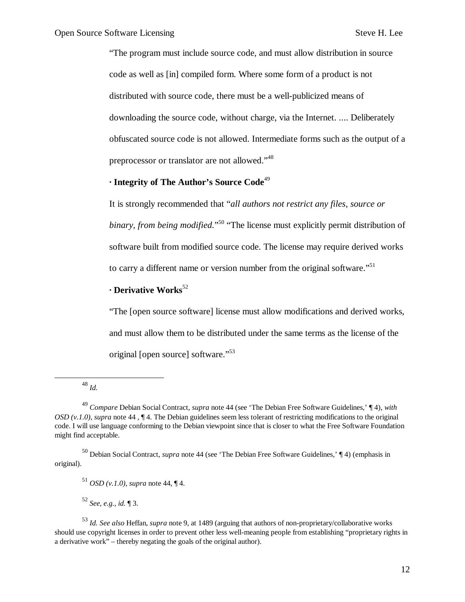"The program must include source code, and must allow distribution in source code as well as [in] compiled form. Where some form of a product is not distributed with source code, there must be a well-publicized means of downloading the source code, without charge, via the Internet. .... Deliberately obfuscated source code is not allowed. Intermediate forms such as the output of a preprocessor or translator are not allowed."<sup>48</sup>

#### **· Integrity of The Author's Source Code**<sup>49</sup>

It is strongly recommended that "*all authors not restrict any files, source or binary, from being modified.*" <sup>50</sup> "The license must explicitly permit distribution of software built from modified source code. The license may require derived works to carry a different name or version number from the original software."<sup>51</sup>

## **· Derivative Works**<sup>52</sup>

"The [open source software] license must allow modifications and derived works, and must allow them to be distributed under the same terms as the license of the original [open source] software."<sup>53</sup>

<sup>48</sup> *Id.*

1

<sup>52</sup> *See, e.g., id.* ¶ 3.

<sup>49</sup> *Compare* Debian Social Contract, *supra* note 44 (see 'The Debian Free Software Guidelines,' ¶ 4), *with OSD (v.1.0)*, *supra* note 44 , ¶ 4. The Debian guidelines seem less tolerant of restricting modifications to the original code. I will use language conforming to the Debian viewpoint since that is closer to what the Free Software Foundation might find acceptable.

<sup>50</sup> Debian Social Contract, *supra* note 44 (see 'The Debian Free Software Guidelines,' ¶ 4) (emphasis in original).

<sup>51</sup> *OSD (v.1.0)*, *supra* note 44, ¶ 4.

<sup>53</sup> *Id. See also* Heffan, *supra* note 9, at 1489 (arguing that authors of non-proprietary/collaborative works should use copyright licenses in order to prevent other less well-meaning people from establishing "proprietary rights in a derivative work" – thereby negating the goals of the original author).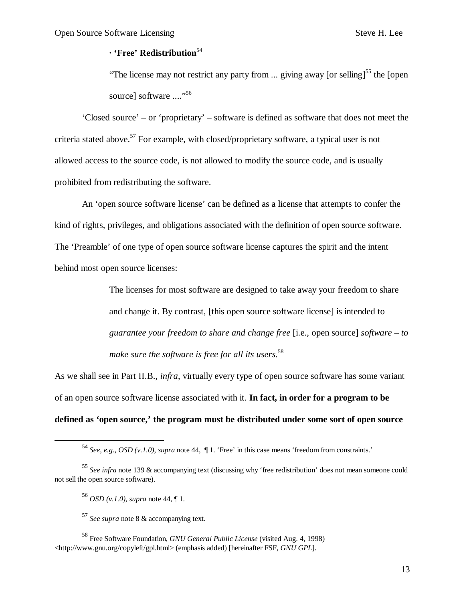#### **· 'Free' Redistribution**<sup>54</sup>

"The license may not restrict any party from ... giving away [or selling]<sup>55</sup> the [open] source] software ...."<sup>56</sup>

'Closed source' – or 'proprietary' – software is defined as software that does not meet the criteria stated above.<sup>57</sup> For example, with closed/proprietary software, a typical user is not allowed access to the source code, is not allowed to modify the source code, and is usually prohibited from redistributing the software.

An 'open source software license' can be defined as a license that attempts to confer the kind of rights, privileges, and obligations associated with the definition of open source software. The 'Preamble' of one type of open source software license captures the spirit and the intent behind most open source licenses:

> The licenses for most software are designed to take away your freedom to share and change it. By contrast, [this open source software license] is intended to *guarantee your freedom to share and change free* [i.e., open source] *software – to make sure the software is free for all its users.*<sup>58</sup>

As we shall see in Part II.B., *infra*, virtually every type of open source software has some variant of an open source software license associated with it. **In fact, in order for a program to be defined as 'open source,' the program must be distributed under some sort of open source** 

 $\overline{a}$ 

<sup>54</sup> *See, e.g., OSD (v.1.0), supra* note 44, ¶ 1. 'Free' in this case means 'freedom from constraints.'

<sup>55</sup> *See infra* note 139 & accompanying text (discussing why 'free redistribution' does not mean someone could not sell the open source software).

<sup>56</sup> *OSD (v.1.0)*, *supra* note 44, ¶ 1.

<sup>57</sup> *See supra* note 8 & accompanying text.

<sup>58</sup> Free Software Foundation, *GNU General Public License* (visited Aug. 4, 1998) <http://www.gnu.org/copyleft/gpl.html> (emphasis added) [hereinafter FSF, *GNU GPL*].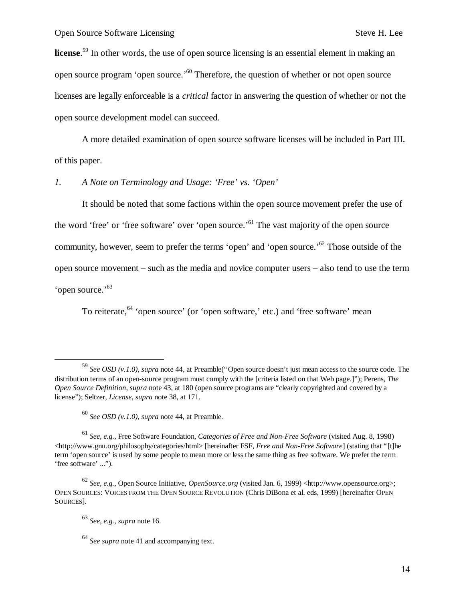**license**. <sup>59</sup> In other words, the use of open source licensing is an essential element in making an open source program 'open source.'<sup>60</sup> Therefore, the question of whether or not open source licenses are legally enforceable is a *critical* factor in answering the question of whether or not the open source development model can succeed.

A more detailed examination of open source software licenses will be included in Part III. of this paper.

*1. A Note on Terminology and Usage: 'Free' vs. 'Open'*

It should be noted that some factions within the open source movement prefer the use of the word 'free' or 'free software' over 'open source.<sup>'61</sup> The vast majority of the open source community, however, seem to prefer the terms 'open' and 'open source.<sup>'62</sup> Those outside of the open source movement – such as the media and novice computer users – also tend to use the term 'open source.'<sup>63</sup>

To reiterate, <sup>64</sup> 'open source' (or 'open software,' etc.) and 'free software' mean

 $\overline{a}$ 

<sup>59</sup> *See OSD (v.1.0)*, *supra* note 44, at Preamble("Open source doesn't just mean access to the source code. The distribution terms of an open-source program must comply with the [criteria listed on that Web page.]"); Perens, *The Open Source Definition*, *supra* note 43, at 180 (open source programs are "clearly copyrighted and covered by a license"); Seltzer, *License*, *supra* note 38, at 171.

<sup>60</sup> *See OSD (v.1.0)*, *supra* note 44, at Preamble.

<sup>61</sup> *See, e.g.,* Free Software Foundation, *Categories of Free and Non-Free Software* (visited Aug. 8, 1998) <http://www.gnu.org/philosophy/categories/html> [hereinafter FSF, *Free and Non-Free Software*] (stating that "[t]he term 'open source' is used by some people to mean more or less the same thing as free software. We prefer the term 'free software' ...").

<sup>62</sup> *See, e.g.,* Open Source Initiative, *OpenSource.org* (visited Jan. 6, 1999) <http://www.opensource.org>; OPEN SOURCES: VOICES FROM THE OPEN SOURCE REVOLUTION (Chris DiBona et al. eds, 1999) [hereinafter OPEN SOURCES].

<sup>63</sup> *See, e.g., supra* note 16.

<sup>64</sup> *See supra* note 41 and accompanying text.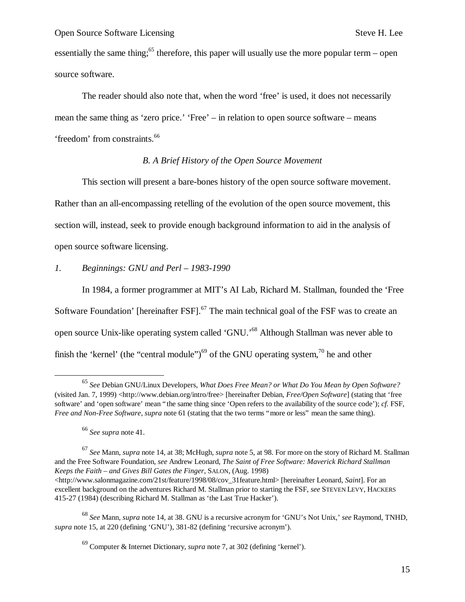essentially the same thing;<sup>65</sup> therefore, this paper will usually use the more popular term – open source software.

The reader should also note that, when the word 'free' is used, it does not necessarily mean the same thing as 'zero price.' 'Free' – in relation to open source software – means 'freedom' from constraints.<sup>66</sup>

#### *B. A Brief History of the Open Source Movement*

This section will present a bare-bones history of the open source software movement. Rather than an all-encompassing retelling of the evolution of the open source movement, this section will, instead, seek to provide enough background information to aid in the analysis of open source software licensing.

## *1. Beginnings: GNU and Perl – 1983-1990*

In 1984, a former programmer at MIT's AI Lab, Richard M. Stallman, founded the 'Free Software Foundation' [hereinafter FSF].<sup>67</sup> The main technical goal of the FSF was to create an open source Unix-like operating system called 'GNU.<sup>568</sup> Although Stallman was never able to finish the 'kernel' (the "central module")<sup>69</sup> of the GNU operating system,<sup>70</sup> he and other

1

<sup>65</sup> *See* Debian GNU/Linux Developers, *What Does Free Mean? or What Do You Mean by Open Software?* (visited Jan. 7, 1999) <http://www.debian.org/intro/free> [hereinafter Debian, *Free/Open Software*] (stating that 'free software' and 'open software' mean "the same thing since 'Open refers to the availability of the source code'); *cf.* FSF, *Free and Non-Free Software*, *supra* note 61 (stating that the two terms "more or less" mean the same thing).

<sup>66</sup> *See supra* note 41.

<sup>67</sup> *See* Mann, *supra* note 14, at 38; McHugh, *supra* note 5, at 98. For more on the story of Richard M. Stallman and the Free Software Foundation, *see* Andrew Leonard, *The Saint of Free Software: Maverick Richard Stallman Keeps the Faith – and Gives Bill Gates the Finger*, SALON, (Aug. 1998) <http://www.salonmagazine.com/21st/feature/1998/08/cov\_31feature.html> [hereinafter Leonard, *Saint*]. For an

excellent background on the adventures Richard M. Stallman prior to starting the FSF, *see* STEVEN LEVY, HACKERS 415-27 (1984) (describing Richard M. Stallman as 'the Last True Hacker').

<sup>68</sup> *See* Mann, *supra* note 14, at 38. GNU is a recursive acronym for 'GNU's Not Unix,' *see* Raymond, TNHD, *supra* note 15, at 220 (defining 'GNU'), 381-82 (defining 'recursive acronym').

<sup>69</sup> Computer & Internet Dictionary, *supra* note 7, at 302 (defining 'kernel').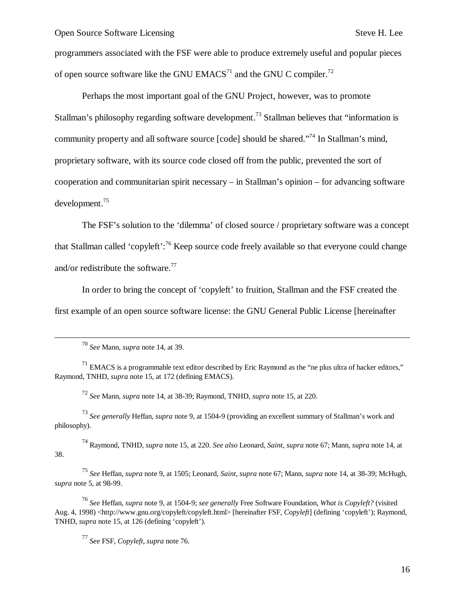programmers associated with the FSF were able to produce extremely useful and popular pieces of open source software like the GNU EMACS<sup>71</sup> and the GNU C compiler.<sup>72</sup>

Perhaps the most important goal of the GNU Project, however, was to promote Stallman's philosophy regarding software development.<sup>73</sup> Stallman believes that "information is community property and all software source [code] should be shared."<sup>74</sup> In Stallman's mind, proprietary software, with its source code closed off from the public, prevented the sort of cooperation and communitarian spirit necessary – in Stallman's opinion – for advancing software development.<sup>75</sup>

The FSF's solution to the 'dilemma' of closed source / proprietary software was a concept that Stallman called 'copyleft':<sup>76</sup> Keep source code freely available so that everyone could change and/or redistribute the software.<sup>77</sup>

In order to bring the concept of 'copyleft' to fruition, Stallman and the FSF created the first example of an open source software license: the GNU General Public License [hereinafter

-

<sup>72</sup> *See* Mann, *supra* note 14, at 38-39; Raymond, TNHD, *supra* note 15, at 220.

<sup>73</sup> *See generally* Heffan, *supra* note 9, at 1504-9 (providing an excellent summary of Stallman's work and philosophy).

<sup>74</sup> Raymond, TNHD, *supra* note 15, at 220. *See also* Leonard, *Saint*, *supra* note 67; Mann, *supra* note 14, at 38.

<sup>75</sup> *See* Heffan, *supra* note 9, at 1505; Leonard, *Saint*, *supra* note 67; Mann, *supra* note 14, at 38-39; McHugh, *supra* note 5, at 98-99.

<sup>76</sup> *See* Heffan, *supra* note 9, at 1504-9; *see generally* Free Software Foundation, *What is Copyleft?* (visited Aug. 4, 1998) <http://www.gnu.org/copyleft/copyleft.html> [hereinafter FSF, *Copyleft*] (defining 'copyleft'); Raymond, TNHD, *supra* note 15, at 126 (defining 'copyleft').

<sup>77</sup> *See* FSF, *Copyleft*, *supra* note 76.

<sup>70</sup> *See* Mann, *supra* note 14, at 39.

 $71$  EMACS is a programmable text editor described by Eric Raymond as the "ne plus ultra of hacker editors," Raymond, TNHD, *supra* note 15, at 172 (defining EMACS).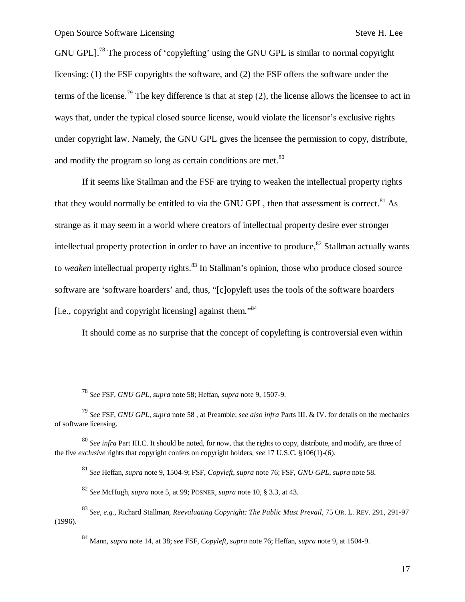1

GNU GPL].<sup>78</sup> The process of 'copylefting' using the GNU GPL is similar to normal copyright licensing: (1) the FSF copyrights the software, and (2) the FSF offers the software under the terms of the license.<sup>79</sup> The key difference is that at step  $(2)$ , the license allows the licensee to act in ways that, under the typical closed source license, would violate the licensor's exclusive rights under copyright law. Namely, the GNU GPL gives the licensee the permission to copy, distribute, and modify the program so long as certain conditions are met.<sup>80</sup>

If it seems like Stallman and the FSF are trying to weaken the intellectual property rights that they would normally be entitled to via the GNU GPL, then that assessment is correct.<sup>81</sup> As strange as it may seem in a world where creators of intellectual property desire ever stronger intellectual property protection in order to have an incentive to produce, $82$  Stallman actually wants to *weaken* intellectual property rights.<sup>83</sup> In Stallman's opinion, those who produce closed source software are 'software hoarders' and, thus, "[c]opyleft uses the tools of the software hoarders [i.e., copyright and copyright licensing] against them."<sup>84</sup>

It should come as no surprise that the concept of copylefting is controversial even within

<sup>81</sup> *See* Heffan, *supra* note 9, 1504-9; FSF, *Copyleft*, *supra* note 76; FSF, *GNU GPL*, *supra* note 58.

<sup>82</sup> *See* McHugh, *supra* note 5, at 99; POSNER, *supra* note 10, § 3.3, at 43.

<sup>78</sup> *See* FSF, *GNU GPL*, *supra* note 58; Heffan, *supra* note 9, 1507-9.

<sup>79</sup> *See* FSF, *GNU GPL*, *supra* note 58 , at Preamble; *see also infra* Parts III. & IV. for details on the mechanics of software licensing.

<sup>80</sup> *See infra* Part III.C. It should be noted, for now, that the rights to copy, distribute, and modify, are three of the five *exclusive* rights that copyright confers on copyright holders, *see* 17 U.S.C. §106(1)-(6).

<sup>83</sup> *See, e.g.,* Richard Stallman, *Reevaluating Copyright: The Public Must Prevail*, 75 OR. L. REV. 291, 291-97 (1996).

<sup>84</sup> Mann, *supra* note 14, at 38; *see* FSF, *Copyleft*, *supra* note 76; Heffan, *supra* note 9, at 1504-9.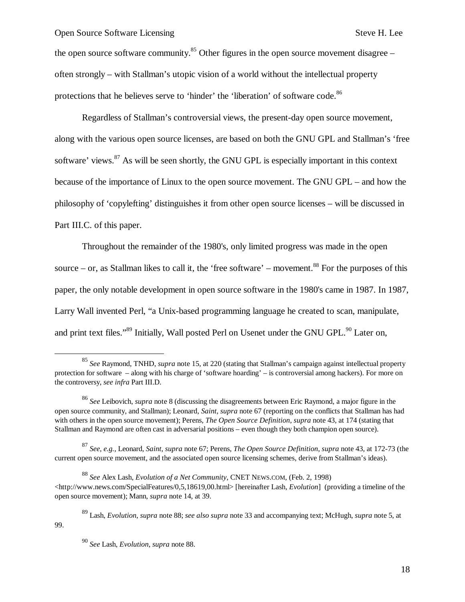the open source software community.<sup>85</sup> Other figures in the open source movement disagree – often strongly – with Stallman's utopic vision of a world without the intellectual property protections that he believes serve to 'hinder' the 'liberation' of software code.<sup>86</sup>

Regardless of Stallman's controversial views, the present-day open source movement, along with the various open source licenses, are based on both the GNU GPL and Stallman's 'free software' views.<sup>87</sup> As will be seen shortly, the GNU GPL is especially important in this context because of the importance of Linux to the open source movement. The GNU GPL – and how the philosophy of 'copylefting' distinguishes it from other open source licenses – will be discussed in Part III.C. of this paper.

Throughout the remainder of the 1980's, only limited progress was made in the open source – or, as Stallman likes to call it, the 'free software' – movement.<sup>88</sup> For the purposes of this paper, the only notable development in open source software in the 1980's came in 1987. In 1987, Larry Wall invented Perl, "a Unix-based programming language he created to scan, manipulate, and print text files."<sup>89</sup> Initially, Wall posted Perl on Usenet under the GNU GPL.<sup>90</sup> Later on,

<sup>87</sup> *See, e.g.,* Leonard, *Saint*, *supra* note 67; Perens, *The Open Source Definition*, *supra* note 43, at 172-73 (the current open source movement, and the associated open source licensing schemes, derive from Stallman's ideas).

-

99.

<sup>85</sup> *See* Raymond, TNHD, *supra* note 15, at 220 (stating that Stallman's campaign against intellectual property protection for software – along with his charge of 'software hoarding' – is controversial among hackers). For more on the controversy, *see infra* Part III.D.

<sup>86</sup> *See* Leibovich, *supra* note 8 (discussing the disagreements between Eric Raymond, a major figure in the open source community, and Stallman); Leonard, *Saint*, *supra* note 67 (reporting on the conflicts that Stallman has had with others in the open source movement); Perens, *The Open Source Definition*, *supra* note 43, at 174 (stating that Stallman and Raymond are often cast in adversarial positions – even though they both champion open source).

<sup>88</sup> *See* Alex Lash, *Evolution of a Net Community*, CNET NEWS.COM, (Feb. 2, 1998)  $\langle$ http://www.news.com/SpecialFeatures/0,5,18619,00.html> [hereinafter Lash, *Evolution*] (providing a timeline of the open source movement); Mann, *supra* note 14, at 39.

<sup>89</sup> Lash, *Evolution*, *supra* note 88; *see also supra* note 33 and accompanying text; McHugh, *supra* note 5, at

<sup>90</sup> *See* Lash, *Evolution*, *supra* note 88.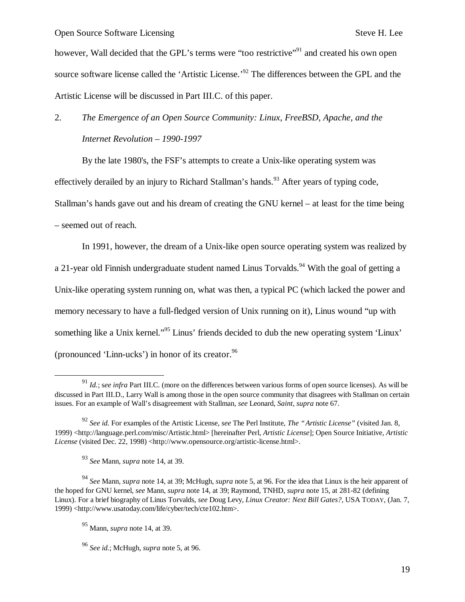however, Wall decided that the GPL's terms were "too restrictive"<sup>91</sup> and created his own open source software license called the 'Artistic License.<sup>92</sup> The differences between the GPL and the Artistic License will be discussed in Part III.C. of this paper.

# 2. *The Emergence of an Open Source Community: Linux, FreeBSD, Apache, and the Internet Revolution – 1990-1997*

By the late 1980's, the FSF's attempts to create a Unix-like operating system was effectively derailed by an injury to Richard Stallman's hands.<sup>93</sup> After years of typing code, Stallman's hands gave out and his dream of creating the GNU kernel – at least for the time being – seemed out of reach.

In 1991, however, the dream of a Unix-like open source operating system was realized by a 21-year old Finnish undergraduate student named Linus Torvalds.<sup>94</sup> With the goal of getting a Unix-like operating system running on, what was then, a typical PC (which lacked the power and memory necessary to have a full-fledged version of Unix running on it), Linus wound "up with something like a Unix kernel."<sup>95</sup> Linus' friends decided to dub the new operating system 'Linux' (pronounced 'Linn-ucks') in honor of its creator. $96$ 

1

<sup>91</sup> *Id.*; s*ee infra* Part III.C. (more on the differences between various forms of open source licenses). As will be discussed in Part III.D., Larry Wall is among those in the open source community that disagrees with Stallman on certain issues. For an example of Wall's disagreement with Stallman, *see* Leonard, *Saint*, *supra* note 67.

<sup>92</sup> *See id.* For examples of the Artistic License, *see* The Perl Institute, *The "Artistic License"* (visited Jan. 8, 1999) <http://language.perl.com/misc/Artistic.html> [hereinafter Perl, *Artistic License*]; Open Source Initiative, *Artistic License* (visited Dec. 22, 1998) <http://www.opensource.org/artistic-license.html>.

<sup>93</sup> *See* Mann, *supra* note 14, at 39.

<sup>94</sup> *See* Mann, *supra* note 14, at 39; McHugh, *supra* note 5, at 96. For the idea that Linux is the heir apparent of the hoped for GNU kernel, *see* Mann, *supra* note 14, at 39; Raymond, TNHD, *supra* note 15, at 281-82 (defining Linux). For a brief biography of Linus Torvalds, *see* Doug Levy, *Linux Creator: Next Bill Gates?*, USA TODAY, (Jan. 7, 1999) <http://www.usatoday.com/life/cyber/tech/cte102.htm>.

<sup>95</sup> Mann, *supra* note 14, at 39.

<sup>96</sup> *See id.*; McHugh, *supra* note 5, at 96.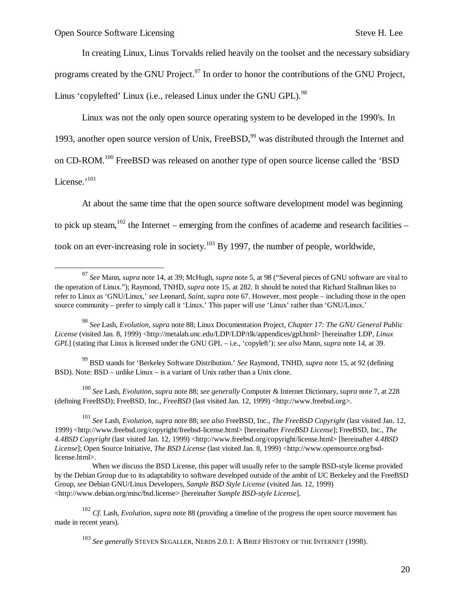$\overline{\phantom{a}}$ 

In creating Linux, Linus Torvalds relied heavily on the toolset and the necessary subsidiary programs created by the GNU Project.<sup>97</sup> In order to honor the contributions of the GNU Project, Linus 'copylefted' Linux (i.e., released Linux under the GNU GPL).<sup>98</sup>

Linux was not the only open source operating system to be developed in the 1990's. In 1993, another open source version of Unix, FreeBSD,<sup>99</sup> was distributed through the Internet and on CD-ROM.<sup>100</sup> FreeBSD was released on another type of open source license called the 'BSD License.'<sup>101</sup>

At about the same time that the open source software development model was beginning to pick up steam,  $102$  the Internet – emerging from the confines of academe and research facilities – took on an ever-increasing role in society.<sup>103</sup> By 1997, the number of people, worldwide,

<sup>99</sup> BSD stands for 'Berkeley Software Distribution.' *See* Raymond, TNHD, *supra* note 15, at 92 (defining BSD). Note: BSD – unlike Linux – is a variant of Unix rather than a Unix clone.

<sup>100</sup> *See* Lash, *Evolution*, *supra* note 88; *see generally* Computer & Internet Dictionary, *supra* note 7, at 228 (defining FreeBSD); FreeBSD, Inc., *FreeBSD* (last visited Jan. 12, 1999) <http://www.freebsd.org>.

<sup>101</sup> *See* Lash, *Evolution*, *supra* note 88; *see also* FreeBSD, Inc., *The FreeBSD Copyright* (last visited Jan. 12, 1999) <http://www.freebsd.org/copyright/freebsd-license.html> [hereinafter *FreeBSD License*]; FreeBSD, Inc., *The 4.4BSD Copyright* (last visited Jan. 12, 1999) <http://www.freebsd.org/copyright/license.html> [hereinafter *4.4BSD*  License]; Open Source Initiative, *The BSD License* (last visited Jan. 8, 1999) <http://www.opensource.org/bsdlicense.html>.

<sup>97</sup> *See* Mann, *supra* note 14, at 39; McHugh, *supra* note 5, at 98 ("Several pieces of GNU software are vital to the operation of Linux."); Raymond, TNHD, *supra* note 15, at 282. It should be noted that Richard Stallman likes to refer to Linux as 'GNU/Linux,' *see* Leonard, *Saint*, *supra* note 67. However, most people – including those in the open source community – prefer to simply call it 'Linux.' This paper will use 'Linux' rather than 'GNU/Linux.'

<sup>98</sup> *See* Lash, *Evolution*, *supra* note 88; Linux Documentation Project, *Chapter 17: The GNU General Public License* (visited Jan. 8, 1999) <http://metalab.unc.edu/LDP/LDP/tlk/appendices/gpl.html> [hereinafter LDP, *Linux GPL*] (stating that Linux is licensed under the GNU GPL – i.e., 'copyleft'); *see also* Mann, *supra* note 14, at 39.

When we discuss the BSD License, this paper will usually refer to the sample BSD-style license provided by the Debian Group due to its adaptability to software developed outside of the ambit of UC Berkeley and the FreeBSD Group, *see* Debian GNU/Linux Developers, *Sample BSD Style License* (visited Jan. 12, 1999) <http://www.debian.org/misc/bsd.license> [hereinafter *Sample BSD-style License*].

<sup>102</sup> *Cf.* Lash, *Evolution*, *supra* note 88 (providing a timeline of the progress the open source movement has made in recent years).

<sup>103</sup> *See generally* STEVEN SEGALLER, NERDS 2.0.1: A BRIEF HISTORY OF THE INTERNET (1998).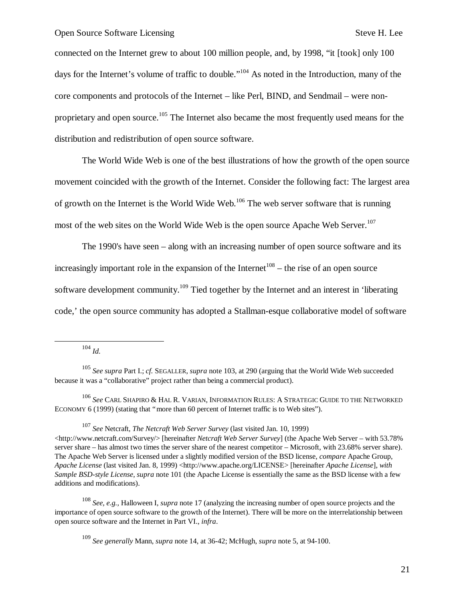connected on the Internet grew to about 100 million people, and, by 1998, "it [took] only 100 days for the Internet's volume of traffic to double."<sup>104</sup> As noted in the Introduction, many of the core components and protocols of the Internet – like Perl, BIND, and Sendmail – were nonproprietary and open source.<sup>105</sup> The Internet also became the most frequently used means for the distribution and redistribution of open source software.

The World Wide Web is one of the best illustrations of how the growth of the open source movement coincided with the growth of the Internet. Consider the following fact: The largest area of growth on the Internet is the World Wide Web.<sup>106</sup> The web server software that is running most of the web sites on the World Wide Web is the open source Apache Web Server.<sup>107</sup>

The 1990's have seen – along with an increasing number of open source software and its increasingly important role in the expansion of the Internet<sup>108</sup> – the rise of an open source software development community.<sup>109</sup> Tied together by the Internet and an interest in 'liberating code,' the open source community has adopted a Stallman-esque collaborative model of software

<sup>104</sup> *Id.*

1

<sup>105</sup> *See supra* Part I.; *cf.* SEGALLER, *supra* note 103, at 290 (arguing that the World Wide Web succeeded because it was a "collaborative" project rather than being a commercial product).

<sup>106</sup> *See* CARL SHAPIRO & HAL R. VARIAN, INFORMATION RULES: A STRATEGIC GUIDE TO THE NETWORKED ECONOMY 6 (1999) (stating that "more than 60 percent of Internet traffic is to Web sites").

<sup>107</sup> *See* Netcraft, *The Netcraft Web Server Survey* (last visited Jan. 10, 1999)  $\langle$ http://www.netcraft.com/Survey/> [hereinafter *Netcraft Web Server Survey*] (the Apache Web Server – with 53.78% server share – has almost two times the server share of the nearest competitor – Microsoft, with 23.68% server share). The Apache Web Server is licensed under a slightly modified version of the BSD license, *compare* Apache Group, *Apache License* (last visited Jan. 8, 1999) <http://www.apache.org/LICENSE> [hereinafter *Apache License*], *with Sample BSD-style License*, *supra* note 101 (the Apache License is essentially the same as the BSD license with a few additions and modifications).

<sup>108</sup> *See, e.g.,* Halloween I, *supra* note 17 (analyzing the increasing number of open source projects and the importance of open source software to the growth of the Internet). There will be more on the interrelationship between open source software and the Internet in Part VI., *infra*.

<sup>109</sup> *See generally* Mann, *supra* note 14, at 36-42; McHugh, *supra* note 5, at 94-100.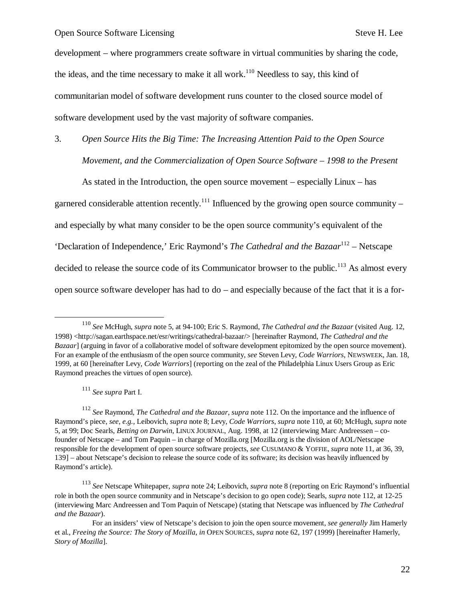development – where programmers create software in virtual communities by sharing the code, the ideas, and the time necessary to make it all work.<sup>110</sup> Needless to say, this kind of communitarian model of software development runs counter to the closed source model of software development used by the vast majority of software companies.

3. *Open Source Hits the Big Time: The Increasing Attention Paid to the Open Source Movement, and the Commercialization of Open Source Software – 1998 to the Present*

As stated in the Introduction, the open source movement – especially Linux – has garnered considerable attention recently.<sup>111</sup> Influenced by the growing open source community – and especially by what many consider to be the open source community's equivalent of the 'Declaration of Independence,' Eric Raymond's *The Cathedral and the Bazaar*<sup>112</sup> – Netscape decided to release the source code of its Communicator browser to the public.<sup>113</sup> As almost every open source software developer has had to do – and especially because of the fact that it is a for-

<sup>111</sup> *See supra* Part I.

1

<sup>110</sup> *See* McHugh, *supra* note 5, at 94-100; Eric S. Raymond, *The Cathedral and the Bazaar* (visited Aug. 12, 1998) <http://sagan.earthspace.net/esr/writings/cathedral-bazaar/> [hereinafter Raymond, *The Cathedral and the Bazaar*] (arguing in favor of a collaborative model of software development epitomized by the open source movement). For an example of the enthusiasm of the open source community, *see* Steven Levy, *Code Warriors*, NEWSWEEK, Jan. 18, 1999, at 60 [hereinafter Levy, *Code Warriors*] (reporting on the zeal of the Philadelphia Linux Users Group as Eric Raymond preaches the virtues of open source).

<sup>112</sup> *See* Raymond, *The Cathedral and the Bazaar*, *supra* note 112. On the importance and the influence of Raymond's piece, *see, e.g.,* Leibovich, *supra* note 8; Levy, *Code Warriors*, *supra* note 110, at 60; McHugh, *supra* note 5, at 99; Doc Searls, *Betting on Darwin*, LINUX JOURNAL, Aug. 1998, at 12 (interviewing Marc Andreessen – cofounder of Netscape – and Tom Paquin – in charge of Mozilla.org [Mozilla.org is the division of AOL/Netscape responsible for the development of open source software projects, *see* CUSUMANO & YOFFIE, *supra* note 11, at 36, 39, 139] – about Netscape's decision to release the source code of its software; its decision was heavily influenced by Raymond's article).

<sup>113</sup> *See* Netscape Whitepaper, *supra* note 24; Leibovich, *supra* note 8 (reporting on Eric Raymond's influential role in both the open source community and in Netscape's decision to go open code); Searls, *supra* note 112, at 12-25 (interviewing Marc Andreessen and Tom Paquin of Netscape) (stating that Netscape was influenced by *The Cathedral and the Bazaar*).

For an insiders' view of Netscape's decision to join the open source movement, *see generally* Jim Hamerly et al., *Freeing the Source: The Story of Mozilla*, *in* OPEN SOURCES, *supra* note 62, 197 (1999) [hereinafter Hamerly, *Story of Mozilla*].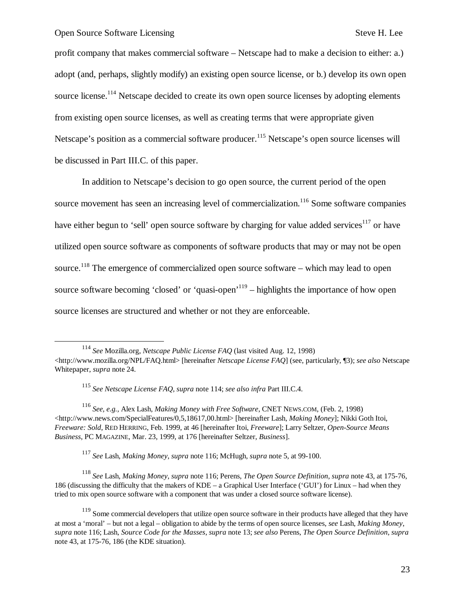1

profit company that makes commercial software – Netscape had to make a decision to either: a.) adopt (and, perhaps, slightly modify) an existing open source license, or b.) develop its own open source license.<sup>114</sup> Netscape decided to create its own open source licenses by adopting elements from existing open source licenses, as well as creating terms that were appropriate given Netscape's position as a commercial software producer.<sup>115</sup> Netscape's open source licenses will be discussed in Part III.C. of this paper.

In addition to Netscape's decision to go open source, the current period of the open source movement has seen an increasing level of commercialization.<sup>116</sup> Some software companies have either begun to 'sell' open source software by charging for value added services<sup>117</sup> or have utilized open source software as components of software products that may or may not be open source.<sup>118</sup> The emergence of commercialized open source software – which may lead to open source software becoming 'closed' or 'quasi-open'<sup>119</sup> – highlights the importance of how open source licenses are structured and whether or not they are enforceable.

<sup>117</sup> *See* Lash, *Making Money*, *supra* note 116; McHugh, *supra* note 5, at 99-100.

<sup>118</sup> *See* Lash, *Making Money*, *supra* note 116; Perens, *The Open Source Definition*, *supra* note 43, at 175-76, 186 (discussing the difficulty that the makers of KDE – a Graphical User Interface ('GUI') for Linux – had when they tried to mix open source software with a component that was under a closed source software license).

<sup>114</sup> *See* Mozilla.org, *Netscape Public License FAQ* (last visited Aug. 12, 1998) <http://www.mozilla.org/NPL/FAQ.html> [hereinafter *Netscape License FAQ*] (see, particularly, ¶3); *see also* Netscape Whitepaper, *supra* note 24.

<sup>115</sup> *See Netscape License FAQ*, *supra* note 114; *see also infra* Part III.C.4.

<sup>116</sup> *See, e.g.,* Alex Lash, *Making Money with Free Software*, CNET NEWS.COM, (Feb. 2, 1998) <http://www.news.com/SpecialFeatures/0,5,18617,00.html> [hereinafter Lash, *Making Money*]; Nikki Goth Itoi, *Freeware: Sold*, RED HERRING, Feb. 1999, at 46 [hereinafter Itoi, *Freeware*]; Larry Seltzer, *Open-Source Means Business*, PC MAGAZINE, Mar. 23, 1999, at 176 [hereinafter Seltzer, *Business*].

<sup>&</sup>lt;sup>119</sup> Some commercial developers that utilize open source software in their products have alleged that they have at most a 'moral' – but not a legal – obligation to abide by the terms of open source licenses, *see* Lash, *Making Money*, *supra* note 116; Lash, *Source Code for the Masses*, *supra* note 13; *see also* Perens, *The Open Source Definition*, *supra* note 43, at 175-76, 186 (the KDE situation).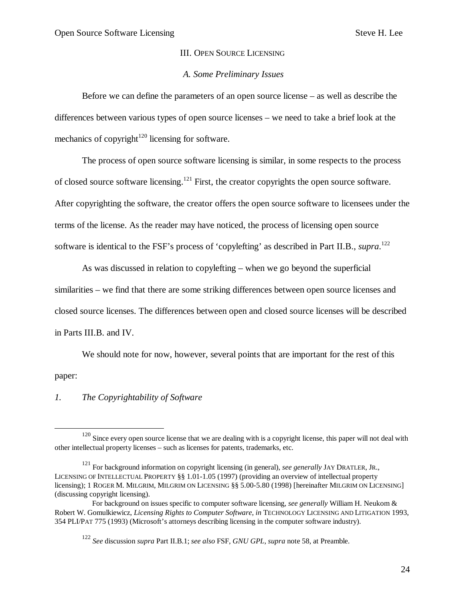#### III. OPEN SOURCE LICENSING

#### *A. Some Preliminary Issues*

Before we can define the parameters of an open source license – as well as describe the differences between various types of open source licenses – we need to take a brief look at the mechanics of copyright<sup>120</sup> licensing for software.

The process of open source software licensing is similar, in some respects to the process of closed source software licensing.<sup>121</sup> First, the creator copyrights the open source software. After copyrighting the software, the creator offers the open source software to licensees under the terms of the license. As the reader may have noticed, the process of licensing open source software is identical to the FSF's process of 'copylefting' as described in Part II.B., *supra*. 122

As was discussed in relation to copylefting – when we go beyond the superficial similarities – we find that there are some striking differences between open source licenses and closed source licenses. The differences between open and closed source licenses will be described in Parts III.B. and IV.

We should note for now, however, several points that are important for the rest of this paper:

#### *1. The Copyrightability of Software*

 $\overline{a}$ 

<sup>&</sup>lt;sup>120</sup> Since every open source license that we are dealing with is a copyright license, this paper will not deal with other intellectual property licenses – such as licenses for patents, trademarks, etc.

<sup>121</sup> For background information on copyright licensing (in general), *see generally* JAY DRATLER, JR., LICENSING OF INTELLECTUAL PROPERTY §§ 1.01-1.05 (1997) (providing an overview of intellectual property licensing); 1 ROGER M. MILGRIM, MILGRIM ON LICENSING §§ 5.00-5.80 (1998) [hereinafter MILGRIM ON LICENSING] (discussing copyright licensing).

For background on issues specific to computer software licensing, *see generally* William H. Neukom & Robert W. Gomulkiewicz, *Licensing Rights to Computer Software*, *in* TECHNOLOGY LICENSING AND LITIGATION 1993, 354 PLI/PAT 775 (1993) (Microsoft's attorneys describing licensing in the computer software industry).

<sup>122</sup> *See* discussion *supra* Part II.B.1; *see also* FSF, *GNU GPL*, *supra* note 58, at Preamble.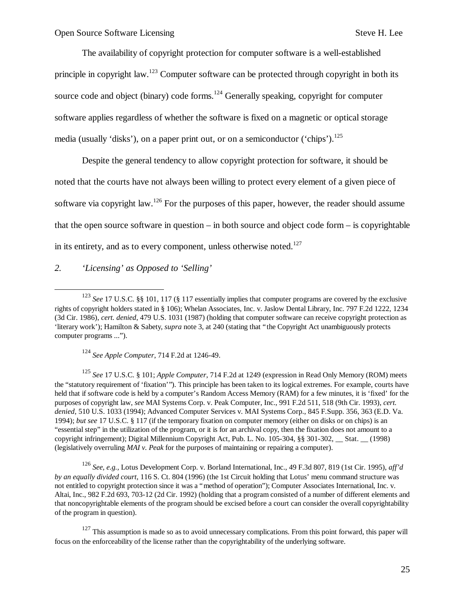The availability of copyright protection for computer software is a well-established principle in copyright law.<sup>123</sup> Computer software can be protected through copyright in both its source code and object (binary) code forms.<sup>124</sup> Generally speaking, copyright for computer software applies regardless of whether the software is fixed on a magnetic or optical storage media (usually 'disks'), on a paper print out, or on a semiconductor ('chips').<sup>125</sup>

Despite the general tendency to allow copyright protection for software, it should be noted that the courts have not always been willing to protect every element of a given piece of software via copyright law.<sup>126</sup> For the purposes of this paper, however, the reader should assume that the open source software in question – in both source and object code form – is copyrightable in its entirety, and as to every component, unless otherwise noted. $127$ 

#### *2. 'Licensing' as Opposed to 'Selling'*

-

<sup>124</sup> *See Apple Computer*, 714 F.2d at 1246-49.

<sup>125</sup> *See* 17 U.S.C. § 101; *Apple Computer*, 714 F.2d at 1249 (expression in Read Only Memory (ROM) meets the "statutory requirement of 'fixation'"). This principle has been taken to its logical extremes. For example, courts have held that if software code is held by a computer's Random Access Memory (RAM) for a few minutes, it is 'fixed' for the purposes of copyright law, *see* MAI Systems Corp. v. Peak Computer, Inc., 991 F.2d 511, 518 (9th Cir. 1993), *cert. denied*, 510 U.S. 1033 (1994); Advanced Computer Services v. MAI Systems Corp., 845 F.Supp. 356, 363 (E.D. Va. 1994); *but see* 17 U.S.C. § 117 (if the temporary fixation on computer memory (either on disks or on chips) is an "essential step" in the utilization of the program, or it is for an archival copy, then the fixation does not amount to a copyright infringement); Digital Millennium Copyright Act, Pub. L. No. 105-304, §§ 301-302, \_\_ Stat. \_\_ (1998) (legislatively overruling *MAI v. Peak* for the purposes of maintaining or repairing a computer).

<sup>126</sup> *See, e.g.,* Lotus Development Corp. v. Borland International, Inc., 49 F.3d 807, 819 (1st Cir. 1995), *aff'd by an equally divided court*, 116 S. Ct. 804 (1996) (the 1st Circuit holding that Lotus' menu command structure was not entitled to copyright protection since it was a "method of operation"); Computer Associates International, Inc. v. Altai, Inc., 982 F.2d 693, 703-12 (2d Cir. 1992) (holding that a program consisted of a number of different elements and that noncopyrightable elements of the program should be excised before a court can consider the overall copyrightability of the program in question).

<sup>127</sup> This assumption is made so as to avoid unnecessary complications. From this point forward, this paper will focus on the enforceability of the license rather than the copyrightability of the underlying software.

<sup>123</sup> *See* 17 U.S.C. §§ 101, 117 (§ 117 essentially implies that computer programs are covered by the exclusive rights of copyright holders stated in § 106); Whelan Associates, Inc. v. Jaslow Dental Library, Inc. 797 F.2d 1222, 1234 (3d Cir. 1986), *cert. denied*, 479 U.S. 1031 (1987) (holding that computer software can receive copyright protection as 'literary work'); Hamilton & Sabety, *supra* note 3, at 240 (stating that "the Copyright Act unambiguously protects computer programs ...").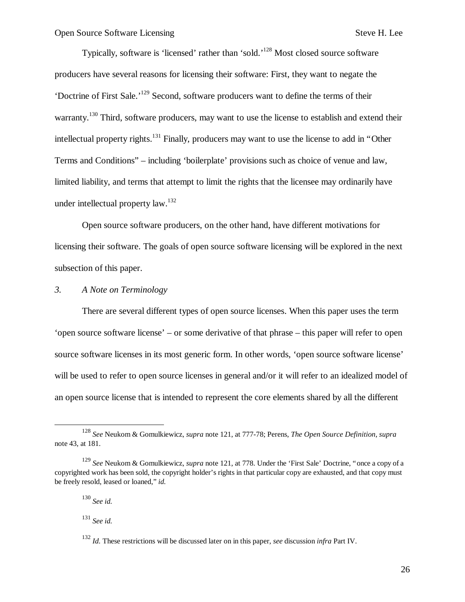Typically, software is 'licensed' rather than 'sold.<sup>'128</sup> Most closed source software producers have several reasons for licensing their software: First, they want to negate the 'Doctrine of First Sale.' <sup>129</sup> Second, software producers want to define the terms of their warranty.<sup>130</sup> Third, software producers, may want to use the license to establish and extend their intellectual property rights.<sup>131</sup> Finally, producers may want to use the license to add in "Other Terms and Conditions" – including 'boilerplate' provisions such as choice of venue and law, limited liability, and terms that attempt to limit the rights that the licensee may ordinarily have under intellectual property law.<sup>132</sup>

Open source software producers, on the other hand, have different motivations for licensing their software. The goals of open source software licensing will be explored in the next subsection of this paper.

#### *3. A Note on Terminology*

There are several different types of open source licenses. When this paper uses the term 'open source software license' – or some derivative of that phrase – this paper will refer to open source software licenses in its most generic form. In other words, 'open source software license' will be used to refer to open source licenses in general and/or it will refer to an idealized model of an open source license that is intended to represent the core elements shared by all the different

1

<sup>128</sup> *See* Neukom & Gomulkiewicz, *supra* note 121, at 777-78; Perens, *The Open Source Definition*, *supra* note 43, at 181.

<sup>129</sup> *See* Neukom & Gomulkiewicz, *supra* note 121, at 778. Under the 'First Sale' Doctrine, "once a copy of a copyrighted work has been sold, the copyright holder's rights in that particular copy are exhausted, and that copy must be freely resold, leased or loaned," *id.*

<sup>130</sup> *See id.*

<sup>131</sup> *See id.*

<sup>132</sup> *Id.* These restrictions will be discussed later on in this paper, *see* discussion *infra* Part IV.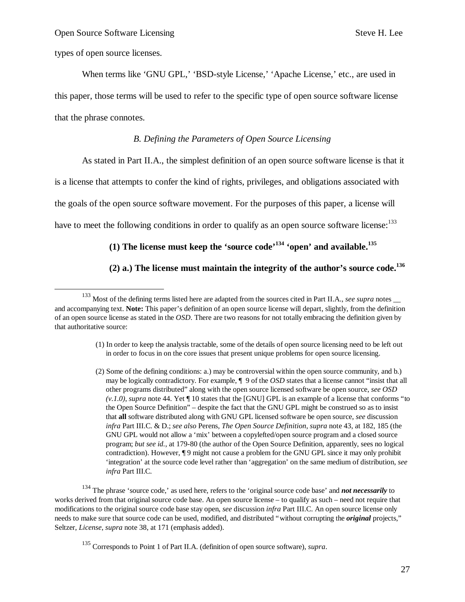types of open source licenses.

 $\overline{a}$ 

When terms like 'GNU GPL,' 'BSD-style License,' 'Apache License,' etc., are used in this paper, those terms will be used to refer to the specific type of open source software license that the phrase connotes.

#### *B. Defining the Parameters of Open Source Licensing*

As stated in Part II.A., the simplest definition of an open source software license is that it

is a license that attempts to confer the kind of rights, privileges, and obligations associated with

the goals of the open source software movement. For the purposes of this paper, a license will

have to meet the following conditions in order to qualify as an open source software license:  $133$ 

## **(1) The license must keep the 'source code' <sup>134</sup> 'open' and available.<sup>135</sup>**

#### **(2) a.) The license must maintain the integrity of the author's source code.<sup>136</sup>**

- (1) In order to keep the analysis tractable, some of the details of open source licensing need to be left out in order to focus in on the core issues that present unique problems for open source licensing.
- (2) Some of the defining conditions: a.) may be controversial within the open source community, and b.) may be logically contradictory. For example, ¶ 9 of the *OSD* states that a license cannot "insist that all other programs distributed" along with the open source licensed software be open source, *see OSD (v.1.0)*, *supra* note 44. Yet ¶ 10 states that the [GNU] GPL is an example of a license that conforms "to the Open Source Definition" – despite the fact that the GNU GPL might be construed so as to insist that **all** software distributed along with GNU GPL licensed software be open source, *see* discussion *infra* Part III.C. & D.; *see also* Perens, *The Open Source Definition*, *supra* note 43, at 182, 185 (the GNU GPL would not allow a 'mix' between a copylefted/open source program and a closed source program; *but see id.*, at 179-80 (the author of the Open Source Definition, apparently, sees no logical contradiction). However, ¶ 9 might not cause a problem for the GNU GPL since it may only prohibit 'integration' at the source code level rather than 'aggregation' on the same medium of distribution, *see infra* Part III.C.

<sup>134</sup> The phrase 'source code,' as used here, refers to the 'original source code base' and *not necessarily* to works derived from that original source code base. An open source license – to qualify as such – need not require that modifications to the original source code base stay open, *see* discussion *infra* Part III.C. An open source license only needs to make sure that source code can be used, modified, and distributed "without corrupting the *original* projects," Seltzer, *License*, *supra* note 38, at 171 (emphasis added).

<sup>&</sup>lt;sup>133</sup> Most of the defining terms listed here are adapted from the sources cited in Part II.A., *see supra* notes and accompanying text. **Note:** This paper's definition of an open source license will depart, slightly, from the definition of an open source license as stated in the *OSD*. There are two reasons for not totally embracing the definition given by that authoritative source:

<sup>135</sup> Corresponds to Point 1 of Part II.A. (definition of open source software), *supra*.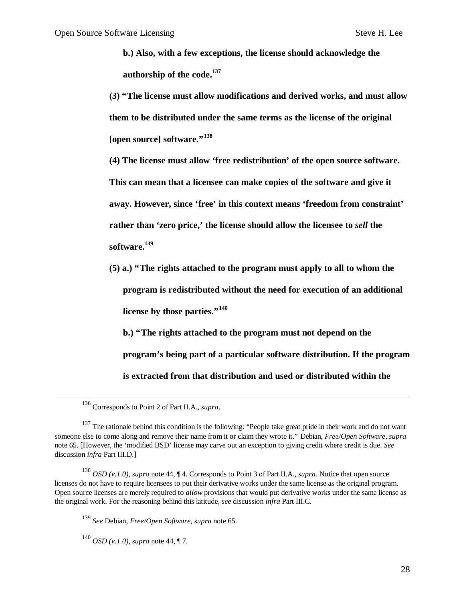**b.) Also, with a few exceptions, the license should acknowledge the authorship of the code.<sup>137</sup>**

**(3) "The license must allow modifications and derived works, and must allow them to be distributed under the same terms as the license of the original [open source] software."<sup>138</sup>**

**(4) The license must allow 'free redistribution' of the open source software.** 

**This can mean that a licensee can make copies of the software and give it** 

**away. However, since 'free' in this context means 'freedom from constraint'** 

**rather than 'zero price,' the license should allow the licensee to** *sell* **the** 

**software.<sup>139</sup>**

**(5) a.) "The rights attached to the program must apply to all to whom the program is redistributed without the need for execution of an additional license by those parties."<sup>140</sup>**

**b.) "The rights attached to the program must not depend on the program's being part of a particular software distribution. If the program** 

**is extracted from that distribution and used or distributed within the** 

 $\overline{a}$ 

<sup>139</sup> *See* Debian, *Free/Open Software*, *supra* note 65.

<sup>140</sup> *OSD (v.1.0)*, *supra* note 44, ¶ 7.

<sup>136</sup> Corresponds to Point 2 of Part II.A., *supra*.

<sup>&</sup>lt;sup>137</sup> The rationale behind this condition is the following: "People take great pride in their work and do not want someone else to come along and remove their name from it or claim they wrote it." Debian, *Free/Open Software*, *supra* note 65. [However, the 'modified BSD' license may carve out an exception to giving credit where credit is due. *See* discussion *infra* Part III.D.]

<sup>138</sup> *OSD (v.1.0)*, *supra* note 44, ¶ 4. Corresponds to Point 3 of Part II.A., *supra*. Notice that open source licenses do not have to require licensees to put their derivative works under the same license as the original program. Open source licenses are merely required to *allow* provisions that would put derivative works under the same license as the original work. For the reasoning behind this latitude, *see* discussion *infra* Part III.C.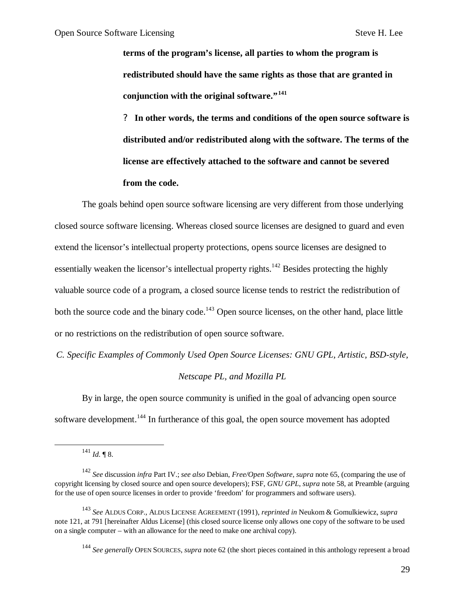**terms of the program's license, all parties to whom the program is redistributed should have the same rights as those that are granted in conjunction with the original software."<sup>141</sup>**

**? In other words, the terms and conditions of the open source software is distributed and/or redistributed along with the software. The terms of the license are effectively attached to the software and cannot be severed from the code.**

The goals behind open source software licensing are very different from those underlying closed source software licensing. Whereas closed source licenses are designed to guard and even extend the licensor's intellectual property protections, opens source licenses are designed to essentially weaken the licensor's intellectual property rights.<sup>142</sup> Besides protecting the highly valuable source code of a program, a closed source license tends to restrict the redistribution of both the source code and the binary code.<sup>143</sup> Open source licenses, on the other hand, place little or no restrictions on the redistribution of open source software.

*C. Specific Examples of Commonly Used Open Source Licenses: GNU GPL, Artistic, BSD-style,* 

#### *Netscape PL, and Mozilla PL*

By in large, the open source community is unified in the goal of advancing open source software development.<sup>144</sup> In furtherance of this goal, the open source movement has adopted

1

<sup>144</sup> *See generally* OPEN SOURCES, *supra* note 62 (the short pieces contained in this anthology represent a broad

 $141$  *Id.* ¶ 8.

<sup>142</sup> *See* discussion *infra* Part IV.; *see also* Debian, *Free/Open Software*, *supra* note 65, (comparing the use of copyright licensing by closed source and open source developers); FSF, *GNU GPL*, *supra* note 58, at Preamble (arguing for the use of open source licenses in order to provide 'freedom' for programmers and software users).

<sup>143</sup> *See* ALDUS CORP., ALDUS LICENSE AGREEMENT (1991), *reprinted in* Neukom & Gomulkiewicz, *supra* note 121, at 791 [hereinafter Aldus License] (this closed source license only allows one copy of the software to be used on a single computer – with an allowance for the need to make one archival copy).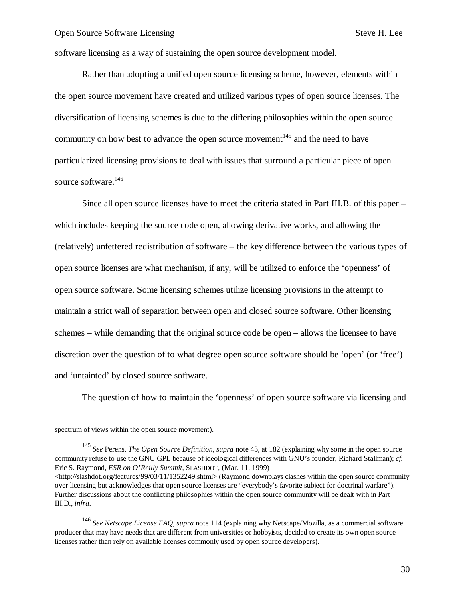software licensing as a way of sustaining the open source development model.

Rather than adopting a unified open source licensing scheme, however, elements within the open source movement have created and utilized various types of open source licenses. The diversification of licensing schemes is due to the differing philosophies within the open source community on how best to advance the open source movement<sup>145</sup> and the need to have particularized licensing provisions to deal with issues that surround a particular piece of open source software.<sup>146</sup>

Since all open source licenses have to meet the criteria stated in Part III.B. of this paper – which includes keeping the source code open, allowing derivative works, and allowing the (relatively) unfettered redistribution of software – the key difference between the various types of open source licenses are what mechanism, if any, will be utilized to enforce the 'openness' of open source software. Some licensing schemes utilize licensing provisions in the attempt to maintain a strict wall of separation between open and closed source software. Other licensing schemes – while demanding that the original source code be open – allows the licensee to have discretion over the question of to what degree open source software should be 'open' (or 'free') and 'untainted' by closed source software.

The question of how to maintain the 'openness' of open source software via licensing and

 $\overline{a}$ 

III.D., *infra*.

<sup>145</sup> *See* Perens, *The Open Source Definition*, *supra* note 43, at 182 (explaining why some in the open source community refuse to use the GNU GPL because of ideological differences with GNU's founder, Richard Stallman); *cf.* Eric S. Raymond, *ESR on O'Reilly Summit*, SLASHDOT, (Mar. 11, 1999) <http://slashdot.org/features/99/03/11/1352249.shtml> (Raymond downplays clashes within the open source community over licensing but acknowledges that open source licenses are "everybody's favorite subject for doctrinal warfare"). Further discussions about the conflicting philosophies within the open source community will be dealt with in Part

<sup>146</sup> *See Netscape License FAQ*, *supra* note 114 (explaining why Netscape/Mozilla, as a commercial software producer that may have needs that are different from universities or hobbyists, decided to create its own open source licenses rather than rely on available licenses commonly used by open source developers).

spectrum of views within the open source movement).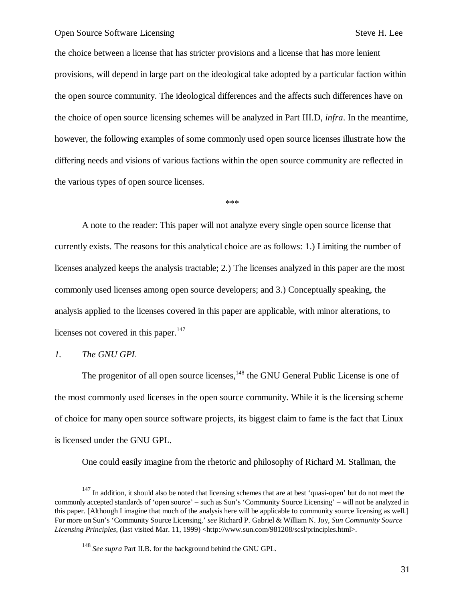the choice between a license that has stricter provisions and a license that has more lenient provisions, will depend in large part on the ideological take adopted by a particular faction within the open source community. The ideological differences and the affects such differences have on the choice of open source licensing schemes will be analyzed in Part III.D, *infra*. In the meantime, however, the following examples of some commonly used open source licenses illustrate how the differing needs and visions of various factions within the open source community are reflected in the various types of open source licenses.

\*\*\*

A note to the reader: This paper will not analyze every single open source license that currently exists. The reasons for this analytical choice are as follows: 1.) Limiting the number of licenses analyzed keeps the analysis tractable; 2.) The licenses analyzed in this paper are the most commonly used licenses among open source developers; and 3.) Conceptually speaking, the analysis applied to the licenses covered in this paper are applicable, with minor alterations, to licenses not covered in this paper. $147$ 

#### *1. The GNU GPL*

 $\overline{a}$ 

The progenitor of all open source licenses,<sup>148</sup> the GNU General Public License is one of the most commonly used licenses in the open source community. While it is the licensing scheme of choice for many open source software projects, its biggest claim to fame is the fact that Linux is licensed under the GNU GPL.

One could easily imagine from the rhetoric and philosophy of Richard M. Stallman, the

<sup>&</sup>lt;sup>147</sup> In addition, it should also be noted that licensing schemes that are at best 'quasi-open' but do not meet the commonly accepted standards of 'open source' – such as Sun's 'Community Source Licensing' – will not be analyzed in this paper. [Although I imagine that much of the analysis here will be applicable to community source licensing as well.] For more on Sun's 'Community Source Licensing,' *see* Richard P. Gabriel & William N. Joy, *Sun Community Source Licensing Principles*, (last visited Mar. 11, 1999) <http://www.sun.com/981208/scsl/principles.html>.

<sup>148</sup> *See supra* Part II.B. for the background behind the GNU GPL.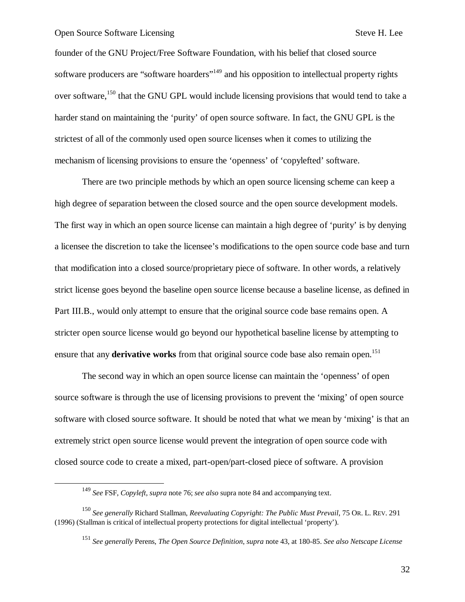$\overline{a}$ 

founder of the GNU Project/Free Software Foundation, with his belief that closed source software producers are "software hoarders"<sup>149</sup> and his opposition to intellectual property rights over software,<sup>150</sup> that the GNU GPL would include licensing provisions that would tend to take a harder stand on maintaining the 'purity' of open source software. In fact, the GNU GPL is the strictest of all of the commonly used open source licenses when it comes to utilizing the mechanism of licensing provisions to ensure the 'openness' of 'copylefted' software.

There are two principle methods by which an open source licensing scheme can keep a high degree of separation between the closed source and the open source development models. The first way in which an open source license can maintain a high degree of 'purity' is by denying a licensee the discretion to take the licensee's modifications to the open source code base and turn that modification into a closed source/proprietary piece of software. In other words, a relatively strict license goes beyond the baseline open source license because a baseline license, as defined in Part III.B., would only attempt to ensure that the original source code base remains open. A stricter open source license would go beyond our hypothetical baseline license by attempting to ensure that any **derivative works** from that original source code base also remain open.<sup>151</sup>

The second way in which an open source license can maintain the 'openness' of open source software is through the use of licensing provisions to prevent the 'mixing' of open source software with closed source software. It should be noted that what we mean by 'mixing' is that an extremely strict open source license would prevent the integration of open source code with closed source code to create a mixed, part-open/part-closed piece of software. A provision

<sup>149</sup> *See* FSF, *Copyleft*, *supra* note 76; *see also* supra note 84 and accompanying text.

<sup>150</sup> *See generally* Richard Stallman, *Reevaluating Copyright: The Public Must Prevail*, 75 OR. L. REV. 291 (1996) (Stallman is critical of intellectual property protections for digital intellectual 'property').

<sup>151</sup> *See generally* Perens, *The Open Source Definition*, *supra* note 43, at 180-85. *See also Netscape License*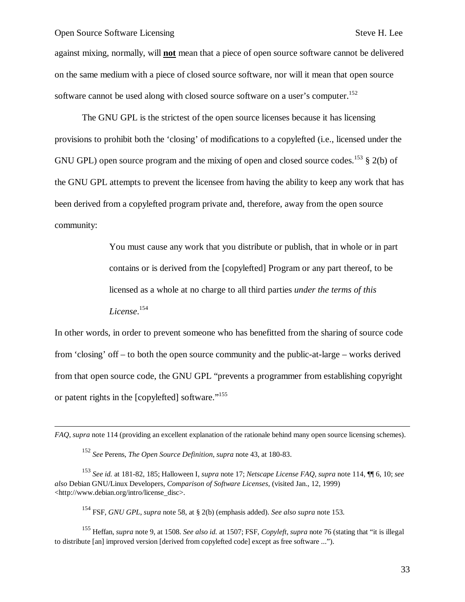-

against mixing, normally, will **not** mean that a piece of open source software cannot be delivered on the same medium with a piece of closed source software, nor will it mean that open source software cannot be used along with closed source software on a user's computer.<sup>152</sup>

The GNU GPL is the strictest of the open source licenses because it has licensing provisions to prohibit both the 'closing' of modifications to a copylefted (i.e., licensed under the GNU GPL) open source program and the mixing of open and closed source codes.<sup>153</sup> § 2(b) of the GNU GPL attempts to prevent the licensee from having the ability to keep any work that has been derived from a copylefted program private and, therefore, away from the open source community:

> You must cause any work that you distribute or publish, that in whole or in part contains or is derived from the [copylefted] Program or any part thereof, to be licensed as a whole at no charge to all third parties *under the terms of this License*. 154

In other words, in order to prevent someone who has benefitted from the sharing of source code from 'closing' off – to both the open source community and the public-at-large – works derived from that open source code, the GNU GPL "prevents a programmer from establishing copyright or patent rights in the [copylefted] software."<sup>155</sup>

<sup>154</sup> FSF, *GNU GPL*, *supra* note 58, at § 2(b) (emphasis added). *See also supra* note 153.

<sup>155</sup> Heffan, *supra* note 9, at 1508. *See also id.* at 1507; FSF, *Copyleft*, *supra* note 76 (stating that "it is illegal to distribute [an] improved version [derived from copylefted code] except as free software ...").

*FAQ*, *supra* note 114 (providing an excellent explanation of the rationale behind many open source licensing schemes).

<sup>152</sup> *See* Perens, *The Open Source Definition*, *supra* note 43, at 180-83.

<sup>153</sup> *See id.* at 181-82, 185; Halloween I, *supra* note 17; *Netscape License FAQ*, *supra* note 114, ¶¶ 6, 10; *see also* Debian GNU/Linux Developers, *Comparison of Software Licenses*, (visited Jan., 12, 1999) <http://www.debian.org/intro/license\_disc>.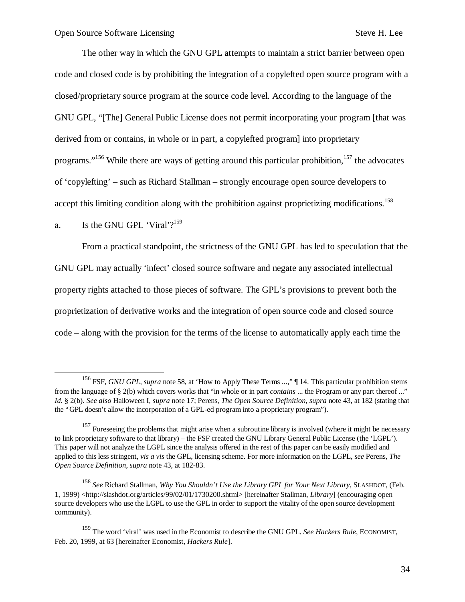The other way in which the GNU GPL attempts to maintain a strict barrier between open code and closed code is by prohibiting the integration of a copylefted open source program with a closed/proprietary source program at the source code level. According to the language of the GNU GPL, "[The] General Public License does not permit incorporating your program [that was derived from or contains, in whole or in part, a copylefted program] into proprietary programs."<sup>156</sup> While there are ways of getting around this particular prohibition,<sup>157</sup> the advocates of 'copylefting' – such as Richard Stallman – strongly encourage open source developers to accept this limiting condition along with the prohibition against proprietizing modifications.<sup>158</sup>

## a. Is the GNU GPL 'Viral'? $159$

 $\overline{\phantom{a}}$ 

From a practical standpoint, the strictness of the GNU GPL has led to speculation that the GNU GPL may actually 'infect' closed source software and negate any associated intellectual property rights attached to those pieces of software. The GPL's provisions to prevent both the proprietization of derivative works and the integration of open source code and closed source code – along with the provision for the terms of the license to automatically apply each time the

<sup>&</sup>lt;sup>156</sup> FSF, *GNU GPL*, *supra* note 58, at 'How to Apply These Terms ...," [14. This particular prohibition stems from the language of § 2(b) which covers works that "in whole or in part *contains* ... the Program or any part thereof ..." *Id.* § 2(b). *See also* Halloween I, *supra* note 17; Perens, *The Open Source Definition*, *supra* note 43, at 182 (stating that the "GPL doesn't allow the incorporation of a GPL-ed program into a proprietary program").

<sup>&</sup>lt;sup>157</sup> Foreseeing the problems that might arise when a subroutine library is involved (where it might be necessary to link proprietary software to that library) – the FSF created the GNU Library General Public License (the 'LGPL'). This paper will not analyze the LGPL since the analysis offered in the rest of this paper can be easily modified and applied to this less stringent, *vis a vis* the GPL, licensing scheme. For more information on the LGPL, *see* Perens, *The Open Source Definition*, *supra* note 43, at 182-83.

<sup>158</sup> *See* Richard Stallman, *Why You Shouldn't Use the Library GPL for Your Next Library*, SLASHDOT, (Feb. 1, 1999) <http://slashdot.org/articles/99/02/01/1730200.shtml> [hereinafter Stallman, *Library*] (encouraging open source developers who use the LGPL to use the GPL in order to support the vitality of the open source development community).

<sup>159</sup> The word 'viral' was used in the Economist to describe the GNU GPL. *See Hackers Rule*, ECONOMIST, Feb. 20, 1999, at 63 [hereinafter Economist, *Hackers Rule*].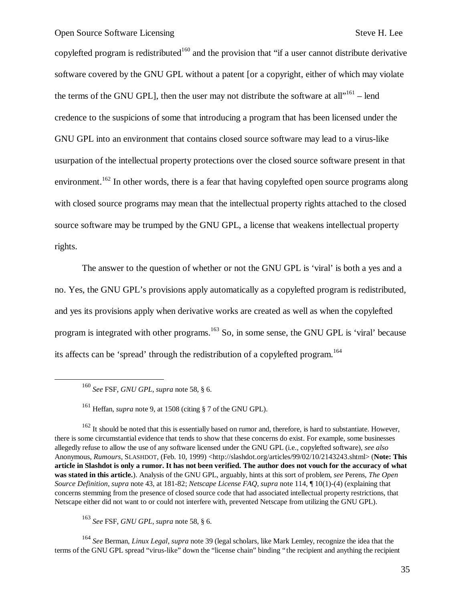copylefted program is redistributed<sup>160</sup> and the provision that "if a user cannot distribute derivative software covered by the GNU GPL without a patent [or a copyright, either of which may violate the terms of the GNU GPL], then the user may not distribute the software at all $10^{161}$  – lend credence to the suspicions of some that introducing a program that has been licensed under the GNU GPL into an environment that contains closed source software may lead to a virus-like usurpation of the intellectual property protections over the closed source software present in that environment.<sup>162</sup> In other words, there is a fear that having copylefted open source programs along with closed source programs may mean that the intellectual property rights attached to the closed source software may be trumped by the GNU GPL, a license that weakens intellectual property rights.

The answer to the question of whether or not the GNU GPL is 'viral' is both a yes and a no. Yes, the GNU GPL's provisions apply automatically as a copylefted program is redistributed, and yes its provisions apply when derivative works are created as well as when the copylefted program is integrated with other programs.<sup>163</sup> So, in some sense, the GNU GPL is 'viral' because its affects can be 'spread' through the redistribution of a copylefted program.<sup>164</sup>

1

<sup>161</sup> Heffan, *supra* note 9, at 1508 (citing § 7 of the GNU GPL).

 $162$  It should be noted that this is essentially based on rumor and, therefore, is hard to substantiate. However, there is some circumstantial evidence that tends to show that these concerns do exist. For example, some businesses allegedly refuse to allow the use of any software licensed under the GNU GPL (i.e., copylefted software), *see also* Anonymous, *Rumours*, SLASHDOT, (Feb. 10, 1999) <http://slashdot.org/articles/99/02/10/2143243.shtml> (Note: This **article in Slashdot is only a rumor. It has not been verified. The author does not vouch for the accuracy of what was stated in this article.**). Analysis of the GNU GPL, arguably, hints at this sort of problem, *see* Perens, *The Open Source Definition*, *supra* note 43, at 181-82; *Netscape License FAQ*, *supra* note 114, ¶ 10(1)-(4) (explaining that concerns stemming from the presence of closed source code that had associated intellectual property restrictions, that Netscape either did not want to or could not interfere with, prevented Netscape from utilizing the GNU GPL).

<sup>163</sup> *See* FSF, *GNU GPL*, *supra* note 58, § 6.

<sup>164</sup> *See* Berman, *Linux Legal*, *supra* note 39 (legal scholars, like Mark Lemley, recognize the idea that the terms of the GNU GPL spread "virus-like" down the "license chain" binding "the recipient and anything the recipient

<sup>160</sup> *See* FSF, *GNU GPL*, *supra* note 58, § 6.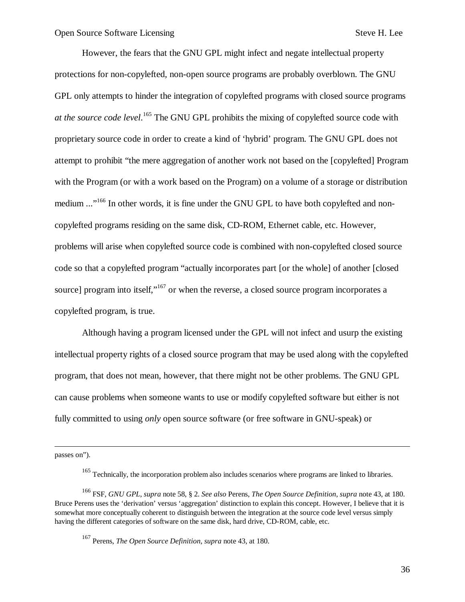However, the fears that the GNU GPL might infect and negate intellectual property protections for non-copylefted, non-open source programs are probably overblown. The GNU GPL only attempts to hinder the integration of copylefted programs with closed source programs *at the source code level*. <sup>165</sup> The GNU GPL prohibits the mixing of copylefted source code with proprietary source code in order to create a kind of 'hybrid' program. The GNU GPL does not attempt to prohibit "the mere aggregation of another work not based on the [copylefted] Program with the Program (or with a work based on the Program) on a volume of a storage or distribution medium ..."<sup>166</sup> In other words, it is fine under the GNU GPL to have both copylefted and noncopylefted programs residing on the same disk, CD-ROM, Ethernet cable, etc. However, problems will arise when copylefted source code is combined with non-copylefted closed source code so that a copylefted program "actually incorporates part [or the whole] of another [closed source] program into itself,  $\frac{167}{167}$  or when the reverse, a closed source program incorporates a copylefted program, is true.

Although having a program licensed under the GPL will not infect and usurp the existing intellectual property rights of a closed source program that may be used along with the copylefted program, that does not mean, however, that there might not be other problems. The GNU GPL can cause problems when someone wants to use or modify copylefted software but either is not fully committed to using *only* open source software (or free software in GNU-speak) or

passes on").

1

<sup>&</sup>lt;sup>165</sup> Technically, the incorporation problem also includes scenarios where programs are linked to libraries.

<sup>166</sup> FSF, *GNU GPL*, *supra* note 58, § 2. *See also* Perens, *The Open Source Definition*, *supra* note 43, at 180. Bruce Perens uses the 'derivation' versus 'aggregation' distinction to explain this concept. However, I believe that it is somewhat more conceptually coherent to distinguish between the integration at the source code level versus simply having the different categories of software on the same disk, hard drive, CD-ROM, cable, etc.

<sup>167</sup> Perens, *The Open Source Definition*, *supra* note 43, at 180.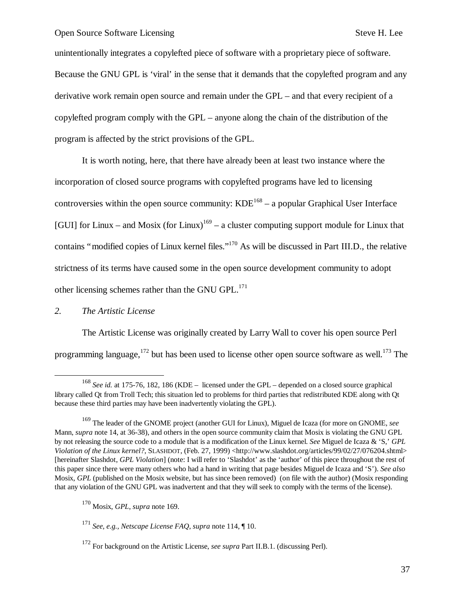unintentionally integrates a copylefted piece of software with a proprietary piece of software. Because the GNU GPL is 'viral' in the sense that it demands that the copylefted program and any derivative work remain open source and remain under the GPL – and that every recipient of a copylefted program comply with the GPL – anyone along the chain of the distribution of the program is affected by the strict provisions of the GPL.

It is worth noting, here, that there have already been at least two instance where the incorporation of closed source programs with copylefted programs have led to licensing controversies within the open source community:  $KDE^{168} - a$  popular Graphical User Interface [GUI] for Linux – and Mosix (for Linux)<sup>169</sup> – a cluster computing support module for Linux that contains "modified copies of Linux kernel files."<sup>170</sup> As will be discussed in Part III.D., the relative strictness of its terms have caused some in the open source development community to adopt other licensing schemes rather than the GNU GPL $^{171}$ 

# *2. The Artistic License*

1

The Artistic License was originally created by Larry Wall to cover his open source Perl programming language,  $172$  but has been used to license other open source software as well.<sup>173</sup> The

<sup>168</sup> *See id.* at 175-76, 182, 186 (KDE – licensed under the GPL – depended on a closed source graphical library called Qt from Troll Tech; this situation led to problems for third parties that redistributed KDE along with Qt because these third parties may have been inadvertently violating the GPL).

<sup>169</sup> The leader of the GNOME project (another GUI for Linux), Miguel de Icaza (for more on GNOME, *see* Mann, *supra* note 14, at 36-38), and others in the open source community claim that Mosix is violating the GNU GPL by not releasing the source code to a module that is a modification of the Linux kernel. *See* Miguel de Icaza & 'S,' *GPL Violation of the Linux kernel?*, SLASHDOT, (Feb. 27, 1999) <http://www.slashdot.org/articles/99/02/27/076204.shtml> [hereinafter Slashdot, *GPL Violation*] (note: I will refer to 'Slashdot' as the 'author' of this piece throughout the rest of this paper since there were many others who had a hand in writing that page besides Miguel de Icaza and 'S'). *See also* Mosix, *GPL* (published on the Mosix website, but has since been removed) (on file with the author) (Mosix responding that any violation of the GNU GPL was inadvertent and that they will seek to comply with the terms of the license).

<sup>170</sup> Mosix, *GPL*, *supra* note 169.

<sup>171</sup> *See, e.g., Netscape License FAQ*, *supra* note 114, ¶ 10.

<sup>172</sup> For background on the Artistic License, *see supra* Part II.B.1. (discussing Perl).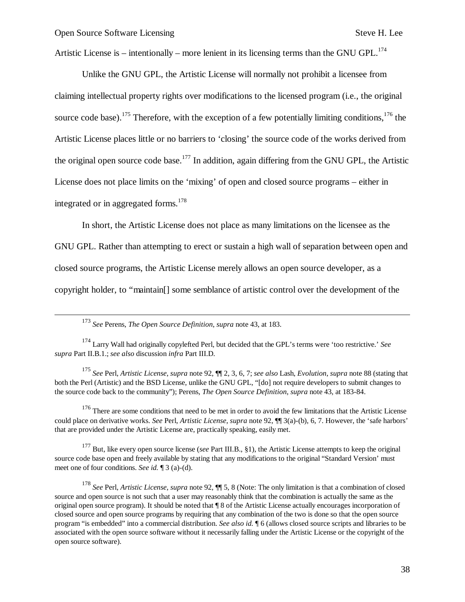1

Artistic License is – intentionally – more lenient in its licensing terms than the GNU GPL.<sup>174</sup>

Unlike the GNU GPL, the Artistic License will normally not prohibit a licensee from claiming intellectual property rights over modifications to the licensed program (i.e., the original source code base).<sup>175</sup> Therefore, with the exception of a few potentially limiting conditions,<sup>176</sup> the Artistic License places little or no barriers to 'closing' the source code of the works derived from the original open source code base.<sup>177</sup> In addition, again differing from the GNU GPL, the Artistic License does not place limits on the 'mixing' of open and closed source programs – either in integrated or in aggregated forms.<sup>178</sup>

In short, the Artistic License does not place as many limitations on the licensee as the GNU GPL. Rather than attempting to erect or sustain a high wall of separation between open and closed source programs, the Artistic License merely allows an open source developer, as a copyright holder, to "maintain[] some semblance of artistic control over the development of the

<sup>175</sup> *See* Perl, *Artistic License*, *supra* note 92, ¶¶ 2, 3, 6, 7; *see also* Lash, *Evolution*, *supra* note 88 (stating that both the Perl (Artistic) and the BSD License, unlike the GNU GPL, "[do] not require developers to submit changes to the source code back to the community"); Perens, *The Open Source Definition*, *supra* note 43, at 183-84.

 $176$  There are some conditions that need to be met in order to avoid the few limitations that the Artistic License could place on derivative works. *See* Perl, *Artistic License*, *supra* note 92, ¶¶ 3(a)-(b), 6, 7. However, the 'safe harbors' that are provided under the Artistic License are, practically speaking, easily met.

<sup>177</sup> But, like every open source license (*see* Part III.B., §1), the Artistic License attempts to keep the original source code base open and freely available by stating that any modifications to the original "Standard Version' must meet one of four conditions. *See id.* ¶ 3 (a)-(d).

<sup>178</sup> *See* Perl, *Artistic License*, *supra* note 92, ¶¶ 5, 8 (Note: The only limitation is that a combination of closed source and open source is not such that a user may reasonably think that the combination is actually the same as the original open source program). It should be noted that ¶ 8 of the Artistic License actually encourages incorporation of closed source and open source programs by requiring that any combination of the two is done so that the open source program "is embedded" into a commercial distribution. *See also id.* ¶ 6 (allows closed source scripts and libraries to be associated with the open source software without it necessarily falling under the Artistic License or the copyright of the open source software).

<sup>173</sup> *See* Perens, *The Open Source Definition*, *supra* note 43, at 183.

<sup>174</sup> Larry Wall had originally copylefted Perl, but decided that the GPL's terms were 'too restrictive.' *See supra* Part II.B.1.; *see also* discussion *infra* Part III.D.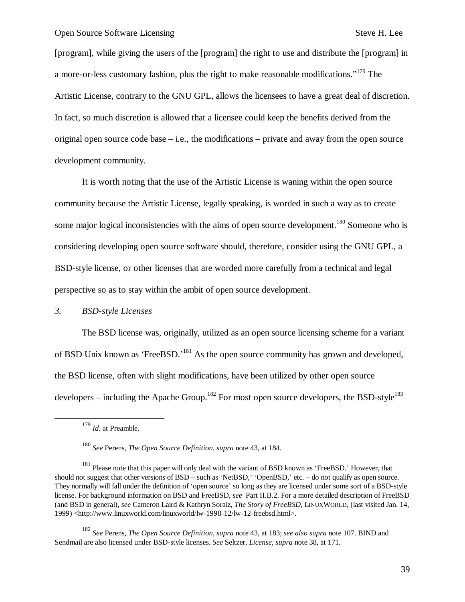[program], while giving the users of the [program] the right to use and distribute the [program] in a more-or-less customary fashion, plus the right to make reasonable modifications."<sup>179</sup> The Artistic License, contrary to the GNU GPL, allows the licensees to have a great deal of discretion. In fact, so much discretion is allowed that a licensee could keep the benefits derived from the original open source code base – i.e., the modifications – private and away from the open source development community.

It is worth noting that the use of the Artistic License is waning within the open source community because the Artistic License, legally speaking, is worded in such a way as to create some major logical inconsistencies with the aims of open source development.<sup>180</sup> Someone who is considering developing open source software should, therefore, consider using the GNU GPL, a BSD-style license, or other licenses that are worded more carefully from a technical and legal perspective so as to stay within the ambit of open source development.

## *3. BSD-style Licenses*

The BSD license was, originally, utilized as an open source licensing scheme for a variant of BSD Unix known as 'FreeBSD.'<sup>181</sup> As the open source community has grown and developed, the BSD license, often with slight modifications, have been utilized by other open source developers – including the Apache Group.<sup>182</sup> For most open source developers, the BSD-style<sup>183</sup>

 $\overline{a}$ 

<sup>182</sup> *See* Perens, *The Open Source Definition*, *supra* note 43, at 183; *see also supra* note 107. BIND and Sendmail are also licensed under BSD-style licenses. *See* Seltzer, *License*, *supra* note 38, at 171.

<sup>179</sup> *Id.* at Preamble.

<sup>180</sup> *See* Perens, *The Open Source Definition*, *supra* note 43, at 184.

<sup>&</sup>lt;sup>181</sup> Please note that this paper will only deal with the variant of BSD known as 'FreeBSD.' However, that should not suggest that other versions of BSD – such as 'NetBSD,' 'OpenBSD,' etc. – do not qualify as open source. They normally will fall under the definition of 'open source' so long as they are licensed under some sort of a BSD-style license. For background information on BSD and FreeBSD, *see* Part II.B.2. For a more detailed description of FreeBSD (and BSD in general), *see* Cameron Laird & Kathryn Soraiz, *The Story of FreeBSD*, LINUXWORLD, (last visited Jan. 14, 1999) <http://www.linuxworld.com/linuxworld/lw-1998-12/lw-12-freebsd.html>.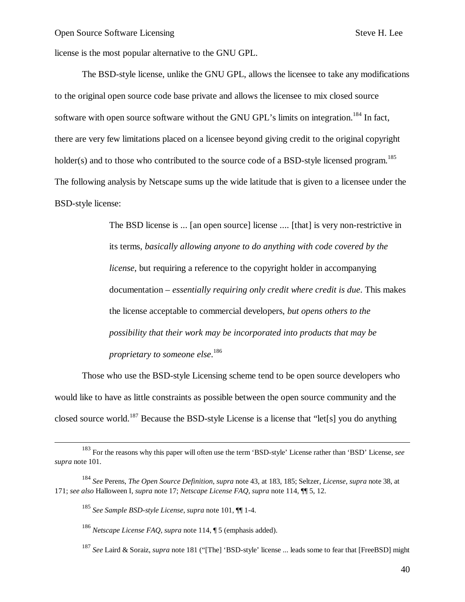license is the most popular alternative to the GNU GPL.

The BSD-style license, unlike the GNU GPL, allows the licensee to take any modifications to the original open source code base private and allows the licensee to mix closed source software with open source software without the GNU GPL's limits on integration.<sup>184</sup> In fact, there are very few limitations placed on a licensee beyond giving credit to the original copyright holder(s) and to those who contributed to the source code of a BSD-style licensed program.<sup>185</sup> The following analysis by Netscape sums up the wide latitude that is given to a licensee under the BSD-style license:

> The BSD license is ... [an open source] license .... [that] is very non-restrictive in its terms, *basically allowing anyone to do anything with code covered by the license*, but requiring a reference to the copyright holder in accompanying documentation – *essentially requiring only credit where credit is due*. This makes the license acceptable to commercial developers, *but opens others to the possibility that their work may be incorporated into products that may be proprietary to someone else*. 186

Those who use the BSD-style Licensing scheme tend to be open source developers who would like to have as little constraints as possible between the open source community and the closed source world.<sup>187</sup> Because the BSD-style License is a license that "let<sup>[s]</sup> you do anything

-

<sup>183</sup> For the reasons why this paper will often use the term 'BSD-style' License rather than 'BSD' License, *see supra* note 101.

<sup>184</sup> *See* Perens, *The Open Source Definition*, *supra* note 43, at 183, 185; Seltzer, *License*, *supra* note 38, at 171; *see also* Halloween I, *supra* note 17; *Netscape License FAQ*, *supra* note 114, ¶¶ 5, 12.

<sup>185</sup> *See Sample BSD-style License*, *supra* note 101, ¶¶ 1-4.

<sup>186</sup> *Netscape License FAQ*, *supra* note 114, ¶ 5 (emphasis added).

<sup>187</sup> *See* Laird & Soraiz, *supra* note 181 ("[The] 'BSD-style' license ... leads some to fear that [FreeBSD] might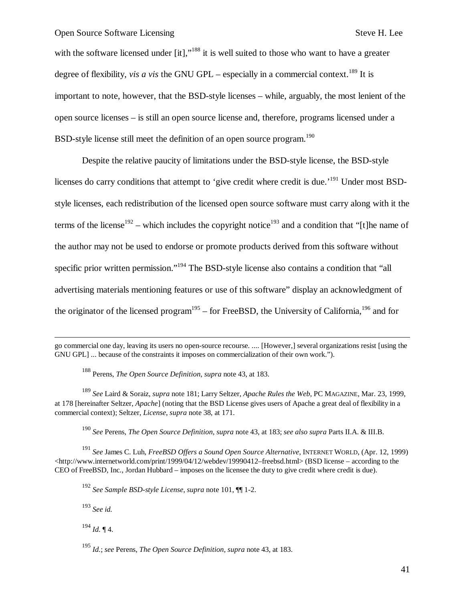with the software licensed under  $[it]$ ,"<sup>188</sup> it is well suited to those who want to have a greater degree of flexibility, *vis a vis* the GNU GPL – especially in a commercial context.<sup>189</sup> It is important to note, however, that the BSD-style licenses – while, arguably, the most lenient of the open source licenses – is still an open source license and, therefore, programs licensed under a BSD-style license still meet the definition of an open source program.<sup>190</sup>

Despite the relative paucity of limitations under the BSD-style license, the BSD-style licenses do carry conditions that attempt to 'give credit where credit is due.'<sup>191</sup> Under most BSDstyle licenses, each redistribution of the licensed open source software must carry along with it the terms of the license<sup>192</sup> – which includes the copyright notice<sup>193</sup> and a condition that "[t]he name of the author may not be used to endorse or promote products derived from this software without specific prior written permission."<sup>194</sup> The BSD-style license also contains a condition that "all advertising materials mentioning features or use of this software" display an acknowledgment of the originator of the licensed program<sup>195</sup> – for FreeBSD, the University of California, <sup>196</sup> and for

go commercial one day, leaving its users no open-source recourse. .... [However,] several organizations resist [using the GNU GPL] ... because of the constraints it imposes on commercialization of their own work.").

<sup>188</sup> Perens, *The Open Source Definition*, *supra* note 43, at 183.

<sup>189</sup> *See* Laird & Soraiz, *supra* note 181; Larry Seltzer, *Apache Rules the Web*, PC MAGAZINE, Mar. 23, 1999, at 178 [hereinafter Seltzer, *Apache*] (noting that the BSD License gives users of Apache a great deal of flexibility in a commercial context); Seltzer, *License*, *supra* note 38, at 171.

<sup>190</sup> *See* Perens, *The Open Source Definition*, *supra* note 43, at 183; *see also supra* Parts II.A. & III.B.

<sup>191</sup> *See* James C. Luh, *FreeBSD Offers a Sound Open Source Alternative*, INTERNET WORLD, (Apr. 12, 1999)  $\lt$ http://www.internetworld.com/print/1999/04/12/webdev/19990412–freebsd.html> (BSD license – according to the CEO of FreeBSD, Inc., Jordan Hubbard – imposes on the licensee the duty to give credit where credit is due).

<sup>192</sup> *See Sample BSD-style License*, *supra* note 101, ¶¶ 1-2.

<sup>193</sup> *See id.*

1

 $^{194}$  *Id.* ¶ 4.

<sup>195</sup> *Id.*; *see* Perens, *The Open Source Definition*, *supra* note 43, at 183.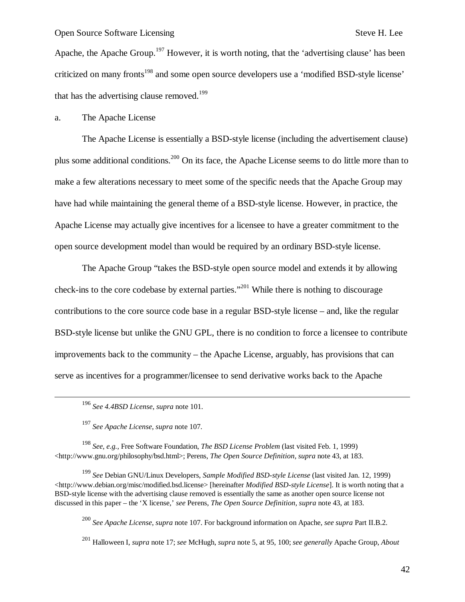Apache, the Apache Group.<sup>197</sup> However, it is worth noting, that the 'advertising clause' has been criticized on many fronts<sup>198</sup> and some open source developers use a 'modified BSD-style license' that has the advertising clause removed.<sup>199</sup>

a. The Apache License

The Apache License is essentially a BSD-style license (including the advertisement clause) plus some additional conditions.<sup>200</sup> On its face, the Apache License seems to do little more than to make a few alterations necessary to meet some of the specific needs that the Apache Group may have had while maintaining the general theme of a BSD-style license. However, in practice, the Apache License may actually give incentives for a licensee to have a greater commitment to the open source development model than would be required by an ordinary BSD-style license.

The Apache Group "takes the BSD-style open source model and extends it by allowing check-ins to the core codebase by external parties."<sup>201</sup> While there is nothing to discourage contributions to the core source code base in a regular BSD-style license – and, like the regular BSD-style license but unlike the GNU GPL, there is no condition to force a licensee to contribute improvements back to the community – the Apache License, arguably, has provisions that can serve as incentives for a programmer/licensee to send derivative works back to the Apache

-

<sup>198</sup> *See, e.g.,* Free Software Foundation, *The BSD License Problem* (last visited Feb. 1, 1999) <http://www.gnu.org/philosophy/bsd.html>; Perens, *The Open Source Definition*, *supra* note 43, at 183.

<sup>199</sup> *See* Debian GNU/Linux Developers, *Sample Modified BSD-style License* (last visited Jan. 12, 1999) <http://www.debian.org/misc/modified.bsd.license> [hereinafter *Modified BSD-style License*]. It is worth noting that a BSD-style license with the advertising clause removed is essentially the same as another open source license not discussed in this paper – the 'X license,' *see* Perens, *The Open Source Definition*, *supra* note 43, at 183.

<sup>200</sup> *See Apache License*, *supra* note 107. For background information on Apache, *see supra* Part II.B.2.

<sup>196</sup> *See 4.4BSD License*, *supra* note 101.

<sup>197</sup> *See Apache License*, *supra* note 107.

<sup>201</sup> Halloween I, *supra* note 17; *see* McHugh, *supra* note 5, at 95, 100; *see generally* Apache Group, *About*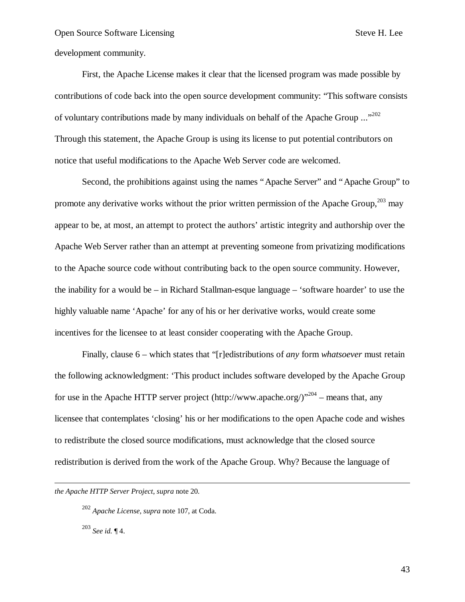development community.

First, the Apache License makes it clear that the licensed program was made possible by contributions of code back into the open source development community: "This software consists of voluntary contributions made by many individuals on behalf of the Apache Group ..."<sup>202</sup> Through this statement, the Apache Group is using its license to put potential contributors on notice that useful modifications to the Apache Web Server code are welcomed.

Second, the prohibitions against using the names "Apache Server" and "Apache Group" to promote any derivative works without the prior written permission of the Apache Group, $^{203}$  may appear to be, at most, an attempt to protect the authors' artistic integrity and authorship over the Apache Web Server rather than an attempt at preventing someone from privatizing modifications to the Apache source code without contributing back to the open source community. However, the inability for a would be – in Richard Stallman-esque language – 'software hoarder' to use the highly valuable name 'Apache' for any of his or her derivative works, would create some incentives for the licensee to at least consider cooperating with the Apache Group.

Finally, clause 6 – which states that "[r]edistributions of *any* form *whatsoever* must retain the following acknowledgment: 'This product includes software developed by the Apache Group for use in the Apache HTTP server project (http://www.apache.org/)<sup> $204$ </sup> – means that, any licensee that contemplates 'closing' his or her modifications to the open Apache code and wishes to redistribute the closed source modifications, must acknowledge that the closed source redistribution is derived from the work of the Apache Group. Why? Because the language of

*the Apache HTTP Server Project*, *supra* note 20.

 $\overline{a}$ 

<sup>202</sup> *Apache License*, *supra* note 107, at Coda. <sup>203</sup> *See id.* ¶ 4.

43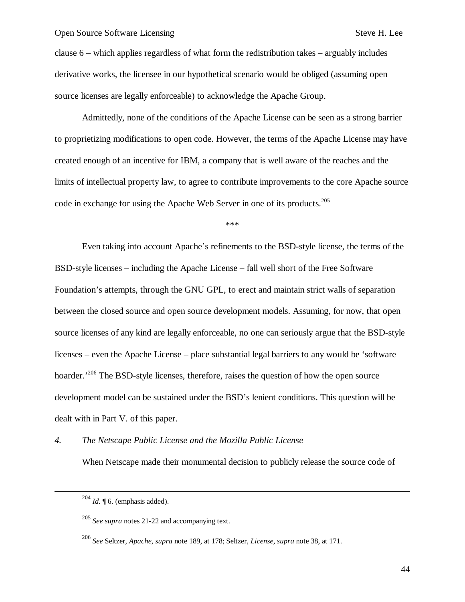clause 6 – which applies regardless of what form the redistribution takes – arguably includes derivative works, the licensee in our hypothetical scenario would be obliged (assuming open source licenses are legally enforceable) to acknowledge the Apache Group.

Admittedly, none of the conditions of the Apache License can be seen as a strong barrier to proprietizing modifications to open code. However, the terms of the Apache License may have created enough of an incentive for IBM, a company that is well aware of the reaches and the limits of intellectual property law, to agree to contribute improvements to the core Apache source code in exchange for using the Apache Web Server in one of its products.<sup>205</sup>

\*\*\*

Even taking into account Apache's refinements to the BSD-style license, the terms of the BSD-style licenses – including the Apache License – fall well short of the Free Software Foundation's attempts, through the GNU GPL, to erect and maintain strict walls of separation between the closed source and open source development models. Assuming, for now, that open source licenses of any kind are legally enforceable, no one can seriously argue that the BSD-style licenses – even the Apache License – place substantial legal barriers to any would be 'software hoarder.<sup>206</sup> The BSD-style licenses, therefore, raises the question of how the open source development model can be sustained under the BSD's lenient conditions. This question will be dealt with in Part V. of this paper.

*4. The Netscape Public License and the Mozilla Public License*

When Netscape made their monumental decision to publicly release the source code of

 $\overline{a}$ 

 $^{204}$  *Id.*  $\llbracket$  6. (emphasis added).

<sup>205</sup> *See supra* notes 21-22 and accompanying text.

<sup>206</sup> *See* Seltzer, *Apache*, *supra* note 189, at 178; Seltzer, *License*, *supra* note 38, at 171.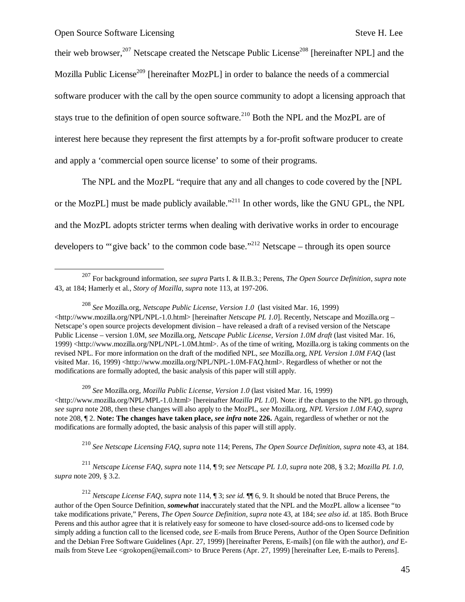1

their web browser,<sup>207</sup> Netscape created the Netscape Public License<sup>208</sup> [hereinafter NPL] and the Mozilla Public License<sup>209</sup> [hereinafter MozPL] in order to balance the needs of a commercial software producer with the call by the open source community to adopt a licensing approach that stays true to the definition of open source software.<sup>210</sup> Both the NPL and the MozPL are of interest here because they represent the first attempts by a for-profit software producer to create and apply a 'commercial open source license' to some of their programs.

The NPL and the MozPL "require that any and all changes to code covered by the [NPL or the MozPL] must be made publicly available."<sup>211</sup> In other words, like the GNU GPL, the NPL and the MozPL adopts stricter terms when dealing with derivative works in order to encourage developers to "give back' to the common code base."<sup>212</sup> Netscape – through its open source

<sup>209</sup> *See* Mozilla.org, *Mozilla Public License, Version 1.0* (last visited Mar. 16, 1999) <http://www.mozilla.org/NPL/MPL-1.0.html> [hereinafter *Mozilla PL 1.0*]. Note: if the changes to the NPL go through, *see supra* note 208, then these changes will also apply to the MozPL, *see* Mozilla.org, *NPL Version 1.0M FAQ*, *supra* note 208, ¶ 2. **Note: The changes have taken place,** *see infra* **note 226.** Again, regardless of whether or not the modifications are formally adopted, the basic analysis of this paper will still apply.

<sup>210</sup> *See Netscape Licensing FAQ*, *supra* note 114; Perens, *The Open Source Definition*, *supra* note 43, at 184.

<sup>211</sup> *Netscape License FAQ*, *supra* note 114, ¶ 9; *see Netscape PL 1.0*, *supra* note 208, § 3.2; *Mozilla PL 1.0*, *supra* note 209, § 3.2.

<sup>212</sup> *Netscape License FAQ*, *supra* note 114, ¶ 3; *see id.* ¶¶ 6, 9. It should be noted that Bruce Perens, the author of the Open Source Definition, *somewhat* inaccurately stated that the NPL and the MozPL allow a licensee "to take modifications private," Perens, *The Open Source Definition*, *supra* note 43, at 184; *see also id.* at 185. Both Bruce Perens and this author agree that it is relatively easy for someone to have closed-source add-ons to licensed code by simply adding a function call to the licensed code, *see* E-mails from Bruce Perens, Author of the Open Source Definition and the Debian Free Software Guidelines (Apr. 27, 1999) [hereinafter Perens, E-mails] (on file with the author), *and* Emails from Steve Lee <grokopen@email.com> to Bruce Perens (Apr. 27, 1999) [hereinafter Lee, E-mails to Perens].

<sup>207</sup> For background information, *see supra* Parts I. & II.B.3.; Perens, *The Open Source Definition*, *supra* note 43, at 184; Hamerly et al., *Story of Mozilla*, *supra* note 113, at 197-206.

<sup>208</sup> *See* Mozilla.org, *Netscape Public License, Version 1.0* (last visited Mar. 16, 1999)  $\lt$ http://www.mozilla.org/NPL/NPL-1.0.html> [hereinafter *Netscape PL 1.0*]. Recently, Netscape and Mozilla.org – Netscape's open source projects development division – have released a draft of a revised version of the Netscape Public License – version 1.0M, *see* Mozilla.org, *Netscape Public License, Version 1.0M draft* (last visited Mar. 16, 1999) <http://www.mozilla.org/NPL/NPL-1.0M.html>. As of the time of writing, Mozilla.org is taking comments on the revised NPL. For more information on the draft of the modified NPL, *see* Mozilla.org, *NPL Version 1.0M FAQ* (last visited Mar. 16, 1999) <http://www.mozilla.org/NPL/NPL-1.0M-FAQ.html>. Regardless of whether or not the modifications are formally adopted, the basic analysis of this paper will still apply.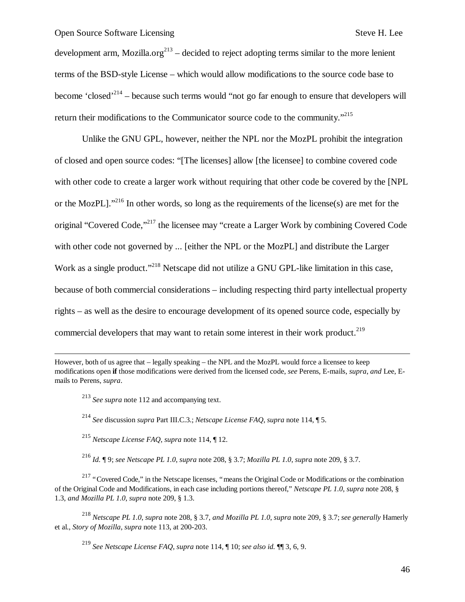development arm, Mozilla.org<sup>213</sup> – decided to reject adopting terms similar to the more lenient terms of the BSD-style License – which would allow modifications to the source code base to become 'closed'<sup>214</sup> – because such terms would "not go far enough to ensure that developers will return their modifications to the Communicator source code to the community."<sup>215</sup>

Unlike the GNU GPL, however, neither the NPL nor the MozPL prohibit the integration of closed and open source codes: "[The licenses] allow [the licensee] to combine covered code with other code to create a larger work without requiring that other code be covered by the [NPL or the MozPL]."<sup>216</sup> In other words, so long as the requirements of the license(s) are met for the original "Covered Code,"<sup>217</sup> the licensee may "create a Larger Work by combining Covered Code with other code not governed by ... [either the NPL or the MozPL] and distribute the Larger Work as a single product."<sup>218</sup> Netscape did not utilize a GNU GPL-like limitation in this case, because of both commercial considerations – including respecting third party intellectual property rights – as well as the desire to encourage development of its opened source code, especially by commercial developers that may want to retain some interest in their work product.<sup>219</sup>

However, both of us agree that – legally speaking – the NPL and the MozPL would force a licensee to keep modifications open **if** those modifications were derived from the licensed code, *see* Perens, E-mails, *supra*, *and* Lee, Emails to Perens, *supra*.

<sup>213</sup> *See supra* note 112 and accompanying text.

 $\overline{a}$ 

<sup>214</sup> *See* discussion *supra* Part III.C.3.; *Netscape License FAQ*, *supra* note 114, ¶ 5.

<sup>215</sup> *Netscape License FAQ*, *supra* note 114, ¶ 12.

<sup>216</sup> *Id.* ¶ 9; *see Netscape PL 1.0*, *supra* note 208, § 3.7; *Mozilla PL 1.0*, *supra* note 209, § 3.7.

<sup>217</sup> "Covered Code," in the Netscape licenses, "means the Original Code or Modifications or the combination of the Original Code and Modifications, in each case including portions thereof," *Netscape PL 1.0*, *supra* note 208, § 1.3, *and Mozilla PL 1.0*, *supra* note 209, § 1.3.

<sup>218</sup> *Netscape PL 1.0*, *supra* note 208, § 3.7, *and Mozilla PL 1.0*, *supra* note 209, § 3.7; *see generally* Hamerly et al., *Story of Mozilla*, *supra* note 113, at 200-203.

<sup>219</sup> *See Netscape License FAQ*, *supra* note 114, ¶ 10; *see also id.* ¶¶ 3, 6, 9.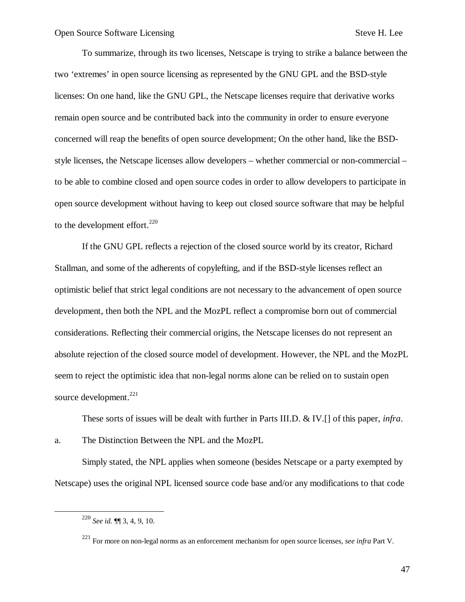To summarize, through its two licenses, Netscape is trying to strike a balance between the two 'extremes' in open source licensing as represented by the GNU GPL and the BSD-style licenses: On one hand, like the GNU GPL, the Netscape licenses require that derivative works remain open source and be contributed back into the community in order to ensure everyone concerned will reap the benefits of open source development; On the other hand, like the BSDstyle licenses, the Netscape licenses allow developers – whether commercial or non-commercial – to be able to combine closed and open source codes in order to allow developers to participate in open source development without having to keep out closed source software that may be helpful to the development effort. $^{220}$ 

If the GNU GPL reflects a rejection of the closed source world by its creator, Richard Stallman, and some of the adherents of copylefting, and if the BSD-style licenses reflect an optimistic belief that strict legal conditions are not necessary to the advancement of open source development, then both the NPL and the MozPL reflect a compromise born out of commercial considerations. Reflecting their commercial origins, the Netscape licenses do not represent an absolute rejection of the closed source model of development. However, the NPL and the MozPL seem to reject the optimistic idea that non-legal norms alone can be relied on to sustain open source development. $^{221}$ 

These sorts of issues will be dealt with further in Parts III.D. & IV.[] of this paper, *infra*.

a. The Distinction Between the NPL and the MozPL

Simply stated, the NPL applies when someone (besides Netscape or a party exempted by Netscape) uses the original NPL licensed source code base and/or any modifications to that code

 $\overline{a}$ 

<sup>220</sup> *See id.* ¶¶ 3, 4, 9, 10.

<sup>221</sup> For more on non-legal norms as an enforcement mechanism for open source licenses, *see infra* Part V.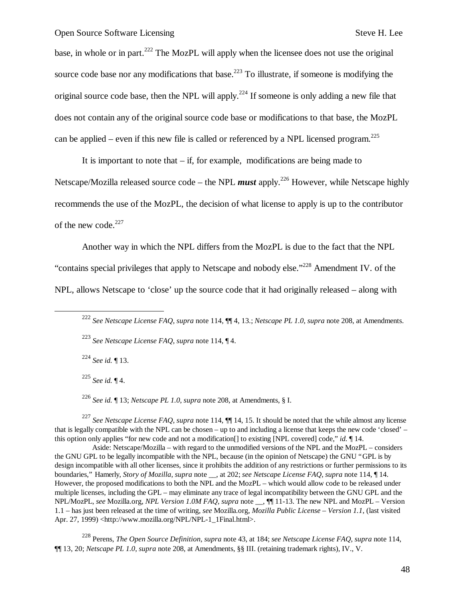base, in whole or in part.<sup>222</sup> The MozPL will apply when the licensee does not use the original source code base nor any modifications that base.<sup>223</sup> To illustrate, if someone is modifying the original source code base, then the NPL will apply.<sup>224</sup> If someone is only adding a new file that does not contain any of the original source code base or modifications to that base, the MozPL can be applied – even if this new file is called or referenced by a NPL licensed program.<sup>225</sup>

It is important to note that  $-$  if, for example, modifications are being made to

Netscape/Mozilla released source code – the NPL *must* apply.<sup>226</sup> However, while Netscape highly recommends the use of the MozPL, the decision of what license to apply is up to the contributor of the new code. $227$ 

Another way in which the NPL differs from the MozPL is due to the fact that the NPL "contains special privileges that apply to Netscape and nobody else."<sup>228</sup> Amendment IV. of the NPL, allows Netscape to 'close' up the source code that it had originally released – along with

<sup>224</sup> *See id.* ¶ 13.

 $\overline{a}$ 

<sup>225</sup> *See id.* ¶ 4.

<sup>226</sup> *See id.* ¶ 13; *Netscape PL 1.0*, *supra* note 208, at Amendments, § I.

<sup>227</sup> *See Netscape License FAQ*, *supra* note 114, ¶¶ 14, 15. It should be noted that the while almost any license that is legally compatible with the NPL can be chosen – up to and including a license that keeps the new code 'closed' – this option only applies "for new code and not a modification[] to existing [NPL covered] code," *id.* ¶ 14.

Aside: Netscape/Mozilla – with regard to the unmodified versions of the NPL and the MozPL – considers the GNU GPL to be legally incompatible with the NPL, because (in the opinion of Netscape) the GNU "GPL is by design incompatible with all other licenses, since it prohibits the addition of any restrictions or further permissions to its boundaries," Hamerly, *Story of Mozilla*, *supra* note \_\_, at 202; *see Netscape License FAQ*, *supra* note 114, ¶ 14. However, the proposed modifications to both the NPL and the MozPL – which would allow code to be released under multiple licenses, including the GPL – may eliminate any trace of legal incompatibility between the GNU GPL and the NPL/MozPL, *see* Mozilla.org, *NPL Version 1.0M FAQ*, *supra* note \_\_, ¶¶ 11-13. The new NPL and MozPL – Version 1.1 – has just been released at the time of writing, *see* Mozilla.org, *Mozilla Public License – Version 1.1*, (last visited Apr. 27, 1999) <http://www.mozilla.org/NPL/NPL-1\_1Final.html>.

<sup>228</sup> Perens, *The Open Source Definition*, *supra* note 43, at 184; *see Netscape License FAQ*, *supra* note 114, ¶¶ 13, 20; *Netscape PL 1.0*, *supra* note 208, at Amendments, §§ III. (retaining trademark rights), IV., V.

<sup>222</sup> *See Netscape License FAQ*, *supra* note 114, ¶¶ 4, 13.; *Netscape PL 1.0*, *supra* note 208, at Amendments.

<sup>223</sup> *See Netscape License FAQ*, *supra* note 114, ¶ 4.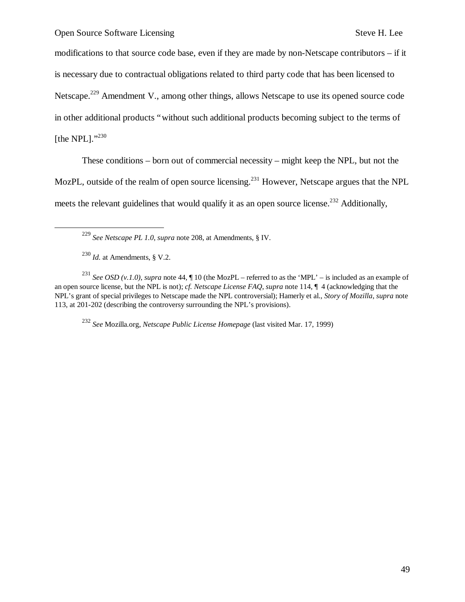modifications to that source code base, even if they are made by non-Netscape contributors – if it is necessary due to contractual obligations related to third party code that has been licensed to Netscape.<sup>229</sup> Amendment V., among other things, allows Netscape to use its opened source code in other additional products "without such additional products becoming subject to the terms of [the NPL]."<sup>230</sup>

These conditions – born out of commercial necessity – might keep the NPL, but not the MozPL, outside of the realm of open source licensing.<sup>231</sup> However, Netscape argues that the NPL meets the relevant guidelines that would qualify it as an open source license.<sup>232</sup> Additionally,

<sup>229</sup> *See Netscape PL 1.0*, *supra* note 208, at Amendments, § IV.

 $^{230}$  *Id.* at Amendments, § V.2.

1

<sup>231</sup> *See OSD (v.1.0)*, *supra* note 44,  $\P$  10 (the MozPL – referred to as the 'MPL' – is included as an example of an open source license, but the NPL is not); *cf. Netscape License FAQ*, *supra* note 114, ¶ 4 (acknowledging that the NPL's grant of special privileges to Netscape made the NPL controversial); Hamerly et al., *Story of Mozilla*, *supra* note 113, at 201-202 (describing the controversy surrounding the NPL's provisions).

<sup>232</sup> *See* Mozilla.org, *Netscape Public License Homepage* (last visited Mar. 17, 1999)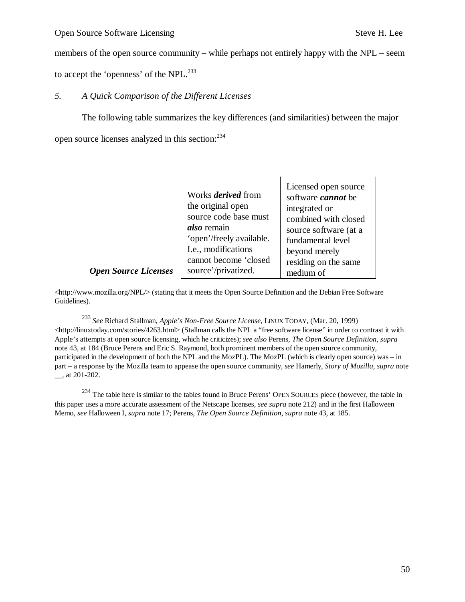$\overline{a}$ 

members of the open source community – while perhaps not entirely happy with the NPL – seem

to accept the 'openness' of the NPL.<sup>233</sup>

# *5. A Quick Comparison of the Different Licenses*

The following table summarizes the key differences (and similarities) between the major open source licenses analyzed in this section:  $234$ 

 $\mathsf{l}$ 

|                             | Works <i>derived</i> from | Licensed open source              |
|-----------------------------|---------------------------|-----------------------------------|
|                             | the original open         | software <i>cannot</i> be         |
|                             | source code base must     | integrated or                     |
|                             | <i>also</i> remain        | combined with closed              |
|                             | 'open'/freely available.  | source software (at a             |
|                             | I.e., modifications       | fundamental level                 |
|                             | cannot become 'closed     | beyond merely                     |
| <b>Open Source Licenses</b> | source'/privatized.       | residing on the same<br>medium of |

<http://www.mozilla.org/NPL/> (stating that it meets the Open Source Definition and the Debian Free Software Guidelines).

<sup>233</sup> *See* Richard Stallman, *Apple's Non-Free Source License*, LINUX TODAY, (Mar. 20, 1999) <http://linuxtoday.com/stories/4263.html> (Stallman calls the NPL a "free software license" in order to contrast it with Apple's attempts at open source licensing, which he criticizes); *see also* Perens, *The Open Source Definition*, *supra* note 43, at 184 (Bruce Perens and Eric S. Raymond, both prominent members of the open source community, participated in the development of both the NPL and the MozPL). The MozPL (which is clearly open source) was – in part – a response by the Mozilla team to appease the open source community, *see* Hamerly, *Story of Mozilla*, *supra* note \_\_, at 201-202.

<sup>234</sup> The table here is similar to the tables found in Bruce Perens' OPEN SOURCES piece (however, the table in this paper uses a more accurate assessment of the Netscape licenses, *see supra* note 212) and in the first Halloween Memo, *see* Halloween I, *supra* note 17; Perens, *The Open Source Definition*, *supra* note 43, at 185.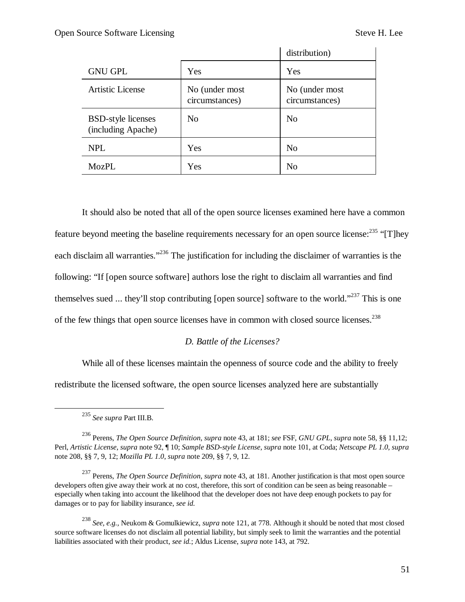|                                                 |                                  | distribution)                    |
|-------------------------------------------------|----------------------------------|----------------------------------|
| <b>GNU GPL</b>                                  | Yes                              | Yes                              |
| <b>Artistic License</b>                         | No (under most<br>circumstances) | No (under most<br>circumstances) |
| <b>BSD-style licenses</b><br>(including Apache) | N <sub>0</sub>                   | N <sub>0</sub>                   |
| <b>NPL</b>                                      | Yes                              | N <sub>o</sub>                   |
| MozPL                                           | Yes                              | No                               |

It should also be noted that all of the open source licenses examined here have a common feature beyond meeting the baseline requirements necessary for an open source license:<sup>235</sup> "[T]hey each disclaim all warranties."<sup>236</sup> The justification for including the disclaimer of warranties is the following: "If [open source software] authors lose the right to disclaim all warranties and find themselves sued ... they'll stop contributing [open source] software to the world."<sup>237</sup> This is one of the few things that open source licenses have in common with closed source licenses.<sup>238</sup>

## *D. Battle of the Licenses?*

While all of these licenses maintain the openness of source code and the ability to freely redistribute the licensed software, the open source licenses analyzed here are substantially

1

<sup>235</sup> *See supra* Part III.B.

<sup>236</sup> Perens, *The Open Source Definition*, *supra* note 43, at 181; *see* FSF, *GNU GPL*, *supra* note 58, §§ 11,12; Perl, *Artistic License*, *supra* note 92, ¶ 10; *Sample BSD-style License*, *supra* note 101, at Coda; *Netscape PL 1.0*, *supra* note 208, §§ 7, 9, 12; *Mozilla PL 1.0*, *supra* note 209, §§ 7, 9, 12.

<sup>237</sup> Perens, *The Open Source Definition*, *supra* note 43, at 181. Another justification is that most open source developers often give away their work at no cost, therefore, this sort of condition can be seen as being reasonable – especially when taking into account the likelihood that the developer does not have deep enough pockets to pay for damages or to pay for liability insurance, *see id.*

<sup>238</sup> *See, e.g.,* Neukom & Gomulkiewicz, *supra* note 121, at 778. Although it should be noted that most closed source software licenses do not disclaim all potential liability, but simply seek to limit the warranties and the potential liabilities associated with their product, *see id.*; Aldus License, *supra* note 143, at 792.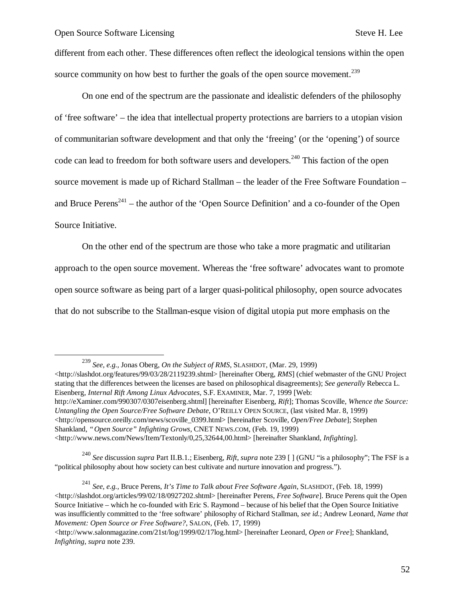1

different from each other. These differences often reflect the ideological tensions within the open source community on how best to further the goals of the open source movement.<sup>239</sup>

On one end of the spectrum are the passionate and idealistic defenders of the philosophy of 'free software' – the idea that intellectual property protections are barriers to a utopian vision of communitarian software development and that only the 'freeing' (or the 'opening') of source code can lead to freedom for both software users and developers.<sup>240</sup> This faction of the open source movement is made up of Richard Stallman – the leader of the Free Software Foundation – and Bruce Perens<sup>241</sup> – the author of the 'Open Source Definition' and a co-founder of the Open Source Initiative.

On the other end of the spectrum are those who take a more pragmatic and utilitarian approach to the open source movement. Whereas the 'free software' advocates want to promote open source software as being part of a larger quasi-political philosophy, open source advocates that do not subscribe to the Stallman-esque vision of digital utopia put more emphasis on the

<http://slashdot.org/features/99/03/28/2119239.shtml> [hereinafter Oberg, *RMS*] (chief webmaster of the GNU Project stating that the differences between the licenses are based on philosophical disagreements); *See generally* Rebecca L. Eisenberg, *Internal Rift Among Linux Advocates*, S.F. EXAMINER, Mar. 7, 1999 [Web: http://eXaminer.com/990307/0307eisenberg.shtml] [hereinafter Eisenberg, *Rift*]; Thomas Scoville, *Whence the Source: Untangling the Open Source/Free Software Debate*, O'REILLY OPEN SOURCE, (last visited Mar. 8, 1999)  $\langle$ http://opensource.oreilly.com/news/scoville\_0399.html> [hereinafter Scoville, *Open/Free Debate*]; Stephen Shankland, *"Open Source" Infighting Grows*, CNET NEWS.COM, (Feb. 19, 1999) <http://www.news.com/News/Item/Textonly/0,25,32644,00.html> [hereinafter Shankland, *Infighting*].

<sup>240</sup> *See* discussion *supra* Part II.B.1.; Eisenberg, *Rift*, *supra* note 239 [ ] (GNU "is a philosophy"; The FSF is a "political philosophy about how society can best cultivate and nurture innovation and progress.").

<sup>241</sup> *See, e.g.,* Bruce Perens, *It's Time to Talk about Free Software Again*, SLASHDOT, (Feb. 18, 1999) <http://slashdot.org/articles/99/02/18/0927202.shtml> [hereinafter Perens, *Free Software*]. Bruce Perens quit the Open Source Initiative – which he co-founded with Eric S. Raymond – because of his belief that the Open Source Initiative was insufficiently committed to the 'free software' philosophy of Richard Stallman, *see id.*; Andrew Leonard, *Name that Movement: Open Source or Free Software?*, SALON, (Feb. 17, 1999)

<sup>239</sup> *See, e.g.,* Jonas Oberg, *On the Subject of RMS*, SLASHDOT, (Mar. 29, 1999)

 $\langle$ http://www.salonmagazine.com/21st/log/1999/02/17log.html> [hereinafter Leonard, *Open or Free*]; Shankland, *Infighting*, *supra* note 239.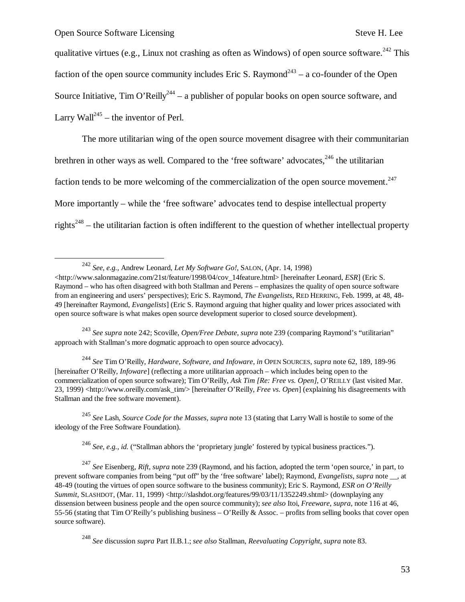$\overline{\phantom{a}}$ 

qualitative virtues (e.g., Linux not crashing as often as Windows) of open source software.<sup>242</sup> This faction of the open source community includes Eric S. Raymond<sup>243</sup> – a co-founder of the Open Source Initiative, Tim O'Reilly<sup>244</sup> – a publisher of popular books on open source software, and Larry Wall<sup>245</sup> – the inventor of Perl.

The more utilitarian wing of the open source movement disagree with their communitarian brethren in other ways as well. Compared to the 'free software' advocates,  $246$  the utilitarian faction tends to be more welcoming of the commercialization of the open source movement.<sup>247</sup> More importantly – while the 'free software' advocates tend to despise intellectual property rights<sup>248</sup> – the utilitarian faction is often indifferent to the question of whether intellectual property

<sup>242</sup> *See, e.g.,* Andrew Leonard, *Let My Software Go!*, SALON, (Apr. 14, 1998)

<sup>243</sup> *See supra* note 242; Scoville, *Open/Free Debate*, *supra* note 239 (comparing Raymond's "utilitarian" approach with Stallman's more dogmatic approach to open source advocacy).

<sup>244</sup> *See* Tim O'Reilly, *Hardware, Software, and Infoware*, *in* OPEN SOURCES, *supra* note 62, 189, 189-96 [hereinafter O'Reilly, *Infoware*] (reflecting a more utilitarian approach – which includes being open to the commercialization of open source software); Tim O'Reilly, *Ask Tim [Re: Free vs. Open]*, O'REILLY (last visited Mar. 23, 1999) <http://www.oreilly.com/ask\_tim/> [hereinafter O'Reilly, *Free vs. Open*] (explaining his disagreements with Stallman and the free software movement).

<sup>245</sup> *See* Lash, *Source Code for the Masses*, *supra* note 13 (stating that Larry Wall is hostile to some of the ideology of the Free Software Foundation).

<sup>246</sup> *See, e.g., id.* ("Stallman abhors the 'proprietary jungle' fostered by typical business practices.").

<sup>247</sup> *See* Eisenberg, *Rift*, *supra* note 239 (Raymond, and his faction, adopted the term 'open source,' in part, to prevent software companies from being "put off" by the 'free software' label); Raymond, *Evangelists*, *supra* note \_\_, at 48-49 (touting the virtues of open source software to the business community); Eric S. Raymond, *ESR on O'Reilly*  Summit, SLASHDOT, (Mar. 11, 1999) <http://slashdot.org/features/99/03/11/1352249.shtml> (downplaying any dissension between business people and the open source community); *see also* Itoi, *Freeware*, *supra*, note 116 at 46, 55-56 (stating that Tim O'Reilly's publishing business – O'Reilly & Assoc. – profits from selling books that cover open source software).

<sup>248</sup> *See* discussion *supra* Part II.B.1.; *see also* Stallman, *Reevaluating Copyright*, *supra* note 83.

 $\lt$ http://www.salonmagazine.com/21st/feature/1998/04/cov\_14feature.html> [hereinafter Leonard, *ESR*] (Eric S. Raymond – who has often disagreed with both Stallman and Perens – emphasizes the quality of open source software from an engineering and users' perspectives); Eric S. Raymond, *The Evangelists*, RED HERRING, Feb. 1999, at 48, 48- 49 [hereinafter Raymond, *Evangelists*] (Eric S. Raymond arguing that higher quality and lower prices associated with open source software is what makes open source development superior to closed source development).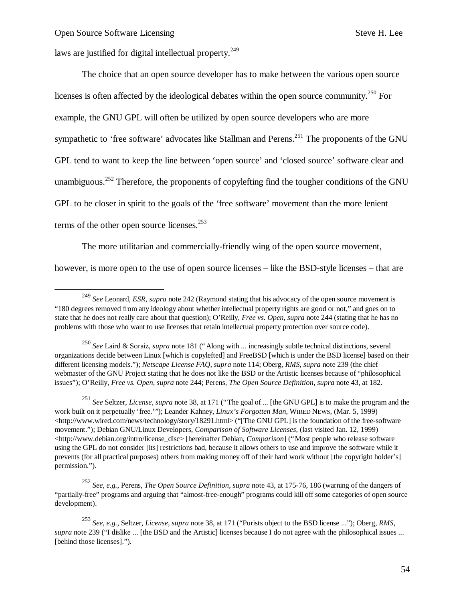-

laws are justified for digital intellectual property. $249$ 

The choice that an open source developer has to make between the various open source licenses is often affected by the ideological debates within the open source community.<sup>250</sup> For example, the GNU GPL will often be utilized by open source developers who are more sympathetic to 'free software' advocates like Stallman and Perens.<sup>251</sup> The proponents of the GNU GPL tend to want to keep the line between 'open source' and 'closed source' software clear and unambiguous.<sup>252</sup> Therefore, the proponents of copylefting find the tougher conditions of the GNU GPL to be closer in spirit to the goals of the 'free software' movement than the more lenient terms of the other open source licenses. $253$ 

The more utilitarian and commercially-friendly wing of the open source movement,

however, is more open to the use of open source licenses – like the BSD-style licenses – that are

<sup>251</sup> *See* Seltzer, *License*, *supra* note 38, at 171 ("The goal of ... [the GNU GPL] is to make the program and the work built on it perpetually 'free.'"); Leander Kahney, *Linux's Forgotten Man*, WIRED NEWS, (Mar. 5, 1999) <http://www.wired.com/news/technology/story/18291.html> ("[The GNU GPL] is the foundation of the free-software movement."); Debian GNU/Linux Developers, *Comparison of Software Licenses*, (last visited Jan. 12, 1999) <http://www.debian.org/intro/license\_disc> [hereinafter Debian, *Comparison*] ("Most people who release software using the GPL do not consider [its] restrictions bad, because it allows others to use and improve the software while it prevents (for all practical purposes) others from making money off of their hard work without [the copyright holder's] permission.").

<sup>252</sup> *See, e.g.,* Perens, *The Open Source Definition*, *supra* note 43, at 175-76, 186 (warning of the dangers of "partially-free" programs and arguing that "almost-free-enough" programs could kill off some categories of open source development).

<sup>249</sup> *See* Leonard, *ESR*, *supra* note 242 (Raymond stating that his advocacy of the open source movement is "180 degrees removed from any ideology about whether intellectual property rights are good or not," and goes on to state that he does not really care about that question); O'Reilly, *Free vs. Open*, *supra* note 244 (stating that he has no problems with those who want to use licenses that retain intellectual property protection over source code).

<sup>250</sup> *See* Laird & Soraiz, *supra* note 181 ("Along with ... increasingly subtle technical distinctions, several organizations decide between Linux [which is copylefted] and FreeBSD [which is under the BSD license] based on their different licensing models."); *Netscape License FAQ*, *supra* note 114; Oberg, *RMS*, *supra* note 239 (the chief webmaster of the GNU Project stating that he does not like the BSD or the Artistic licenses because of "philosophical issues"); O'Reilly, *Free vs. Open*, *supra* note 244; Perens, *The Open Source Definition*, *supra* note 43, at 182.

<sup>253</sup> *See, e.g.,* Seltzer, *License*, *supra* note 38, at 171 ("Purists object to the BSD license ..."); Oberg, *RMS*, *supra* note 239 ("I dislike ... [the BSD and the Artistic] licenses because I do not agree with the philosophical issues ... [behind those licenses].").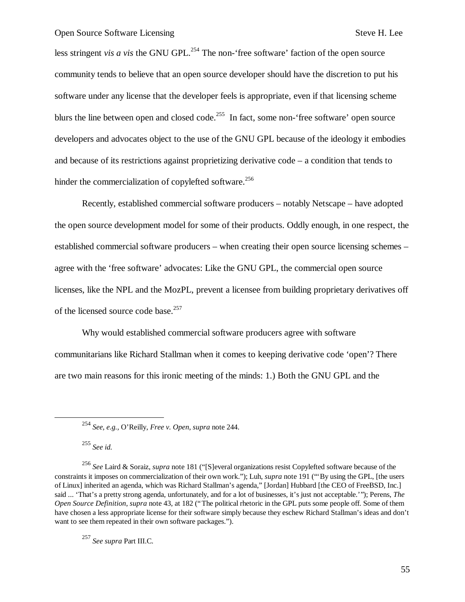less stringent *vis a vis* the GNU GPL.<sup>254</sup> The non-'free software' faction of the open source community tends to believe that an open source developer should have the discretion to put his software under any license that the developer feels is appropriate, even if that licensing scheme blurs the line between open and closed code.<sup>255</sup> In fact, some non-'free software' open source developers and advocates object to the use of the GNU GPL because of the ideology it embodies and because of its restrictions against proprietizing derivative code – a condition that tends to hinder the commercialization of copylefted software.<sup>256</sup>

Recently, established commercial software producers – notably Netscape – have adopted the open source development model for some of their products. Oddly enough, in one respect, the established commercial software producers – when creating their open source licensing schemes – agree with the 'free software' advocates: Like the GNU GPL, the commercial open source licenses, like the NPL and the MozPL, prevent a licensee from building proprietary derivatives off of the licensed source code base.<sup>257</sup>

Why would established commercial software producers agree with software communitarians like Richard Stallman when it comes to keeping derivative code 'open'? There are two main reasons for this ironic meeting of the minds: 1.) Both the GNU GPL and the

<sup>255</sup> *See id.*

1

<sup>257</sup> *See supra* Part III.C.

<sup>254</sup> *See, e.g.,* O'Reilly, *Free v. Open*, *supra* note 244.

<sup>256</sup> *See* Laird & Soraiz, *supra* note 181 ("[S]everal organizations resist Copylefted software because of the constraints it imposes on commercialization of their own work."); Luh, *supra* note 191 ("'By using the GPL, [the users of Linux] inherited an agenda, which was Richard Stallman's agenda," [Jordan] Hubbard [the CEO of FreeBSD, Inc.] said ... 'That's a pretty strong agenda, unfortunately, and for a lot of businesses, it's just not acceptable.'"); Perens, *The Open Source Definition*, *supra* note 43, at 182 ("The political rhetoric in the GPL puts some people off. Some of them have chosen a less appropriate license for their software simply because they eschew Richard Stallman's ideas and don't want to see them repeated in their own software packages.").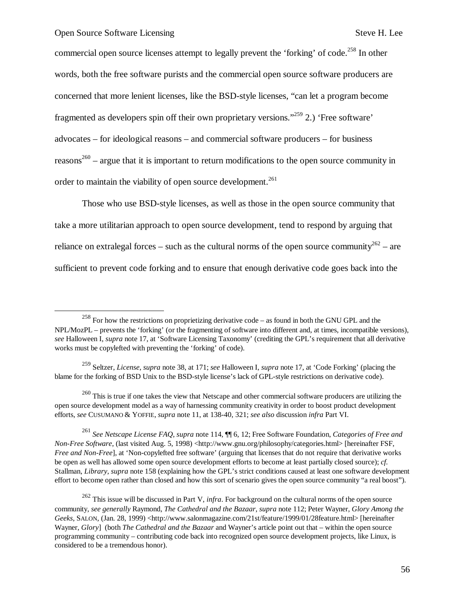-

commercial open source licenses attempt to legally prevent the 'forking' of code.<sup>258</sup> In other words, both the free software purists and the commercial open source software producers are concerned that more lenient licenses, like the BSD-style licenses, "can let a program become fragmented as developers spin off their own proprietary versions."<sup>259</sup> 2.) 'Free software' advocates – for ideological reasons – and commercial software producers – for business reasons<sup>260</sup> – argue that it is important to return modifications to the open source community in order to maintain the viability of open source development.<sup>261</sup>

Those who use BSD-style licenses, as well as those in the open source community that take a more utilitarian approach to open source development, tend to respond by arguing that reliance on extralegal forces – such as the cultural norms of the open source community<sup>262</sup> – are sufficient to prevent code forking and to ensure that enough derivative code goes back into the

<sup>261</sup> *See Netscape License FAQ*, *supra* note 114, ¶¶ 6, 12; Free Software Foundation, *Categories of Free and Non-Free Software*, (last visited Aug. 5, 1998) <http://www.gnu.org/philosophy/categories.html> [hereinafter FSF, *Free and Non-Free*], at 'Non-copylefted free software' (arguing that licenses that do not require that derivative works be open as well has allowed some open source development efforts to become at least partially closed source); *cf.* Stallman, *Library*, *supra* note 158 (explaining how the GPL's strict conditions caused at least one software development effort to become open rather than closed and how this sort of scenario gives the open source community "a real boost").

 $258$  For how the restrictions on proprietizing derivative code – as found in both the GNU GPL and the NPL/MozPL – prevents the 'forking' (or the fragmenting of software into different and, at times, incompatible versions), *see* Halloween I, *supra* note 17, at 'Software Licensing Taxonomy' (crediting the GPL's requirement that all derivative works must be copylefted with preventing the 'forking' of code).

<sup>259</sup> Seltzer, *License*, *supra* note 38, at 171; *see* Halloween I, *supra* note 17, at 'Code Forking' (placing the blame for the forking of BSD Unix to the BSD-style license's lack of GPL-style restrictions on derivative code).

<sup>&</sup>lt;sup>260</sup> This is true if one takes the view that Netscape and other commercial software producers are utilizing the open source development model as a way of harnessing community creativity in order to boost product development efforts, *see* CUSUMANO & YOFFIE, *supra* note 11, at 138-40, 321; *see also* discussion *infra* Part VI.

<sup>262</sup> This issue will be discussed in Part V, *infra*. For background on the cultural norms of the open source community, *see generally* Raymond, *The Cathedral and the Bazaar*, *supra* note 112; Peter Wayner, *Glory Among the Geeks*, SALON, (Jan. 28, 1999) <http://www.salonmagazine.com/21st/feature/1999/01/28feature.html> [hereinafter Wayner, *Glory*] (both *The Cathedral and the Bazaar* and Wayner's article point out that – within the open source programming community – contributing code back into recognized open source development projects, like Linux, is considered to be a tremendous honor).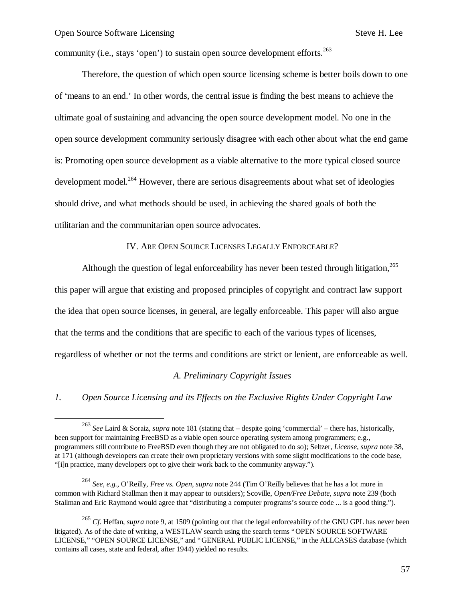$\overline{a}$ 

community (i.e., stays 'open') to sustain open source development efforts.  $263$ 

Therefore, the question of which open source licensing scheme is better boils down to one of 'means to an end.' In other words, the central issue is finding the best means to achieve the ultimate goal of sustaining and advancing the open source development model. No one in the open source development community seriously disagree with each other about what the end game is: Promoting open source development as a viable alternative to the more typical closed source development model.<sup>264</sup> However, there are serious disagreements about what set of ideologies should drive, and what methods should be used, in achieving the shared goals of both the utilitarian and the communitarian open source advocates.

## IV. ARE OPEN SOURCE LICENSES LEGALLY ENFORCEABLE?

Although the question of legal enforceability has never been tested through litigation,  $265$ this paper will argue that existing and proposed principles of copyright and contract law support the idea that open source licenses, in general, are legally enforceable. This paper will also argue that the terms and the conditions that are specific to each of the various types of licenses, regardless of whether or not the terms and conditions are strict or lenient, are enforceable as well.

## *A. Preliminary Copyright Issues*

*1. Open Source Licensing and its Effects on the Exclusive Rights Under Copyright Law*

<sup>263</sup> *See* Laird & Soraiz, *supra* note 181 (stating that – despite going 'commercial' – there has, historically, been support for maintaining FreeBSD as a viable open source operating system among programmers; e.g., programmers still contribute to FreeBSD even though they are not obligated to do so); Seltzer, *License*, *supra* note 38, at 171 (although developers can create their own proprietary versions with some slight modifications to the code base, "[i]n practice, many developers opt to give their work back to the community anyway.").

<sup>264</sup> *See, e.g.,* O'Reilly, *Free vs. Open*, *supra* note 244 (Tim O'Reilly believes that he has a lot more in common with Richard Stallman then it may appear to outsiders); Scoville, *Open/Free Debate*, *supra* note 239 (both Stallman and Eric Raymond would agree that "distributing a computer programs's source code ... is a good thing.").

<sup>265</sup> *Cf.* Heffan, *supra* note 9, at 1509 (pointing out that the legal enforceability of the GNU GPL has never been litigated). As of the date of writing, a WESTLAW search using the search terms "OPEN SOURCE SOFTWARE LICENSE," "OPEN SOURCE LICENSE," and "GENERAL PUBLIC LICENSE," in the ALLCASES database (which contains all cases, state and federal, after 1944) yielded no results.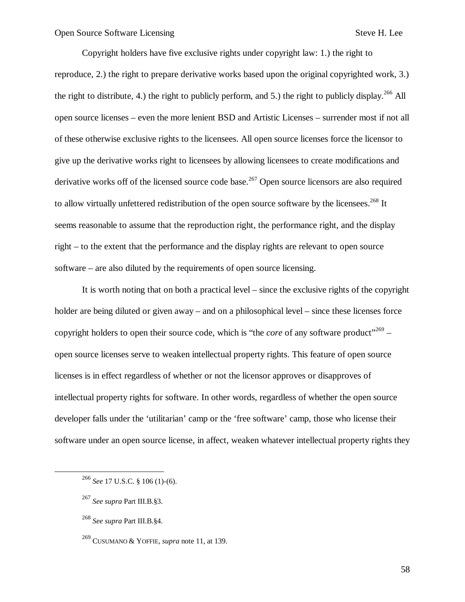Copyright holders have five exclusive rights under copyright law: 1.) the right to reproduce, 2.) the right to prepare derivative works based upon the original copyrighted work, 3.) the right to distribute, 4.) the right to publicly perform, and 5.) the right to publicly display.  $^{266}$  All open source licenses – even the more lenient BSD and Artistic Licenses – surrender most if not all of these otherwise exclusive rights to the licensees. All open source licenses force the licensor to give up the derivative works right to licensees by allowing licensees to create modifications and derivative works off of the licensed source code base.<sup>267</sup> Open source licensors are also required to allow virtually unfettered redistribution of the open source software by the licensees.<sup>268</sup> It seems reasonable to assume that the reproduction right, the performance right, and the display right – to the extent that the performance and the display rights are relevant to open source software – are also diluted by the requirements of open source licensing.

It is worth noting that on both a practical level – since the exclusive rights of the copyright holder are being diluted or given away – and on a philosophical level – since these licenses force copyright holders to open their source code, which is "the *core* of any software product"<sup>269</sup> – open source licenses serve to weaken intellectual property rights. This feature of open source licenses is in effect regardless of whether or not the licensor approves or disapproves of intellectual property rights for software. In other words, regardless of whether the open source developer falls under the 'utilitarian' camp or the 'free software' camp, those who license their software under an open source license, in affect, weaken whatever intellectual property rights they

 $\overline{a}$ 

58

<sup>266</sup> *See* 17 U.S.C. § 106 (1)-(6).

<sup>267</sup> *See supra* Part III.B.§3.

<sup>268</sup> *See supra* Part III.B.§4.

<sup>269</sup> CUSUMANO & YOFFIE, *supra* note 11, at 139.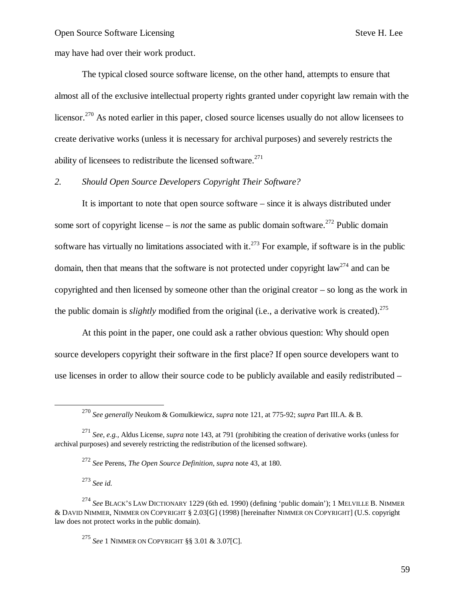may have had over their work product.

The typical closed source software license, on the other hand, attempts to ensure that almost all of the exclusive intellectual property rights granted under copyright law remain with the licensor.<sup>270</sup> As noted earlier in this paper, closed source licenses usually do not allow licensees to create derivative works (unless it is necessary for archival purposes) and severely restricts the ability of licensees to redistribute the licensed software. $271$ 

# *2. Should Open Source Developers Copyright Their Software?*

It is important to note that open source software – since it is always distributed under some sort of copyright license – is *not* the same as public domain software.<sup>272</sup> Public domain software has virtually no limitations associated with it.<sup>273</sup> For example, if software is in the public domain, then that means that the software is not protected under copyright law<sup>274</sup> and can be copyrighted and then licensed by someone other than the original creator – so long as the work in the public domain is *slightly* modified from the original (i.e., a derivative work is created).<sup>275</sup>

At this point in the paper, one could ask a rather obvious question: Why should open source developers copyright their software in the first place? If open source developers want to use licenses in order to allow their source code to be publicly available and easily redistributed –

<sup>272</sup> *See* Perens, *The Open Source Definition*, *supra* note 43, at 180.

<sup>273</sup> *See id.*

1

<sup>274</sup> *See* BLACK'S LAW DICTIONARY 1229 (6th ed. 1990) (defining 'public domain'); 1 MELVILLE B. NIMMER & DAVID NIMMER, NIMMER ON COPYRIGHT § 2.03[G] (1998) [hereinafter NIMMER ON COPYRIGHT] (U.S. copyright law does not protect works in the public domain).

<sup>275</sup> *See* 1 NIMMER ON COPYRIGHT §§ 3.01 & 3.07[C].

<sup>270</sup> *See generally* Neukom & Gomulkiewicz, *supra* note 121, at 775-92; *supra* Part III.A. & B.

<sup>271</sup> *See, e.g.,* Aldus License, *supra* note 143, at 791 (prohibiting the creation of derivative works (unless for archival purposes) and severely restricting the redistribution of the licensed software).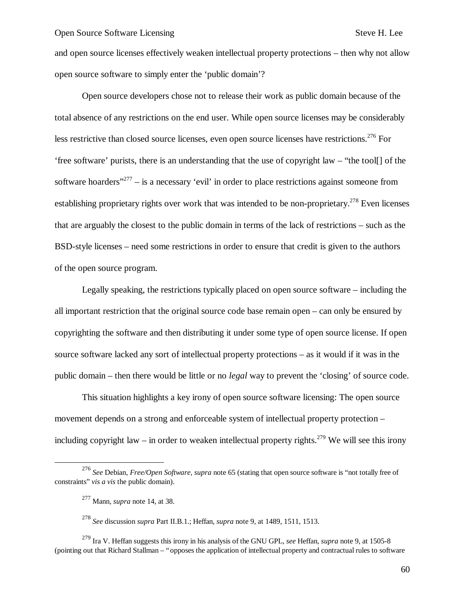and open source licenses effectively weaken intellectual property protections – then why not allow open source software to simply enter the 'public domain'?

Open source developers chose not to release their work as public domain because of the total absence of any restrictions on the end user. While open source licenses may be considerably less restrictive than closed source licenses, even open source licenses have restrictions.<sup>276</sup> For 'free software' purists, there is an understanding that the use of copyright law – "the tool[] of the software hoarders"<sup>277</sup> – is a necessary 'evil' in order to place restrictions against someone from establishing proprietary rights over work that was intended to be non-proprietary.<sup>278</sup> Even licenses that are arguably the closest to the public domain in terms of the lack of restrictions – such as the BSD-style licenses – need some restrictions in order to ensure that credit is given to the authors of the open source program.

Legally speaking, the restrictions typically placed on open source software – including the all important restriction that the original source code base remain open – can only be ensured by copyrighting the software and then distributing it under some type of open source license. If open source software lacked any sort of intellectual property protections – as it would if it was in the public domain – then there would be little or no *legal* way to prevent the 'closing' of source code.

This situation highlights a key irony of open source software licensing: The open source movement depends on a strong and enforceable system of intellectual property protection – including copyright law – in order to weaken intellectual property rights.<sup>279</sup> We will see this irony

1

<sup>276</sup> *See* Debian, *Free/Open Software*, *supra* note 65 (stating that open source software is "not totally free of constraints" *vis a vis* the public domain).

<sup>277</sup> Mann, *supra* note 14, at 38.

<sup>278</sup> *See* discussion *supra* Part II.B.1.; Heffan, *supra* note 9, at 1489, 1511, 1513.

<sup>279</sup> Ira V. Heffan suggests this irony in his analysis of the GNU GPL, *see* Heffan, *supra* note 9, at 1505-8 (pointing out that Richard Stallman – "opposes the application of intellectual property and contractual rules to software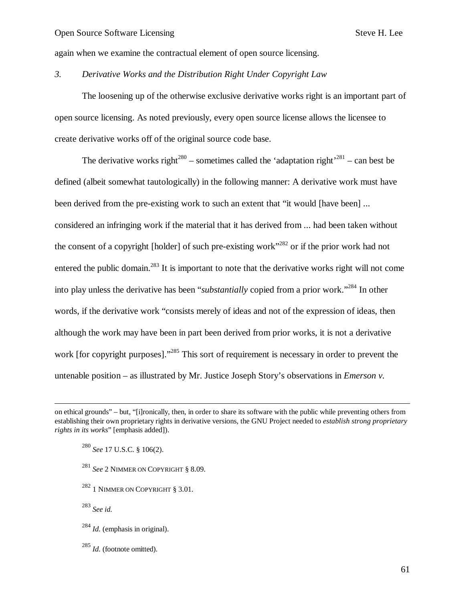again when we examine the contractual element of open source licensing.

## *3. Derivative Works and the Distribution Right Under Copyright Law*

The loosening up of the otherwise exclusive derivative works right is an important part of open source licensing. As noted previously, every open source license allows the licensee to create derivative works off of the original source code base.

The derivative works right<sup>280</sup> – sometimes called the 'adaptation right<sup>281</sup> – can best be defined (albeit somewhat tautologically) in the following manner: A derivative work must have been derived from the pre-existing work to such an extent that "it would [have been] ... considered an infringing work if the material that it has derived from ... had been taken without the consent of a copyright [holder] of such pre-existing work"<sup>282</sup> or if the prior work had not entered the public domain.<sup>283</sup> It is important to note that the derivative works right will not come into play unless the derivative has been "*substantially* copied from a prior work." <sup>284</sup> In other words, if the derivative work "consists merely of ideas and not of the expression of ideas, then although the work may have been in part been derived from prior works, it is not a derivative work [for copyright purposes]."<sup>285</sup> This sort of requirement is necessary in order to prevent the untenable position – as illustrated by Mr. Justice Joseph Story's observations in *Emerson v.* 

<sup>280</sup> *See* 17 U.S.C. § 106(2).

- <sup>281</sup> *See* 2 NIMMER ON COPYRIGHT § 8.09.
- $^{282}$  1 NIMMER ON COPYRIGHT  $\,$  3.01.

<sup>283</sup> *See id.*

-

- <sup>284</sup> *Id.* (emphasis in original).
- <sup>285</sup> *Id.* (footnote omitted).

on ethical grounds" – but, "[i]ronically, then, in order to share its software with the public while preventing others from establishing their own proprietary rights in derivative versions, the GNU Project needed to *establish strong proprietary rights in its works*" [emphasis added]).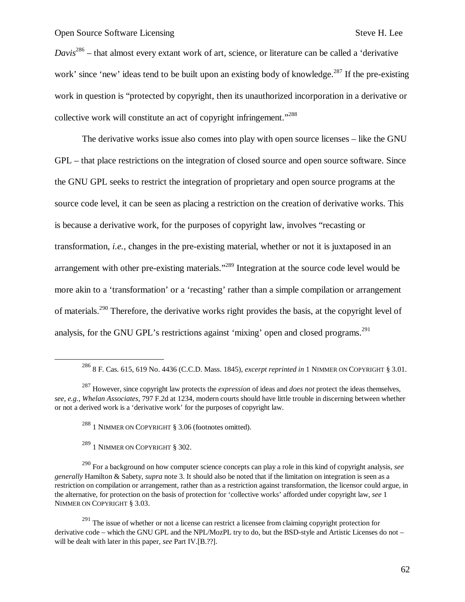*Davis*<sup>286</sup> – that almost every extant work of art, science, or literature can be called a 'derivative work' since 'new' ideas tend to be built upon an existing body of knowledge.<sup>287</sup> If the pre-existing work in question is "protected by copyright, then its unauthorized incorporation in a derivative or collective work will constitute an act of copyright infringement."<sup>288</sup>

The derivative works issue also comes into play with open source licenses – like the GNU GPL – that place restrictions on the integration of closed source and open source software. Since the GNU GPL seeks to restrict the integration of proprietary and open source programs at the source code level, it can be seen as placing a restriction on the creation of derivative works. This is because a derivative work, for the purposes of copyright law, involves "recasting or transformation, *i.e.*, changes in the pre-existing material, whether or not it is juxtaposed in an arrangement with other pre-existing materials."<sup>289</sup> Integration at the source code level would be more akin to a 'transformation' or a 'recasting' rather than a simple compilation or arrangement of materials.<sup>290</sup> Therefore, the derivative works right provides the basis, at the copyright level of analysis, for the GNU GPL's restrictions against 'mixing' open and closed programs.<sup>291</sup>

<sup>288</sup> 1 NIMMER ON COPYRIGHT  $\S$  3.06 (footnotes omitted).

<sup>289</sup> 1 NIMMER ON COPYRIGHT § 302.

1

<sup>286</sup> 8 F. Cas. 615, 619 No. 4436 (C.C.D. Mass. 1845), *excerpt reprinted in* 1 NIMMER ON COPYRIGHT § 3.01.

<sup>287</sup> However, since copyright law protects the *expression* of ideas and *does not* protect the ideas themselves, *see, e.g., Whelan Associates*, 797 F.2d at 1234, modern courts should have little trouble in discerning between whether or not a derived work is a 'derivative work' for the purposes of copyright law.

<sup>290</sup> For a background on how computer science concepts can play a role in this kind of copyright analysis, *see generally* Hamilton & Sabety, *supra* note 3. It should also be noted that if the limitation on integration is seen as a restriction on compilation or arrangement, rather than as a restriction against transformation, the licensor could argue, in the alternative, for protection on the basis of protection for 'collective works' afforded under copyright law, *see* 1 NIMMER ON COPYRIGHT § 3.03.

 $291$  The issue of whether or not a license can restrict a licensee from claiming copyright protection for derivative code – which the GNU GPL and the NPL/MozPL try to do, but the BSD-style and Artistic Licenses do not – will be dealt with later in this paper, *see* Part IV.[B.??].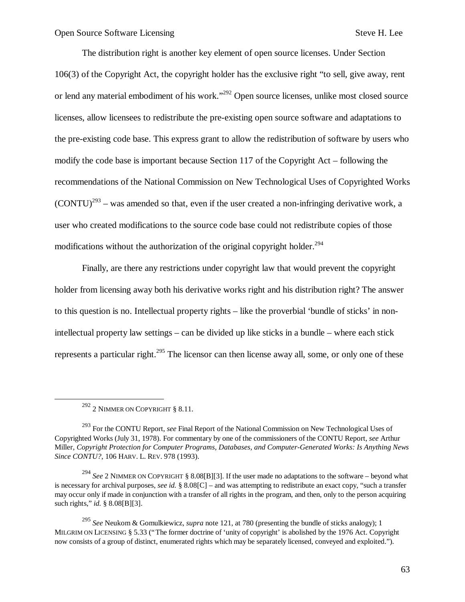The distribution right is another key element of open source licenses. Under Section 106(3) of the Copyright Act, the copyright holder has the exclusive right "to sell, give away, rent or lend any material embodiment of his work."<sup>292</sup> Open source licenses, unlike most closed source licenses, allow licensees to redistribute the pre-existing open source software and adaptations to the pre-existing code base. This express grant to allow the redistribution of software by users who modify the code base is important because Section 117 of the Copyright Act – following the recommendations of the National Commission on New Technological Uses of Copyrighted Works  $(CONTU)^{293}$  – was amended so that, even if the user created a non-infringing derivative work, a user who created modifications to the source code base could not redistribute copies of those modifications without the authorization of the original copyright holder.<sup>294</sup>

Finally, are there any restrictions under copyright law that would prevent the copyright holder from licensing away both his derivative works right and his distribution right? The answer to this question is no. Intellectual property rights – like the proverbial 'bundle of sticks' in nonintellectual property law settings – can be divided up like sticks in a bundle – where each stick represents a particular right.<sup>295</sup> The licensor can then license away all, some, or only one of these

1

 $^{292}$  2 NIMMER ON COPYRIGHT  $\,$  8.11.

<sup>293</sup> For the CONTU Report, *see* Final Report of the National Commission on New Technological Uses of Copyrighted Works (July 31, 1978). For commentary by one of the commissioners of the CONTU Report, *see* Arthur Miller, *Copyright Protection for Computer Programs, Databases, and Computer-Generated Works: Is Anything News Since CONTU?*, 106 HARV. L. REV. 978 (1993).

<sup>294</sup> *See* 2 NIMMER ON COPYRIGHT § 8.08[B][3]. If the user made no adaptations to the software – beyond what is necessary for archival purposes, *see id.* § 8.08[C] – and was attempting to redistribute an exact copy, "such a transfer may occur only if made in conjunction with a transfer of all rights in the program, and then, only to the person acquiring such rights," *id.* § 8.08[B][3].

<sup>295</sup> *See* Neukom & Gomulkiewicz, *supra* note 121, at 780 (presenting the bundle of sticks analogy); 1 MILGRIM ON LICENSING § 5.33 ("The former doctrine of 'unity of copyright' is abolished by the 1976 Act. Copyright now consists of a group of distinct, enumerated rights which may be separately licensed, conveyed and exploited.").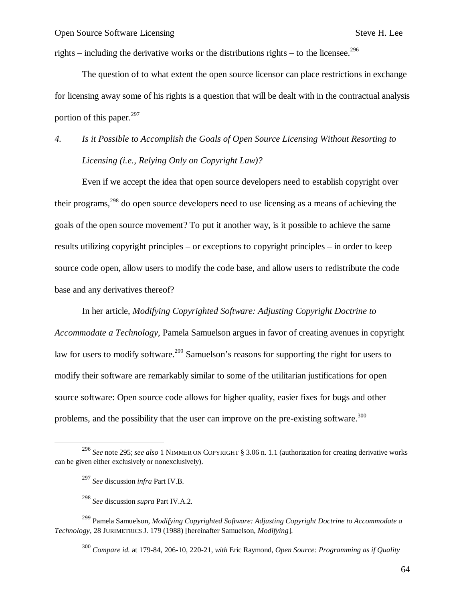rights – including the derivative works or the distributions rights – to the licensee.<sup>296</sup>

The question of to what extent the open source licensor can place restrictions in exchange for licensing away some of his rights is a question that will be dealt with in the contractual analysis portion of this paper. $297$ 

# *4. Is it Possible to Accomplish the Goals of Open Source Licensing Without Resorting to Licensing (i.e., Relying Only on Copyright Law)?*

Even if we accept the idea that open source developers need to establish copyright over their programs,<sup>298</sup> do open source developers need to use licensing as a means of achieving the goals of the open source movement? To put it another way, is it possible to achieve the same results utilizing copyright principles – or exceptions to copyright principles – in order to keep source code open, allow users to modify the code base, and allow users to redistribute the code base and any derivatives thereof?

In her article, *Modifying Copyrighted Software: Adjusting Copyright Doctrine to Accommodate a Technology*, Pamela Samuelson argues in favor of creating avenues in copyright law for users to modify software.<sup>299</sup> Samuelson's reasons for supporting the right for users to modify their software are remarkably similar to some of the utilitarian justifications for open source software: Open source code allows for higher quality, easier fixes for bugs and other problems, and the possibility that the user can improve on the pre-existing software.<sup>300</sup>

1

<sup>299</sup> Pamela Samuelson, *Modifying Copyrighted Software: Adjusting Copyright Doctrine to Accommodate a Technology*, 28 JURIMETRICS J. 179 (1988) [hereinafter Samuelson, *Modifying*].

<sup>300</sup> *Compare id.* at 179-84, 206-10, 220-21, *with* Eric Raymond, *Open Source: Programming as if Quality* 

<sup>296</sup> *See* note 295; *see also* 1 NIMMER ON COPYRIGHT § 3.06 n. 1.1 (authorization for creating derivative works can be given either exclusively or nonexclusively).

<sup>297</sup> *See* discussion *infra* Part IV.B.

<sup>298</sup> *See* discussion *supra* Part IV.A.2.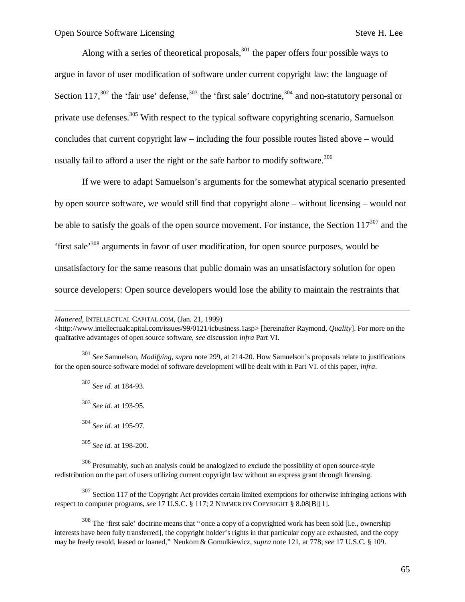Along with a series of theoretical proposals, $301$  the paper offers four possible ways to argue in favor of user modification of software under current copyright law: the language of Section 117,<sup>302</sup> the 'fair use' defense,<sup>303</sup> the 'first sale' doctrine,<sup>304</sup> and non-statutory personal or private use defenses.<sup>305</sup> With respect to the typical software copyrighting scenario, Samuelson concludes that current copyright law – including the four possible routes listed above – would usually fail to afford a user the right or the safe harbor to modify software.<sup>306</sup>

If we were to adapt Samuelson's arguments for the somewhat atypical scenario presented by open source software, we would still find that copyright alone – without licensing – would not be able to satisfy the goals of the open source movement. For instance, the Section  $117^{307}$  and the 'first sale' <sup>308</sup> arguments in favor of user modification, for open source purposes, would be unsatisfactory for the same reasons that public domain was an unsatisfactory solution for open source developers: Open source developers would lose the ability to maintain the restraints that

<sup>301</sup> *See* Samuelson, *Modifying*, *supra* note 299, at 214-20. How Samuelson's proposals relate to justifications for the open source software model of software development will be dealt with in Part VI. of this paper, *infra*.

 *See id.* at 184-93. *See id.* at 193-95. *See id.* at 195-97. *See id.* at 198-200.

-

 $306$  Presumably, such an analysis could be analogized to exclude the possibility of open source-style redistribution on the part of users utilizing current copyright law without an express grant through licensing.

<sup>307</sup> Section 117 of the Copyright Act provides certain limited exemptions for otherwise infringing actions with respect to computer programs, see 17 U.S.C. § 117; 2 NIMMER ON COPYRIGHT § 8.08[B][1].

<sup>308</sup> The 'first sale' doctrine means that "once a copy of a copyrighted work has been sold [i.e., ownership interests have been fully transferred], the copyright holder's rights in that particular copy are exhausted, and the copy may be freely resold, leased or loaned," Neukom & Gomulkiewicz, *supra* note 121, at 778; *see* 17 U.S.C. § 109.

*Mattered*, INTELLECTUAL CAPITAL.COM, (Jan. 21, 1999)

 $\lt$ http://www.intellectualcapital.com/issues/99/0121/icbusiness.1asp> [hereinafter Raymond, *Quality*]. For more on the qualitative advantages of open source software, *see* discussion *infra* Part VI.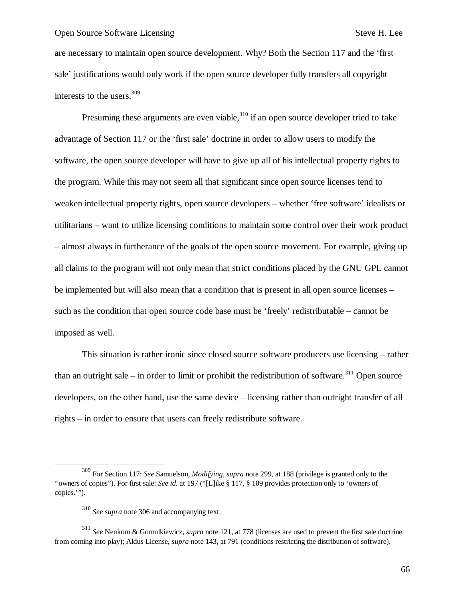are necessary to maintain open source development. Why? Both the Section 117 and the 'first sale' justifications would only work if the open source developer fully transfers all copyright interests to the users.<sup>309</sup>

Presuming these arguments are even viable,  $310$  if an open source developer tried to take advantage of Section 117 or the 'first sale' doctrine in order to allow users to modify the software, the open source developer will have to give up all of his intellectual property rights to the program. While this may not seem all that significant since open source licenses tend to weaken intellectual property rights, open source developers – whether 'free software' idealists or utilitarians – want to utilize licensing conditions to maintain some control over their work product – almost always in furtherance of the goals of the open source movement. For example, giving up all claims to the program will not only mean that strict conditions placed by the GNU GPL cannot be implemented but will also mean that a condition that is present in all open source licenses – such as the condition that open source code base must be 'freely' redistributable – cannot be imposed as well.

This situation is rather ironic since closed source software producers use licensing – rather than an outright sale – in order to limit or prohibit the redistribution of software.<sup>311</sup> Open source developers, on the other hand, use the same device – licensing rather than outright transfer of all rights – in order to ensure that users can freely redistribute software.

1

<sup>309</sup> For Section 117: *See* Samuelson, *Modifying*, *supra* note 299, at 188 (privilege is granted only to the "owners of copies"). For first sale: *See id.* at 197 ("[L]ike § 117, § 109 provides protection only to 'owners of copies.'").

<sup>310</sup> *See supra* note 306 and accompanying text.

<sup>311</sup> *See* Neukom & Gomulkiewicz, *supra* note 121, at 778 (licenses are used to prevent the first sale doctrine from coming into play); Aldus License, *supra* note 143, at 791 (conditions restricting the distribution of software).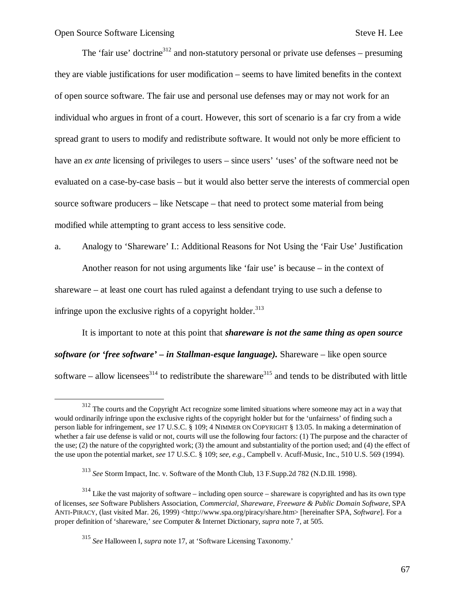1

The 'fair use' doctrine<sup>312</sup> and non-statutory personal or private use defenses – presuming they are viable justifications for user modification – seems to have limited benefits in the context of open source software. The fair use and personal use defenses may or may not work for an individual who argues in front of a court. However, this sort of scenario is a far cry from a wide spread grant to users to modify and redistribute software. It would not only be more efficient to have an *ex ante* licensing of privileges to users – since users' 'uses' of the software need not be evaluated on a case-by-case basis – but it would also better serve the interests of commercial open source software producers – like Netscape – that need to protect some material from being modified while attempting to grant access to less sensitive code.

a. Analogy to 'Shareware' I.: Additional Reasons for Not Using the 'Fair Use' Justification Another reason for not using arguments like 'fair use' is because – in the context of shareware – at least one court has ruled against a defendant trying to use such a defense to infringe upon the exclusive rights of a copyright holder. $313$ 

It is important to note at this point that *shareware is not the same thing as open source software (or 'free software' – in Stallman-esque language).* Shareware – like open source software – allow licensees<sup>314</sup> to redistribute the shareware<sup>315</sup> and tends to be distributed with little

<sup>&</sup>lt;sup>312</sup> The courts and the Copyright Act recognize some limited situations where someone may act in a way that would ordinarily infringe upon the exclusive rights of the copyright holder but for the 'unfairness' of finding such a person liable for infringement, *see* 17 U.S.C. § 109; 4 NIMMER ON COPYRIGHT § 13.05. In making a determination of whether a fair use defense is valid or not, courts will use the following four factors: (1) The purpose and the character of the use; (2) the nature of the copyrighted work; (3) the amount and substantiality of the portion used; and (4) the effect of the use upon the potential market, *see* 17 U.S.C. § 109; *see, e.g.,* Campbell v. Acuff-Music, Inc., 510 U.S. 569 (1994).

<sup>313</sup> *See* Storm Impact, Inc. v. Software of the Month Club, 13 F.Supp.2d 782 (N.D.Ill. 1998).

<sup>&</sup>lt;sup>314</sup> Like the vast majority of software – including open source – shareware is copyrighted and has its own type of licenses, *see* Software Publishers Association, *Commercial, Shareware, Freeware & Public Domain Software*, SPA ANTI-PIRACY, (last visited Mar. 26, 1999) <http://www.spa.org/piracy/share.htm> [hereinafter SPA, *Software*]. For a proper definition of 'shareware,' *see* Computer & Internet Dictionary, *supra* note 7, at 505.

<sup>315</sup> *See* Halloween I, *supra* note 17, at 'Software Licensing Taxonomy.'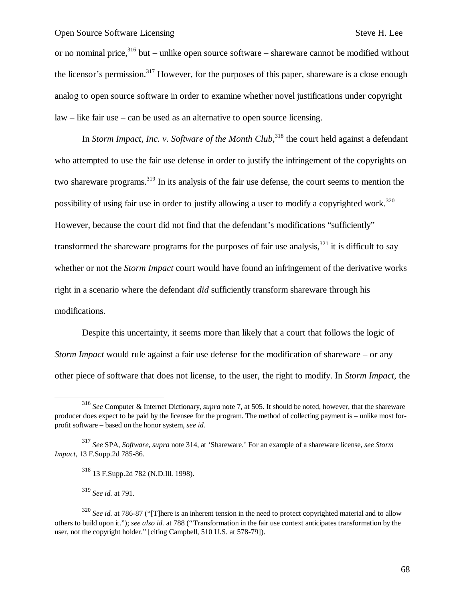or no nominal price, $316$  but – unlike open source software – shareware cannot be modified without the licensor's permission.<sup>317</sup> However, for the purposes of this paper, shareware is a close enough analog to open source software in order to examine whether novel justifications under copyright law – like fair use – can be used as an alternative to open source licensing.

In *Storm Impact, Inc. v. Software of the Month Club*,<sup>318</sup> the court held against a defendant who attempted to use the fair use defense in order to justify the infringement of the copyrights on two shareware programs.<sup>319</sup> In its analysis of the fair use defense, the court seems to mention the possibility of using fair use in order to justify allowing a user to modify a copyrighted work.<sup>320</sup> However, because the court did not find that the defendant's modifications "sufficiently" transformed the shareware programs for the purposes of fair use analysis,  $321$  it is difficult to say whether or not the *Storm Impact* court would have found an infringement of the derivative works right in a scenario where the defendant *did* sufficiently transform shareware through his modifications.

Despite this uncertainty, it seems more than likely that a court that follows the logic of *Storm Impact* would rule against a fair use defense for the modification of shareware – or any other piece of software that does not license, to the user, the right to modify. In *Storm Impact*, the

 $\overline{\phantom{a}}$ 

<sup>316</sup> *See* Computer & Internet Dictionary, *supra* note 7, at 505. It should be noted, however, that the shareware producer does expect to be paid by the licensee for the program. The method of collecting payment is – unlike most forprofit software – based on the honor system, *see id.*

<sup>317</sup> *See* SPA, *Software*, *supra* note 314, at 'Shareware.' For an example of a shareware license, *see Storm Impact*, 13 F.Supp.2d 785-86.

<sup>318</sup> 13 F.Supp.2d 782 (N.D.Ill. 1998).

<sup>319</sup> *See id.* at 791.

<sup>&</sup>lt;sup>320</sup> *See id.* at 786-87 ("[T]here is an inherent tension in the need to protect copyrighted material and to allow others to build upon it."); *see also id.* at 788 ("Transformation in the fair use context anticipates transformation by the user, not the copyright holder." [citing Campbell, 510 U.S. at 578-79]).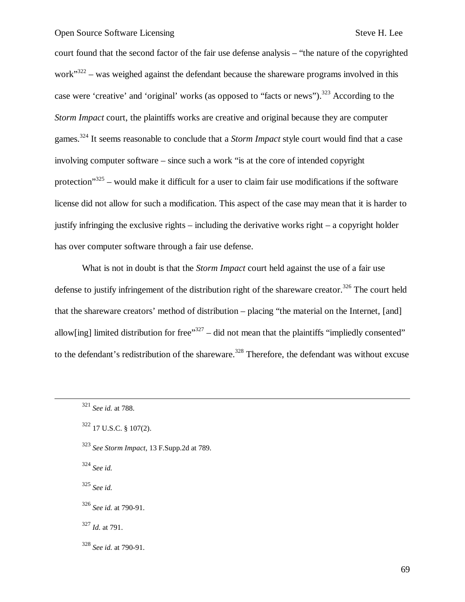court found that the second factor of the fair use defense analysis – "the nature of the copyrighted work $322$  – was weighed against the defendant because the shareware programs involved in this case were 'creative' and 'original' works (as opposed to "facts or news").<sup>323</sup> According to the *Storm Impact* court, the plaintiffs works are creative and original because they are computer games.<sup>324</sup> It seems reasonable to conclude that a *Storm Impact* style court would find that a case involving computer software – since such a work "is at the core of intended copyright protection"<sup>325</sup> – would make it difficult for a user to claim fair use modifications if the software license did not allow for such a modification. This aspect of the case may mean that it is harder to justify infringing the exclusive rights – including the derivative works right – a copyright holder has over computer software through a fair use defense.

What is not in doubt is that the *Storm Impact* court held against the use of a fair use defense to justify infringement of the distribution right of the shareware creator.<sup>326</sup> The court held that the shareware creators' method of distribution – placing "the material on the Internet, [and] allow[ing] limited distribution for free"<sup>327</sup> – did not mean that the plaintiffs "impliedly consented" to the defendant's redistribution of the shareware.<sup>328</sup> Therefore, the defendant was without excuse

<sup>323</sup> *See Storm Impact*, 13 F.Supp.2d at 789.

<sup>324</sup> *See id.*

 $\overline{a}$ 

<sup>325</sup> *See id.*

<sup>327</sup> *Id.* at 791.

<sup>328</sup> *See id.* at 790-91.

<sup>321</sup> *See id.* at 788.

 $322$  17 U.S.C. § 107(2).

<sup>326</sup> *See id.* at 790-91.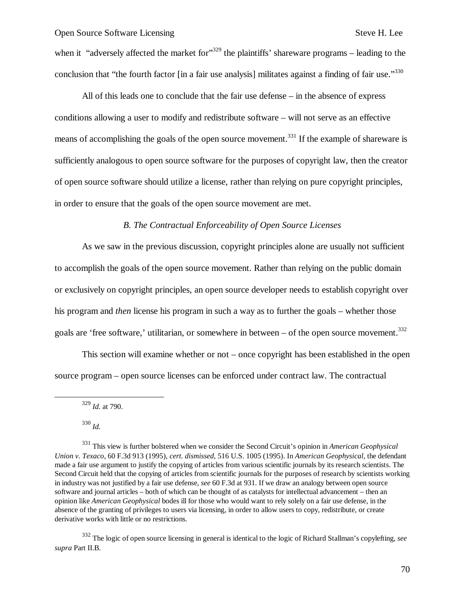when it "adversely affected the market for"<sup>329</sup> the plaintiffs' shareware programs – leading to the conclusion that "the fourth factor [in a fair use analysis] militates against a finding of fair use."330

All of this leads one to conclude that the fair use defense – in the absence of express conditions allowing a user to modify and redistribute software – will not serve as an effective means of accomplishing the goals of the open source movement.<sup>331</sup> If the example of shareware is sufficiently analogous to open source software for the purposes of copyright law, then the creator of open source software should utilize a license, rather than relying on pure copyright principles, in order to ensure that the goals of the open source movement are met.

## *B. The Contractual Enforceability of Open Source Licenses*

As we saw in the previous discussion, copyright principles alone are usually not sufficient to accomplish the goals of the open source movement. Rather than relying on the public domain or exclusively on copyright principles, an open source developer needs to establish copyright over his program and *then* license his program in such a way as to further the goals – whether those goals are 'free software,' utilitarian, or somewhere in between – of the open source movement.<sup>332</sup>

This section will examine whether or not – once copyright has been established in the open source program – open source licenses can be enforced under contract law. The contractual

<sup>329</sup> *Id.* at 790.

<sup>330</sup> *Id.*

 $\overline{\phantom{a}}$ 

<sup>331</sup> This view is further bolstered when we consider the Second Circuit's opinion in *American Geophysical Union v. Texaco*, 60 F.3d 913 (1995), *cert. dismissed*, 516 U.S. 1005 (1995). In *American Geophysical*, the defendant made a fair use argument to justify the copying of articles from various scientific journals by its research scientists. The Second Circuit held that the copying of articles from scientific journals for the purposes of research by scientists working in industry was not justified by a fair use defense, *see* 60 F.3d at 931. If we draw an analogy between open source software and journal articles – both of which can be thought of as catalysts for intellectual advancement – then an opinion like *American Geophysical* bodes ill for those who would want to rely solely on a fair use defense, in the absence of the granting of privileges to users via licensing, in order to allow users to copy, redistribute, or create derivative works with little or no restrictions.

<sup>332</sup> The logic of open source licensing in general is identical to the logic of Richard Stallman's copylefting, *see supra* Part II.B.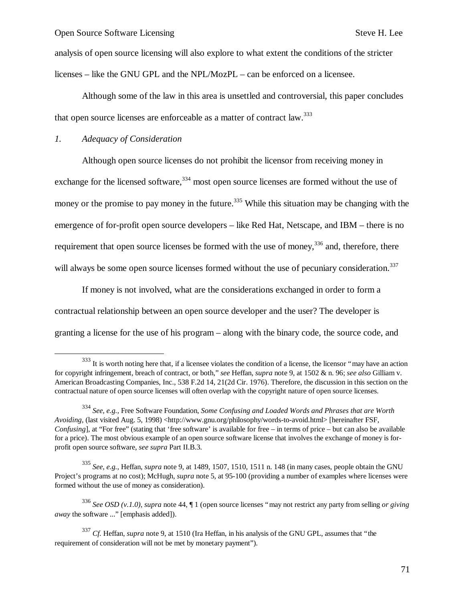analysis of open source licensing will also explore to what extent the conditions of the stricter licenses – like the GNU GPL and the NPL/MozPL – can be enforced on a licensee.

Although some of the law in this area is unsettled and controversial, this paper concludes that open source licenses are enforceable as a matter of contract law.<sup>333</sup>

# *1. Adequacy of Consideration*

 $\overline{\phantom{a}}$ 

Although open source licenses do not prohibit the licensor from receiving money in exchange for the licensed software, $334$  most open source licenses are formed without the use of money or the promise to pay money in the future.<sup>335</sup> While this situation may be changing with the emergence of for-profit open source developers – like Red Hat, Netscape, and IBM – there is no requirement that open source licenses be formed with the use of money,  $336$  and, therefore, there will always be some open source licenses formed without the use of pecuniary consideration.<sup>337</sup>

If money is not involved, what are the considerations exchanged in order to form a contractual relationship between an open source developer and the user? The developer is granting a license for the use of his program – along with the binary code, the source code, and

<sup>&</sup>lt;sup>333</sup> It is worth noting here that, if a licensee violates the condition of a license, the licensor "may have an action for copyright infringement, breach of contract, or both," *see* Heffan, *supra* note 9, at 1502 & n. 96; *see also* Gilliam v. American Broadcasting Companies, Inc., 538 F.2d 14, 21(2d Cir. 1976). Therefore, the discussion in this section on the contractual nature of open source licenses will often overlap with the copyright nature of open source licenses.

<sup>334</sup> *See, e.g.,* Free Software Foundation, *Some Confusing and Loaded Words and Phrases that are Worth Avoiding*, (last visited Aug. 5, 1998) <http://www.gnu.org/philosophy/words-to-avoid.html> [hereinafter FSF, *Confusing*], at "For free" (stating that 'free software' is available for free – in terms of price – but can also be available for a price). The most obvious example of an open source software license that involves the exchange of money is forprofit open source software, *see supra* Part II.B.3.

<sup>335</sup> *See, e.g.,* Heffan, *supra* note 9, at 1489, 1507, 1510, 1511 n. 148 (in many cases, people obtain the GNU Project's programs at no cost); McHugh, *supra* note 5, at 95-100 (providing a number of examples where licenses were formed without the use of money as consideration).

<sup>336</sup> *See OSD (v.1.0)*, *supra* note 44, ¶ 1 (open source licenses "may not restrict any party from selling *or giving away* the software ..." [emphasis added]).

<sup>337</sup> *Cf.* Heffan, *supra* note 9, at 1510 (Ira Heffan, in his analysis of the GNU GPL, assumes that "the requirement of consideration will not be met by monetary payment").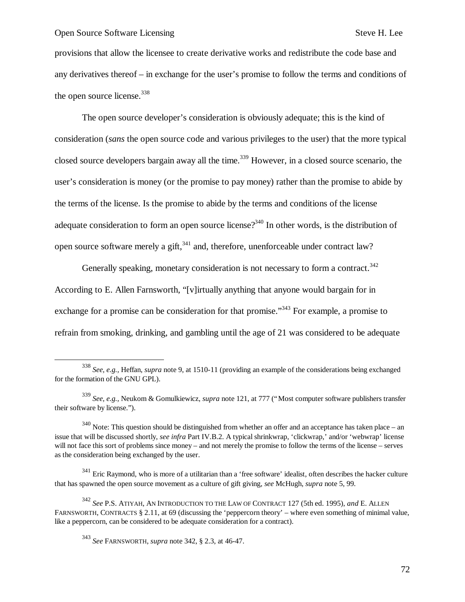1

provisions that allow the licensee to create derivative works and redistribute the code base and any derivatives thereof – in exchange for the user's promise to follow the terms and conditions of the open source license.<sup>338</sup>

The open source developer's consideration is obviously adequate; this is the kind of consideration (*sans* the open source code and various privileges to the user) that the more typical closed source developers bargain away all the time.<sup>339</sup> However, in a closed source scenario, the user's consideration is money (or the promise to pay money) rather than the promise to abide by the terms of the license. Is the promise to abide by the terms and conditions of the license adequate consideration to form an open source license?<sup>340</sup> In other words, is the distribution of open source software merely a gift,  $341$  and, therefore, unenforceable under contract law?

Generally speaking, monetary consideration is not necessary to form a contract.<sup>342</sup> According to E. Allen Farnsworth, "[v]irtually anything that anyone would bargain for in exchange for a promise can be consideration for that promise."<sup>343</sup> For example, a promise to refrain from smoking, drinking, and gambling until the age of 21 was considered to be adequate

 $341$  Eric Raymond, who is more of a utilitarian than a 'free software' idealist, often describes the hacker culture that has spawned the open source movement as a culture of gift giving, *see* McHugh, *supra* note 5, 99.

<sup>342</sup> *See* P.S. ATIYAH, AN INTRODUCTION TO THE LAW OF CONTRACT 127 (5th ed. 1995), *and* E. ALLEN FARNSWORTH, CONTRACTS § 2.11, at 69 (discussing the 'peppercorn theory' – where even something of minimal value, like a peppercorn, can be considered to be adequate consideration for a contract).

<sup>338</sup> *See, e.g.,* Heffan, *supra* note 9, at 1510-11 (providing an example of the considerations being exchanged for the formation of the GNU GPL).

<sup>339</sup> *See, e.g.,* Neukom & Gomulkiewicz, *supra* note 121, at 777 ("Most computer software publishers transfer their software by license.").

 $340$  Note: This question should be distinguished from whether an offer and an acceptance has taken place – an issue that will be discussed shortly, *see infra* Part IV.B.2. A typical shrinkwrap, 'clickwrap,' and/or 'webwrap' license will not face this sort of problems since money – and not merely the promise to follow the terms of the license – serves as the consideration being exchanged by the user.

<sup>343</sup> *See* FARNSWORTH, *supra* note 342, § 2.3, at 46-47.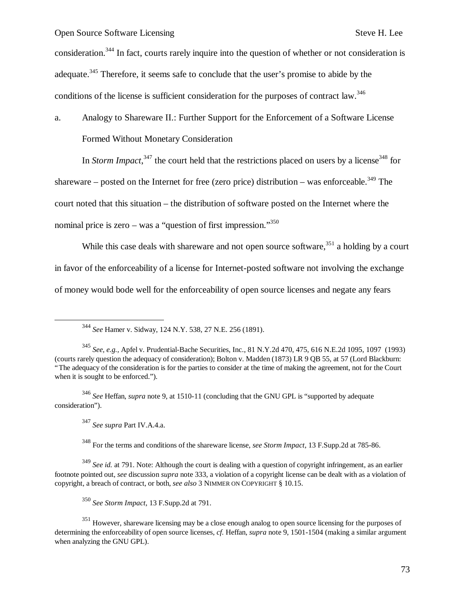consideration.<sup>344</sup> In fact, courts rarely inquire into the question of whether or not consideration is adequate.<sup>345</sup> Therefore, it seems safe to conclude that the user's promise to abide by the conditions of the license is sufficient consideration for the purposes of contract law.<sup>346</sup>

a. Analogy to Shareware II.: Further Support for the Enforcement of a Software License Formed Without Monetary Consideration

In *Storm Impact*,  $347$  the court held that the restrictions placed on users by a license  $348$  for shareware – posted on the Internet for free (zero price) distribution – was enforceable.<sup>349</sup> The court noted that this situation – the distribution of software posted on the Internet where the nominal price is zero – was a "question of first impression."<sup>350</sup>

While this case deals with shareware and not open source software,  $351$  a holding by a court in favor of the enforceability of a license for Internet-posted software not involving the exchange of money would bode well for the enforceability of open source licenses and negate any fears

<sup>346</sup> *See* Heffan, *supra* note 9, at 1510-11 (concluding that the GNU GPL is "supported by adequate consideration").

<sup>347</sup> *See supra* Part IV.A.4.a.

-

<sup>348</sup> For the terms and conditions of the shareware license, *see Storm Impact*, 13 F.Supp.2d at 785-86.

<sup>349</sup> *See id.* at 791. Note: Although the court is dealing with a question of copyright infringement, as an earlier footnote pointed out, *see* discussion *supra* note 333, a violation of a copyright license can be dealt with as a violation of copyright, a breach of contract, or both, *see also* 3 NIMMER ON COPYRIGHT § 10.15.

<sup>350</sup> *See Storm Impact*, 13 F.Supp.2d at 791.

<sup>344</sup> *See* Hamer v. Sidway, 124 N.Y. 538, 27 N.E. 256 (1891).

<sup>345</sup> *See, e.g.,* Apfel v. Prudential-Bache Securities, Inc., 81 N.Y.2d 470, 475, 616 N.E.2d 1095, 1097 (1993) (courts rarely question the adequacy of consideration); Bolton v. Madden (1873) LR 9 QB 55, at 57 (Lord Blackburn: "The adequacy of the consideration is for the parties to consider at the time of making the agreement, not for the Court when it is sought to be enforced.").

<sup>&</sup>lt;sup>351</sup> However, shareware licensing may be a close enough analog to open source licensing for the purposes of determining the enforceability of open source licenses, *cf.* Heffan, *supra* note 9, 1501-1504 (making a similar argument when analyzing the GNU GPL).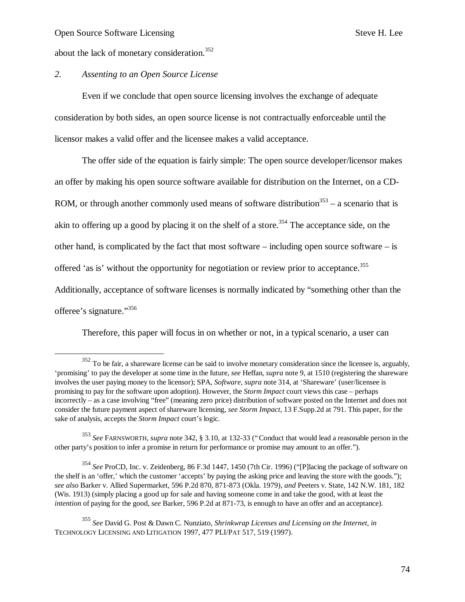$\overline{\phantom{a}}$ 

about the lack of monetary consideration.<sup>352</sup>

#### *2. Assenting to an Open Source License*

Even if we conclude that open source licensing involves the exchange of adequate consideration by both sides, an open source license is not contractually enforceable until the licensor makes a valid offer and the licensee makes a valid acceptance.

The offer side of the equation is fairly simple: The open source developer/licensor makes an offer by making his open source software available for distribution on the Internet, on a CD-ROM, or through another commonly used means of software distribution<sup>353</sup> – a scenario that is akin to offering up a good by placing it on the shelf of a store.<sup>354</sup> The acceptance side, on the other hand, is complicated by the fact that most software – including open source software – is offered 'as is' without the opportunity for negotiation or review prior to acceptance.<sup>355</sup> Additionally, acceptance of software licenses is normally indicated by "something other than the offeree's signature."356

Therefore, this paper will focus in on whether or not, in a typical scenario, a user can

 $352$  To be fair, a shareware license can be said to involve monetary consideration since the licensee is, arguably, 'promising' to pay the developer at some time in the future, *see* Heffan, *supra* note 9, at 1510 (registering the shareware involves the user paying money to the licensor); SPA, *Software*, *supra* note 314, at 'Shareware' (user/licensee is promising to pay for the software upon adoption). However, the *Storm Impact* court views this case – perhaps incorrectly – as a case involving "free" (meaning zero price) distribution of software posted on the Internet and does not consider the future payment aspect of shareware licensing, *see Storm Impact*, 13 F.Supp.2d at 791. This paper, for the sake of analysis, accepts the *Storm Impact* court's logic.

<sup>353</sup> *See* FARNSWORTH, *supra* note 342, § 3.10, at 132-33 ("Conduct that would lead a reasonable person in the other party's position to infer a promise in return for performance or promise may amount to an offer.").

<sup>354</sup> *See* ProCD, Inc. v. Zeidenberg, 86 F.3d 1447, 1450 (7th Cir. 1996) ("[P]lacing the package of software on the shelf is an 'offer,' which the customer 'accepts' by paying the asking price and leaving the store with the goods."); *see also* Barker v. Allied Supermarket, 596 P.2d 870, 871-873 (Okla. 1979), *and* Peeters v. State, 142 N.W. 181, 182 (Wis. 1913) (simply placing a good up for sale and having someone come in and take the good, with at least the *intention* of paying for the good, *see* Barker, 596 P.2d at 871-73, is enough to have an offer and an acceptance).

<sup>355</sup> *See* David G. Post & Dawn C. Nunziato, *Shrinkwrap Licenses and Licensing on the Internet*, *in* TECHNOLOGY LICENSING AND LITIGATION 1997, 477 PLI/PAT 517, 519 (1997).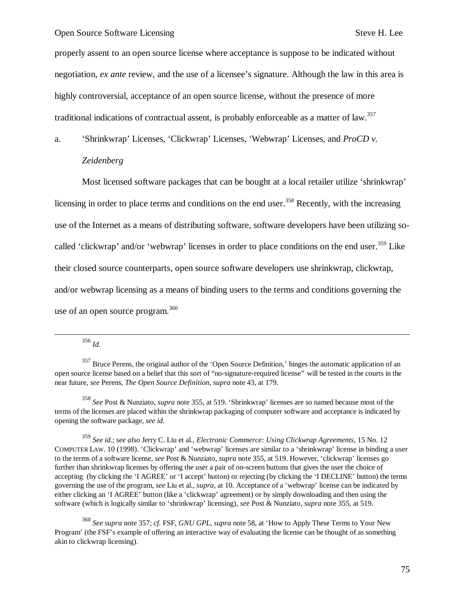properly assent to an open source license where acceptance is suppose to be indicated without negotiation, *ex ante* review, and the use of a licensee's signature. Although the law in this area is highly controversial, acceptance of an open source license, without the presence of more traditional indications of contractual assent, is probably enforceable as a matter of law.<sup>357</sup>

a. 'Shrinkwrap' Licenses, 'Clickwrap' Licenses, 'Webwrap' Licenses, and *ProCD v.* 

#### *Zeidenberg*

Most licensed software packages that can be bought at a local retailer utilize 'shrinkwrap' licensing in order to place terms and conditions on the end user.<sup>358</sup> Recently, with the increasing use of the Internet as a means of distributing software, software developers have been utilizing socalled 'clickwrap' and/or 'webwrap' licenses in order to place conditions on the end user.<sup>359</sup> Like their closed source counterparts, open source software developers use shrinkwrap, clickwrap, and/or webwrap licensing as a means of binding users to the terms and conditions governing the use of an open source program.<sup>360</sup>

<sup>356</sup> *Id.*

 $\overline{a}$ 

<sup>358</sup> *See* Post & Nunziato, *supra* note 355, at 519. 'Shrinkwrap' licenses are so named because most of the terms of the licenses are placed within the shrinkwrap packaging of computer software and acceptance is indicated by opening the software package, *see id.*

<sup>359</sup> *See id.*; *see also* Jerry C. Liu et al., *Electronic Commerce: Using Clickwrap Agreements*, 15 No. 12 COMPUTER LAW. 10 (1998). 'Clickwrap' and 'webwrap' licenses are similar to a 'shrinkwrap' license in binding a user to the terms of a software license, *see* Post & Nunziato, *supra* note 355, at 519. However, 'clickwrap' licenses go further than shrinkwrap licenses by offering the user a pair of on-screen buttons that gives the user the choice of accepting (by clicking the 'I AGREE' or 'I accept' button) or rejecting (by clicking the 'I DECLINE' button) the terms governing the use of the program, *see* Liu et al., *supra*, at 10. Acceptance of a 'webwrap' license can be indicated by either clicking an 'I AGREE' button (like a 'clickwrap' agreement) or by simply downloading and then using the software (which is logically similar to 'shrinkwrap' licensing), *see* Post & Nunziato, *supra* note 355, at 519.

<sup>360</sup> *See supra* note 357; *cf.* FSF, *GNU GPL*, *supra* note 58, at 'How to Apply These Terms to Your New Program' (the FSF's example of offering an interactive way of evaluating the license can be thought of as something akin to clickwrap licensing).

<sup>&</sup>lt;sup>357</sup> Bruce Perens, the original author of the 'Open Source Definition,' hinges the automatic application of an open source license based on a belief that this sort of "no-signature-required license" will be tested in the courts in the near future, *see* Perens, *The Open Source Definition*, *supra* note 43, at 179.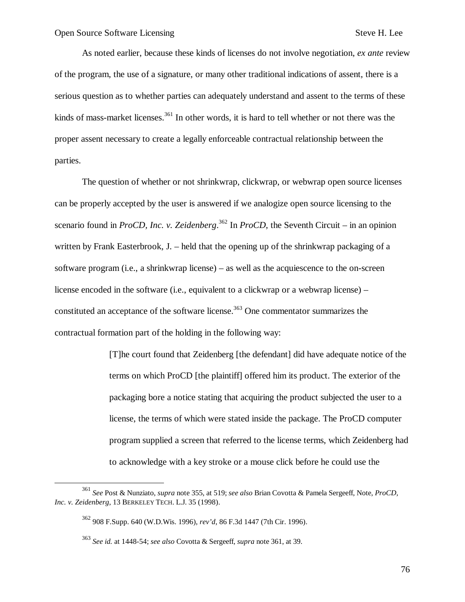As noted earlier, because these kinds of licenses do not involve negotiation, *ex ante* review of the program, the use of a signature, or many other traditional indications of assent, there is a serious question as to whether parties can adequately understand and assent to the terms of these kinds of mass-market licenses.<sup>361</sup> In other words, it is hard to tell whether or not there was the proper assent necessary to create a legally enforceable contractual relationship between the parties.

The question of whether or not shrinkwrap, clickwrap, or webwrap open source licenses can be properly accepted by the user is answered if we analogize open source licensing to the scenario found in *ProCD, Inc. v. Zeidenberg*. <sup>362</sup> In *ProCD*, the Seventh Circuit – in an opinion written by Frank Easterbrook, J. – held that the opening up of the shrinkwrap packaging of a software program (i.e., a shrinkwrap license) – as well as the acquiescence to the on-screen license encoded in the software (i.e., equivalent to a clickwrap or a webwrap license) – constituted an acceptance of the software license.<sup>363</sup> One commentator summarizes the contractual formation part of the holding in the following way:

> [T]he court found that Zeidenberg [the defendant] did have adequate notice of the terms on which ProCD [the plaintiff] offered him its product. The exterior of the packaging bore a notice stating that acquiring the product subjected the user to a license, the terms of which were stated inside the package. The ProCD computer program supplied a screen that referred to the license terms, which Zeidenberg had to acknowledge with a key stroke or a mouse click before he could use the

1

<sup>361</sup> *See* Post & Nunziato, *supra* note 355, at 519; *see also* Brian Covotta & Pamela Sergeeff, Note, *ProCD, Inc. v. Zeidenberg*, 13 BERKELEY TECH. L.J. 35 (1998).

<sup>362</sup> 908 F.Supp. 640 (W.D.Wis. 1996), *rev'd*, 86 F.3d 1447 (7th Cir. 1996).

<sup>363</sup> *See id.* at 1448-54; *see also* Covotta & Sergeeff, *supra* note 361, at 39.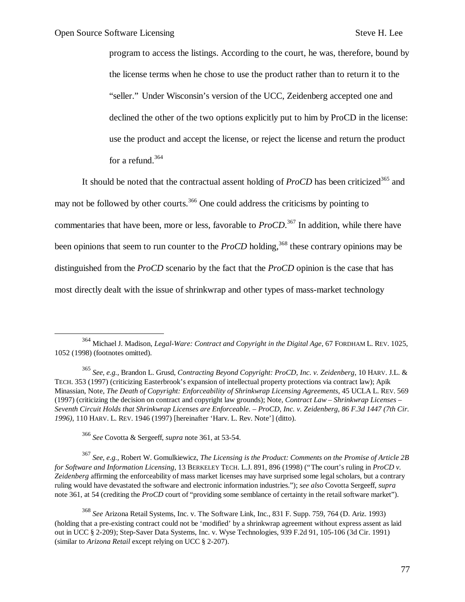$\overline{a}$ 

program to access the listings. According to the court, he was, therefore, bound by the license terms when he chose to use the product rather than to return it to the "seller." Under Wisconsin's version of the UCC, Zeidenberg accepted one and declined the other of the two options explicitly put to him by ProCD in the license: use the product and accept the license, or reject the license and return the product for a refund.<sup>364</sup>

It should be noted that the contractual assent holding of *ProCD* has been criticized<sup>365</sup> and may not be followed by other courts.<sup>366</sup> One could address the criticisms by pointing to commentaries that have been, more or less, favorable to *ProCD*. <sup>367</sup> In addition, while there have been opinions that seem to run counter to the *ProCD* holding,<sup>368</sup> these contrary opinions may be distinguished from the *ProCD* scenario by the fact that the *ProCD* opinion is the case that has most directly dealt with the issue of shrinkwrap and other types of mass-market technology

<sup>367</sup> *See, e.g.,* Robert W. Gomulkiewicz, *The Licensing is the Product: Comments on the Promise of Article 2B for Software and Information Licensing*, 13 BERKELEY TECH. L.J. 891, 896 (1998) ("The court's ruling in *ProCD v. Zeidenberg* affirming the enforceability of mass market licenses may have surprised some legal scholars, but a contrary ruling would have devastated the software and electronic information industries."); *see also* Covotta Sergeeff, *supra* note 361, at 54 (crediting the *ProCD* court of "providing some semblance of certainty in the retail software market").

<sup>368</sup> *See* Arizona Retail Systems, Inc. v. The Software Link, Inc., 831 F. Supp. 759, 764 (D. Ariz. 1993) (holding that a pre-existing contract could not be 'modified' by a shrinkwrap agreement without express assent as laid out in UCC § 2-209); Step-Saver Data Systems, Inc. v. Wyse Technologies, 939 F.2d 91, 105-106 (3d Cir. 1991) (similar to *Arizona Retail* except relying on UCC § 2-207).

<sup>364</sup> Michael J. Madison, *Legal-Ware: Contract and Copyright in the Digital Age*, 67 FORDHAM L. REV. 1025, 1052 (1998) (footnotes omitted).

<sup>365</sup> *See, e.g.,* Brandon L. Grusd, *Contracting Beyond Copyright: ProCD, Inc. v. Zeidenberg*, 10 HARV. J.L. & TECH. 353 (1997) (criticizing Easterbrook's expansion of intellectual property protections via contract law); Apik Minassian, Note, *The Death of Copyright: Enforceability of Shrinkwrap Licensing Agreements*, 45 UCLA L. REV. 569 (1997) (criticizing the decision on contract and copyright law grounds); Note, *Contract Law – Shrinkwrap Licenses – Seventh Circuit Holds that Shrinkwrap Licenses are Enforceable. – ProCD, Inc. v. Zeidenberg, 86 F.3d 1447 (7th Cir. 1996)*, 110 HARV. L. REV. 1946 (1997) [hereinafter 'Harv. L. Rev. Note'] (ditto).

<sup>366</sup> *See* Covotta & Sergeeff, *supra* note 361, at 53-54.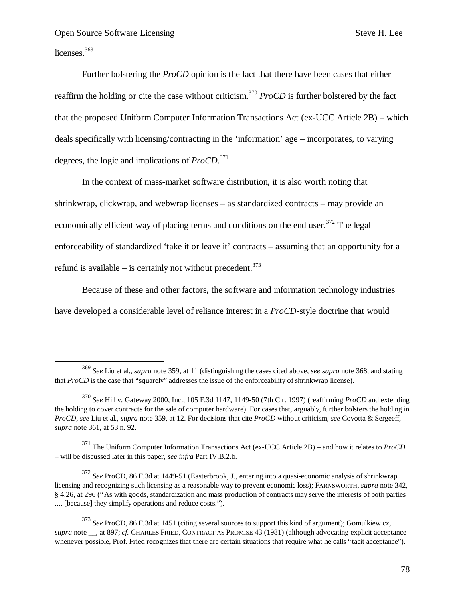licenses.<sup>369</sup>

1

Further bolstering the *ProCD* opinion is the fact that there have been cases that either reaffirm the holding or cite the case without criticism.<sup>370</sup> *ProCD* is further bolstered by the fact that the proposed Uniform Computer Information Transactions Act (ex-UCC Article 2B) – which deals specifically with licensing/contracting in the 'information' age – incorporates, to varying degrees, the logic and implications of *ProCD*. 371

In the context of mass-market software distribution, it is also worth noting that shrinkwrap, clickwrap, and webwrap licenses – as standardized contracts – may provide an economically efficient way of placing terms and conditions on the end user.<sup>372</sup> The legal enforceability of standardized 'take it or leave it' contracts – assuming that an opportunity for a refund is available – is certainly not without precedent.<sup>373</sup>

Because of these and other factors, the software and information technology industries have developed a considerable level of reliance interest in a *ProCD*-style doctrine that would

<sup>369</sup> *See* Liu et al., *supra* note 359, at 11 (distinguishing the cases cited above, *see supra* note 368, and stating that *ProCD* is the case that "squarely" addresses the issue of the enforceability of shrinkwrap license).

<sup>370</sup> *See* Hill v. Gateway 2000, Inc., 105 F.3d 1147, 1149-50 (7th Cir. 1997) (reaffirming *ProCD* and extending the holding to cover contracts for the sale of computer hardware). For cases that, arguably, further bolsters the holding in *ProCD*, *see* Liu et al., *supra* note 359, at 12. For decisions that cite *ProCD* without criticism, *see* Covotta & Sergeeff, *supra* note 361, at 53 n. 92.

<sup>371</sup> The Uniform Computer Information Transactions Act (ex-UCC Article 2B) – and how it relates to *ProCD* – will be discussed later in this paper, *see infra* Part IV.B.2.b.

<sup>372</sup> *See* ProCD, 86 F.3d at 1449-51 (Easterbrook, J., entering into a quasi-economic analysis of shrinkwrap licensing and recognizing such licensing as a reasonable way to prevent economic loss); FARNSWORTH, *supra* note 342, § 4.26, at 296 ("As with goods, standardization and mass production of contracts may serve the interests of both parties .... [because] they simplify operations and reduce costs.").

<sup>373</sup> *See* ProCD, 86 F.3d at 1451 (citing several sources to support this kind of argument); Gomulkiewicz, *supra* note \_\_, at 897; *cf.* CHARLES FRIED, CONTRACT AS PROMISE 43 (1981) (although advocating explicit acceptance whenever possible, Prof. Fried recognizes that there are certain situations that require what he calls "tacit acceptance").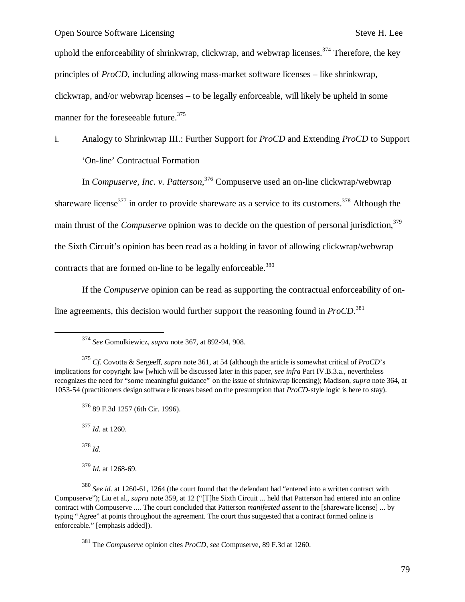uphold the enforceability of shrinkwrap, clickwrap, and webwrap licenses.<sup>374</sup> Therefore, the key principles of *ProCD*, including allowing mass-market software licenses – like shrinkwrap, clickwrap, and/or webwrap licenses – to be legally enforceable, will likely be upheld in some manner for the foreseeable future.<sup>375</sup>

i. Analogy to Shrinkwrap III.: Further Support for *ProCD* and Extending *ProCD* to Support 'On-line' Contractual Formation

In *Compuserve, Inc. v. Patterson*, <sup>376</sup> Compuserve used an on-line clickwrap/webwrap shareware license<sup>377</sup> in order to provide shareware as a service to its customers.<sup>378</sup> Although the main thrust of the *Compuserve* opinion was to decide on the question of personal jurisdiction,<sup>379</sup> the Sixth Circuit's opinion has been read as a holding in favor of allowing clickwrap/webwrap contracts that are formed on-line to be legally enforceable.<sup>380</sup>

If the *Compuserve* opinion can be read as supporting the contractual enforceability of online agreements, this decision would further support the reasoning found in *ProCD*. 381

<sup>377</sup> *Id.* at 1260.

<sup>378</sup> *Id.*

1

<sup>379</sup> *Id.* at 1268-69.

<sup>380</sup> *See id.* at 1260-61, 1264 (the court found that the defendant had "entered into a written contract with Compuserve"); Liu et al., *supra* note 359, at 12 ("[T]he Sixth Circuit ... held that Patterson had entered into an online contract with Compuserve .... The court concluded that Patterson *manifested assent* to the [shareware license] ... by typing "Agree" at points throughout the agreement. The court thus suggested that a contract formed online is enforceable." [emphasis added]).

<sup>381</sup> The *Compuserve* opinion cites *ProCD*, *see* Compuserve, 89 F.3d at 1260.

<sup>374</sup> *See* Gomulkiewicz, *supra* note 367, at 892-94, 908.

<sup>375</sup> *Cf.* Covotta & Sergeeff, *supra* note 361, at 54 (although the article is somewhat critical of *ProCD*'s implications for copyright law [which will be discussed later in this paper, *see infra* Part IV.B.3.a., nevertheless recognizes the need for "some meaningful guidance" on the issue of shrinkwrap licensing); Madison, *supra* note 364, at 1053-54 (practitioners design software licenses based on the presumption that *ProCD*-style logic is here to stay).

<sup>376</sup> 89 F.3d 1257 (6th Cir. 1996).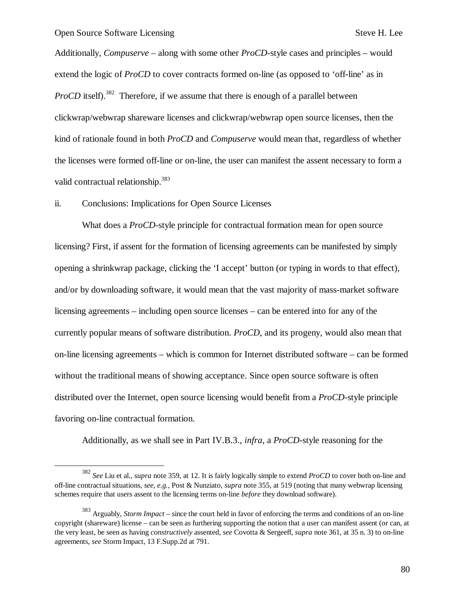-

Additionally, *Compuserve* – along with some other *ProCD*-style cases and principles – would extend the logic of *ProCD* to cover contracts formed on-line (as opposed to 'off-line' as in *ProCD* itself).<sup>382</sup> Therefore, if we assume that there is enough of a parallel between clickwrap/webwrap shareware licenses and clickwrap/webwrap open source licenses, then the kind of rationale found in both *ProCD* and *Compuserve* would mean that, regardless of whether the licenses were formed off-line or on-line, the user can manifest the assent necessary to form a valid contractual relationship.<sup>383</sup>

ii. Conclusions: Implications for Open Source Licenses

What does a *ProCD*-style principle for contractual formation mean for open source licensing? First, if assent for the formation of licensing agreements can be manifested by simply opening a shrinkwrap package, clicking the 'I accept' button (or typing in words to that effect), and/or by downloading software, it would mean that the vast majority of mass-market software licensing agreements – including open source licenses – can be entered into for any of the currently popular means of software distribution. *ProCD*, and its progeny, would also mean that on-line licensing agreements – which is common for Internet distributed software – can be formed without the traditional means of showing acceptance. Since open source software is often distributed over the Internet, open source licensing would benefit from a *ProCD*-style principle favoring on-line contractual formation.

Additionally, as we shall see in Part IV.B.3., *infra*, a *ProCD*-style reasoning for the

<sup>382</sup> *See* Liu et al., *supra* note 359, at 12. It is fairly logically simple to extend *ProCD* to cover both on-line and off-line contractual situations, *see, e.g.,* Post & Nunziato, *supra* note 355, at 519 (noting that many webwrap licensing schemes require that users assent to the licensing terms on-line *before* they download software).

<sup>383</sup> Arguably, *Storm Impact* – since the court held in favor of enforcing the terms and conditions of an on-line copyright (shareware) license – can be seen as furthering supporting the notion that a user can manifest assent (or can, at the very least, be seen as having *constructively* assented, *see* Covotta & Sergeeff, *supra* note 361, at 35 n. 3) to on-line agreements, *see* Storm Impact, 13 F.Supp.2d at 791.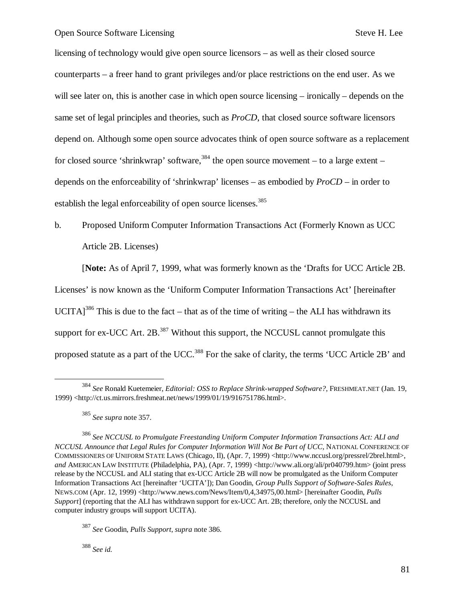licensing of technology would give open source licensors – as well as their closed source counterparts – a freer hand to grant privileges and/or place restrictions on the end user. As we will see later on, this is another case in which open source licensing – ironically – depends on the same set of legal principles and theories, such as *ProCD*, that closed source software licensors depend on. Although some open source advocates think of open source software as a replacement for closed source 'shrinkwrap' software,  $384$  the open source movement – to a large extent – depends on the enforceability of 'shrinkwrap' licenses – as embodied by *ProCD* – in order to establish the legal enforceability of open source licenses.<sup>385</sup>

# b. Proposed Uniform Computer Information Transactions Act (Formerly Known as UCC Article 2B. Licenses)

[**Note:** As of April 7, 1999, what was formerly known as the 'Drafts for UCC Article 2B.

Licenses' is now known as the 'Uniform Computer Information Transactions Act' [hereinafter UCITA]<sup>386</sup> This is due to the fact – that as of the time of writing – the ALI has withdrawn its support for ex-UCC Art.  $2B^{387}$  Without this support, the NCCUSL cannot promulgate this proposed statute as a part of the UCC.<sup>388</sup> For the sake of clarity, the terms 'UCC Article 2B' and

 $\overline{a}$ 

<sup>388</sup> *See id.*

<sup>384</sup> *See* Ronald Kuetemeier, *Editorial: OSS to Replace Shrink-wrapped Software?*, FRESHMEAT.NET (Jan. 19, 1999) <http://ct.us.mirrors.freshmeat.net/news/1999/01/19/916751786.html>.

<sup>385</sup> *See supra* note 357.

<sup>386</sup> *See NCCUSL to Promulgate Freestanding Uniform Computer Information Transactions Act: ALI and NCCUSL Announce that Legal Rules for Computer Information Will Not Be Part of UCC*, NATIONAL CONFERENCE OF COMMISSIONERS OF UNIFORM STATE LAWS (Chicago, II), (Apr. 7, 1999) <http://www.nccusl.org/pressrel/2brel.html>, *and* AMERICAN LAW INSTITUTE (Philadelphia, PA), (Apr. 7, 1999) <http://www.ali.org/ali/pr040799.htm> (joint press release by the NCCUSL and ALI stating that ex-UCC Article 2B will now be promulgated as the Uniform Computer Information Transactions Act [hereinafter 'UCITA']); Dan Goodin, *Group Pulls Support of Software-Sales Rules*, NEWS.COM (Apr. 12, 1999) <http://www.news.com/News/Item/0,4,34975,00.html> [hereinafter Goodin, *Pulls Support*] (reporting that the ALI has withdrawn support for ex-UCC Art. 2B; therefore, only the NCCUSL and computer industry groups will support UCITA).

<sup>387</sup> *See* Goodin, *Pulls Support*, *supra* note 386.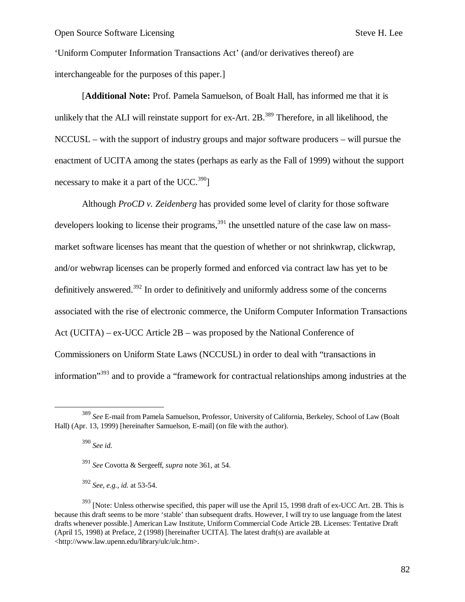'Uniform Computer Information Transactions Act' (and/or derivatives thereof) are interchangeable for the purposes of this paper.]

[**Additional Note:** Prof. Pamela Samuelson, of Boalt Hall, has informed me that it is unlikely that the ALI will reinstate support for ex-Art. 2B.<sup>389</sup> Therefore, in all likelihood, the NCCUSL – with the support of industry groups and major software producers – will pursue the enactment of UCITA among the states (perhaps as early as the Fall of 1999) without the support necessary to make it a part of the UCC.<sup>390</sup>]

Although *ProCD v. Zeidenberg* has provided some level of clarity for those software developers looking to license their programs,  $391$  the unsettled nature of the case law on massmarket software licenses has meant that the question of whether or not shrinkwrap, clickwrap, and/or webwrap licenses can be properly formed and enforced via contract law has yet to be definitively answered.<sup>392</sup> In order to definitively and uniformly address some of the concerns associated with the rise of electronic commerce, the Uniform Computer Information Transactions Act (UCITA) – ex-UCC Article 2B – was proposed by the National Conference of Commissioners on Uniform State Laws (NCCUSL) in order to deal with "transactions in information<sup>"393</sup> and to provide a "framework for contractual relationships among industries at the

<sup>390</sup> *See id.*

1

<sup>389</sup> *See* E-mail from Pamela Samuelson, Professor, University of California, Berkeley, School of Law (Boalt Hall) (Apr. 13, 1999) [hereinafter Samuelson, E-mail] (on file with the author).

<sup>391</sup> *See* Covotta & Sergeeff, *supra* note 361, at 54.

<sup>392</sup> *See, e.g., id.* at 53-54.

<sup>&</sup>lt;sup>393</sup> [Note: Unless otherwise specified, this paper will use the April 15, 1998 draft of ex-UCC Art. 2B. This is because this draft seems to be more 'stable' than subsequent drafts. However, I will try to use language from the latest drafts whenever possible.] American Law Institute, Uniform Commercial Code Article 2B. Licenses: Tentative Draft (April 15, 1998) at Preface, 2 (1998) [hereinafter UCITA]. The latest draft(s) are available at <http://www.law.upenn.edu/library/ulc/ulc.htm>.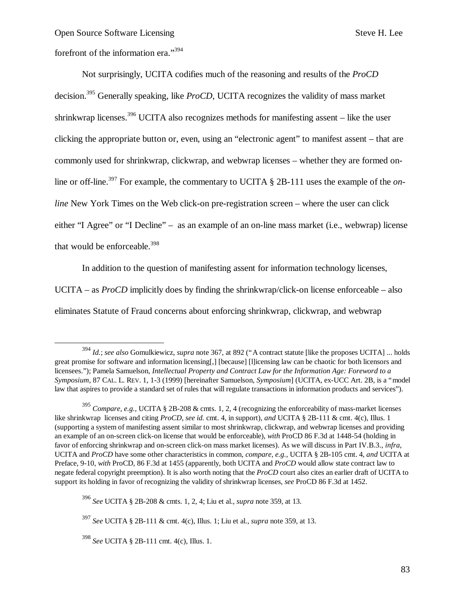$\overline{\phantom{a}}$ 

forefront of the information era."<sup>394</sup>

Not surprisingly, UCITA codifies much of the reasoning and results of the *ProCD* decision.<sup>395</sup> Generally speaking, like *ProCD*, UCITA recognizes the validity of mass market shrinkwrap licenses.<sup>396</sup> UCITA also recognizes methods for manifesting assent – like the user clicking the appropriate button or, even, using an "electronic agent" to manifest assent – that are commonly used for shrinkwrap, clickwrap, and webwrap licenses – whether they are formed online or off-line.<sup>397</sup> For example, the commentary to UCITA § 2B-111 uses the example of the *online* New York Times on the Web click-on pre-registration screen – where the user can click either "I Agree" or "I Decline" – as an example of an on-line mass market (i.e., webwrap) license that would be enforceable.<sup>398</sup>

In addition to the question of manifesting assent for information technology licenses,

UCITA – as *ProCD* implicitly does by finding the shrinkwrap/click-on license enforceable – also

eliminates Statute of Fraud concerns about enforcing shrinkwrap, clickwrap, and webwrap

<sup>394</sup> *Id.*; *see also* Gomulkiewicz, *supra* note 367, at 892 ("A contract statute [like the proposes UCITA] ... holds great promise for software and information licensing[,] [because] [l]icensing law can be chaotic for both licensors and licensees."); Pamela Samuelson, *Intellectual Property and Contract Law for the Information Age: Foreword to a Symposium*, 87 CAL. L. REV. 1, 1-3 (1999) [hereinafter Samuelson, *Symposium*] (UCITA, ex-UCC Art. 2B, is a "model law that aspires to provide a standard set of rules that will regulate transactions in information products and services").

<sup>395</sup> *Compare, e.g.,* UCITA § 2B-208 & cmts. 1, 2, 4 (recognizing the enforceability of mass-market licenses like shrinkwrap licenses and citing *ProCD*, *see id.* cmt. 4, in support), *and* UCITA § 2B-111 & cmt. 4(c), Illus. 1 (supporting a system of manifesting assent similar to most shrinkwrap, clickwrap, and webwrap licenses and providing an example of an on-screen click-on license that would be enforceable), *with* ProCD 86 F.3d at 1448-54 (holding in favor of enforcing shrinkwrap and on-screen click-on mass market licenses). As we will discuss in Part IV.B.3., *infra*, UCITA and *ProCD* have some other characteristics in common, *compare, e.g.,* UCITA § 2B-105 cmt. 4, *and* UCITA at Preface, 9-10, *with* ProCD, 86 F.3d at 1455 (apparently, both UCITA and *ProCD* would allow state contract law to negate federal copyright preemption). It is also worth noting that the *ProCD* court also cites an earlier draft of UCITA to support its holding in favor of recognizing the validity of shrinkwrap licenses, *see* ProCD 86 F.3d at 1452.

<sup>396</sup> *See* UCITA § 2B-208 & cmts. 1, 2, 4; Liu et al., *supra* note 359, at 13.

<sup>397</sup> *See* UCITA § 2B-111 & cmt. 4(c), Illus. 1; Liu et al., *supra* note 359, at 13.

<sup>398</sup> *See* UCITA § 2B-111 cmt. 4(c), Illus. 1.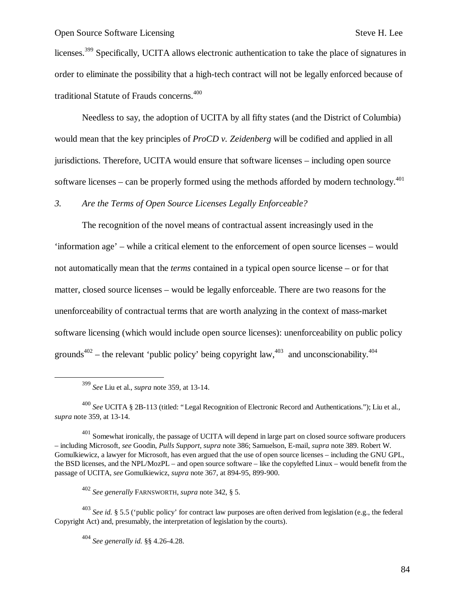licenses.<sup>399</sup> Specifically, UCITA allows electronic authentication to take the place of signatures in order to eliminate the possibility that a high-tech contract will not be legally enforced because of traditional Statute of Frauds concerns.<sup>400</sup>

Needless to say, the adoption of UCITA by all fifty states (and the District of Columbia) would mean that the key principles of *ProCD v. Zeidenberg* will be codified and applied in all jurisdictions. Therefore, UCITA would ensure that software licenses – including open source software licenses – can be properly formed using the methods afforded by modern technology.<sup>401</sup>

## *3. Are the Terms of Open Source Licenses Legally Enforceable?*

The recognition of the novel means of contractual assent increasingly used in the 'information age' – while a critical element to the enforcement of open source licenses – would not automatically mean that the *terms* contained in a typical open source license – or for that matter, closed source licenses – would be legally enforceable. There are two reasons for the unenforceability of contractual terms that are worth analyzing in the context of mass-market software licensing (which would include open source licenses): unenforceability on public policy grounds<sup>402</sup> – the relevant 'public policy' being copyright law,<sup>403</sup> and unconscionability.<sup>404</sup>

1

<sup>399</sup> *See* Liu et al., *supra* note 359, at 13-14.

<sup>400</sup> *See* UCITA § 2B-113 (titled: "Legal Recognition of Electronic Record and Authentications."); Liu et al., *supra* note 359, at 13-14.

 $401$  Somewhat ironically, the passage of UCITA will depend in large part on closed source software producers – including Microsoft, *see* Goodin, *Pulls Support*, *supra* note 386; Samuelson, E-mail, *supra* note 389. Robert W. Gomulkiewicz, a lawyer for Microsoft, has even argued that the use of open source licenses – including the GNU GPL, the BSD licenses, and the NPL/MozPL – and open source software – like the copylefted Linux – would benefit from the passage of UCITA, *see* Gomulkiewicz, *supra* note 367, at 894-95, 899-900.

<sup>402</sup> *See generally* FARNSWORTH, *supra* note 342, § 5.

<sup>403</sup> *See id.* § 5.5 ('public policy' for contract law purposes are often derived from legislation (e.g., the federal Copyright Act) and, presumably, the interpretation of legislation by the courts).

<sup>404</sup> *See generally id.* §§ 4.26-4.28.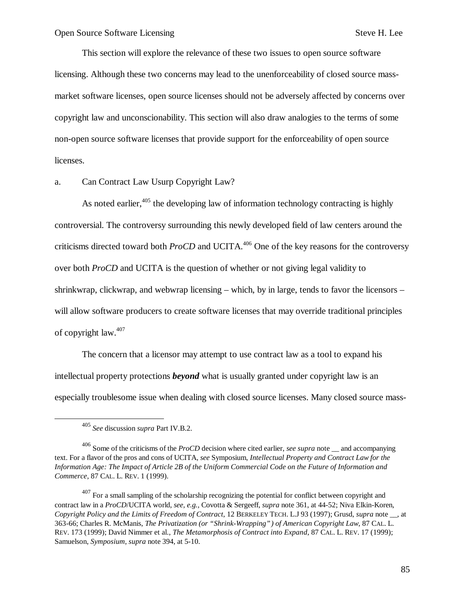This section will explore the relevance of these two issues to open source software licensing. Although these two concerns may lead to the unenforceability of closed source massmarket software licenses, open source licenses should not be adversely affected by concerns over copyright law and unconscionability. This section will also draw analogies to the terms of some non-open source software licenses that provide support for the enforceability of open source licenses.

a. Can Contract Law Usurp Copyright Law?

As noted earlier, $405$  the developing law of information technology contracting is highly controversial. The controversy surrounding this newly developed field of law centers around the criticisms directed toward both *ProCD* and UCITA.<sup>406</sup> One of the key reasons for the controversy over both *ProCD* and UCITA is the question of whether or not giving legal validity to shrinkwrap, clickwrap, and webwrap licensing – which, by in large, tends to favor the licensors – will allow software producers to create software licenses that may override traditional principles of copyright law.<sup>407</sup>

The concern that a licensor may attempt to use contract law as a tool to expand his intellectual property protections *beyond* what is usually granted under copyright law is an especially troublesome issue when dealing with closed source licenses. Many closed source mass-

 $\overline{a}$ 

<sup>405</sup> *See* discussion *supra* Part IV.B.2.

<sup>406</sup> Some of the criticisms of the *ProCD* decision where cited earlier, *see supra* note \_\_ and accompanying text. For a flavor of the pros and cons of UCITA, *see* Symposium, *Intellectual Property and Contract Law for the Information Age: The Impact of Article 2B of the Uniform Commercial Code on the Future of Information and Commerce*, 87 CAL. L. REV. 1 (1999).

 $407$  For a small sampling of the scholarship recognizing the potential for conflict between copyright and contract law in a *ProCD*/UCITA world, *see, e.g.,* Covotta & Sergeeff, *supra* note 361, at 44-52; Niva Elkin-Koren, *Copyright Policy and the Limits of Freedom of Contract*, 12 BERKELEY TECH. L.J 93 (1997); Grusd, *supra* note \_\_, at 363-66; Charles R. McManis, *The Privatization (or "Shrink-Wrapping") of American Copyright Law*, 87 CAL. L. REV. 173 (1999); David Nimmer et al., *The Metamorphosis of Contract into Expand*, 87 CAL. L. REV. 17 (1999); Samuelson, *Symposium*, *supra* note 394, at 5-10.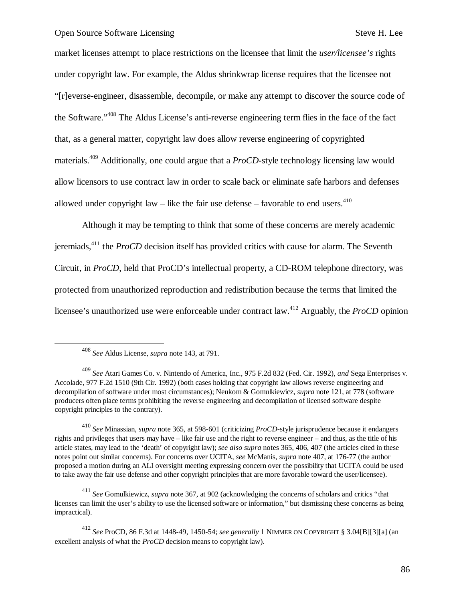market licenses attempt to place restrictions on the licensee that limit the *user/licensee's* rights under copyright law. For example, the Aldus shrinkwrap license requires that the licensee not "[r]everse-engineer, disassemble, decompile, or make any attempt to discover the source code of the Software." <sup>408</sup> The Aldus License's anti-reverse engineering term flies in the face of the fact that, as a general matter, copyright law does allow reverse engineering of copyrighted materials.<sup>409</sup> Additionally, one could argue that a *ProCD*-style technology licensing law would allow licensors to use contract law in order to scale back or eliminate safe harbors and defenses allowed under copyright law – like the fair use defense – favorable to end users. $410$ 

Although it may be tempting to think that some of these concerns are merely academic jeremiads,<sup>411</sup> the *ProCD* decision itself has provided critics with cause for alarm. The Seventh Circuit, in *ProCD*, held that ProCD's intellectual property, a CD-ROM telephone directory, was protected from unauthorized reproduction and redistribution because the terms that limited the licensee's unauthorized use were enforceable under contract law.<sup>412</sup> Arguably, the *ProCD* opinion

 $\overline{a}$ 

<sup>410</sup> *See* Minassian, *supra* note 365, at 598-601 (criticizing *ProCD*-style jurisprudence because it endangers rights and privileges that users may have – like fair use and the right to reverse engineer – and thus, as the title of his article states, may lead to the 'death' of copyright law); *see also supra* notes 365, 406, 407 (the articles cited in these notes point out similar concerns). For concerns over UCITA, *see* McManis, *supra* note 407, at 176-77 (the author proposed a motion during an ALI oversight meeting expressing concern over the possibility that UCITA could be used to take away the fair use defense and other copyright principles that are more favorable toward the user/licensee).

<sup>411</sup> *See* Gomulkiewicz, *supra* note 367, at 902 (acknowledging the concerns of scholars and critics "that licenses can limit the user's ability to use the licensed software or information," but dismissing these concerns as being impractical).

<sup>412</sup> *See* ProCD, 86 F.3d at 1448-49, 1450-54; *see generally* 1 NIMMER ON COPYRIGHT § 3.04[B][3][a] (an excellent analysis of what the *ProCD* decision means to copyright law).

<sup>408</sup> *See* Aldus License, *supra* note 143, at 791.

<sup>409</sup> *See* Atari Games Co. v. Nintendo of America, Inc., 975 F.2d 832 (Fed. Cir. 1992), *and* Sega Enterprises v. Accolade, 977 F.2d 1510 (9th Cir. 1992) (both cases holding that copyright law allows reverse engineering and decompilation of software under most circumstances); Neukom & Gomulkiewicz, *supra* note 121, at 778 (software producers often place terms prohibiting the reverse engineering and decompilation of licensed software despite copyright principles to the contrary).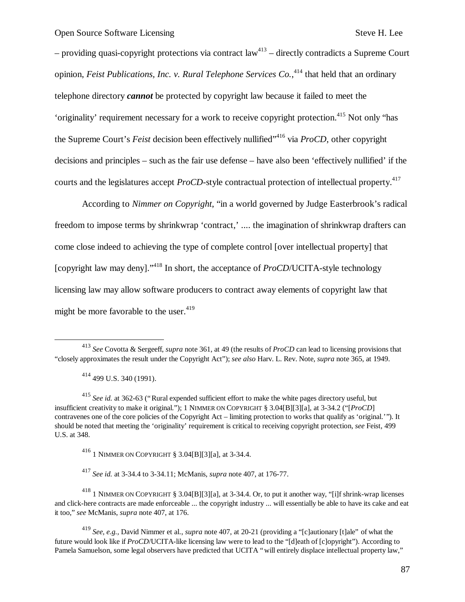– providing quasi-copyright protections via contract  $law<sup>413</sup>$  – directly contradicts a Supreme Court opinion, *Feist Publications, Inc. v. Rural Telephone Services Co.*, <sup>414</sup> that held that an ordinary telephone directory *cannot* be protected by copyright law because it failed to meet the 'originality' requirement necessary for a work to receive copyright protection.<sup>415</sup> Not only "has the Supreme Court's *Feist* decision been effectively nullified"<sup>416</sup> via *ProCD*, other copyright decisions and principles – such as the fair use defense – have also been 'effectively nullified' if the courts and the legislatures accept *ProCD*-style contractual protection of intellectual property.<sup>417</sup>

According to *Nimmer on Copyright*, "in a world governed by Judge Easterbrook's radical freedom to impose terms by shrinkwrap 'contract,' .... the imagination of shrinkwrap drafters can come close indeed to achieving the type of complete control [over intellectual property] that [copyright law may deny]." <sup>418</sup> In short, the acceptance of *ProCD*/UCITA-style technology licensing law may allow software producers to contract away elements of copyright law that might be more favorable to the user. $419$ 

-

<sup>417</sup> *See id.* at 3-34.4 to 3-34.11; McManis, *supra* note 407, at 176-77.

<sup>418</sup> 1 NIMMER ON COPYRIGHT § 3.04[B][3][a], at 3-34.4. Or, to put it another way, "[i]f shrink-wrap licenses and click-here contracts are made enforceable ... the copyright industry ... will essentially be able to have its cake and eat it too," *see* McManis, *supra* note 407, at 176.

<sup>419</sup> *See, e.g.,* David Nimmer et al., *supra* note 407, at 20-21 (providing a "[c]autionary [t]ale" of what the future would look like if *ProCD*/UCITA-like licensing law were to lead to the "[d]eath of [c]opyright"). According to Pamela Samuelson, some legal observers have predicted that UCITA "will entirely displace intellectual property law,"

<sup>413</sup> *See* Covotta & Sergeeff, *supra* note 361, at 49 (the results of *ProCD* can lead to licensing provisions that "closely approximates the result under the Copyright Act"); *see also* Harv. L. Rev. Note, *supra* note 365, at 1949.

<sup>414</sup> 499 U.S. 340 (1991).

<sup>415</sup> *See id.* at 362-63 ("Rural expended sufficient effort to make the white pages directory useful, but insufficient creativity to make it original."); 1 NIMMER ON COPYRIGHT § 3.04[B][3][a], at 3-34.2 ("[*ProCD*] contravenes one of the core policies of the Copyright Act – limiting protection to works that qualify as 'original.'"). It should be noted that meeting the 'originality' requirement is critical to receiving copyright protection, *see* Feist, 499 U.S. at 348.

<sup>416</sup> 1 NIMMER ON COPYRIGHT § 3.04[B][3][a], at 3-34.4.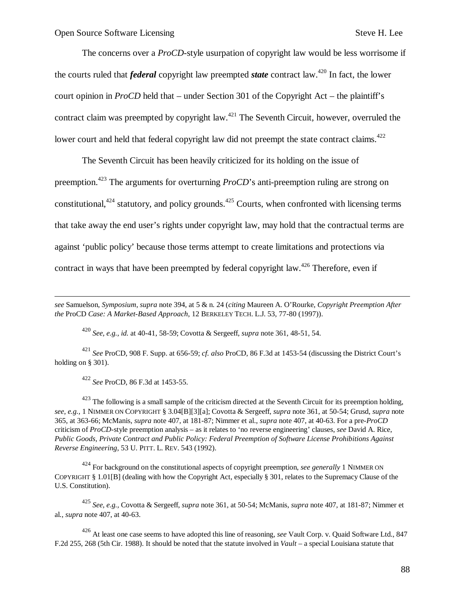The concerns over a *ProCD*-style usurpation of copyright law would be less worrisome if the courts ruled that *federal* copyright law preempted *state* contract law.<sup>420</sup> In fact, the lower court opinion in *ProCD* held that – under Section 301 of the Copyright Act – the plaintiff's contract claim was preempted by copyright law.<sup>421</sup> The Seventh Circuit, however, overruled the lower court and held that federal copyright law did not preempt the state contract claims.<sup>422</sup>

The Seventh Circuit has been heavily criticized for its holding on the issue of preemption.<sup>423</sup> The arguments for overturning *ProCD*'s anti-preemption ruling are strong on constitutional,  $424$  statutory, and policy grounds.  $425$  Courts, when confronted with licensing terms that take away the end user's rights under copyright law, may hold that the contractual terms are against 'public policy' because those terms attempt to create limitations and protections via contract in ways that have been preempted by federal copyright law.<sup>426</sup> Therefore, even if

*see* Samuelson, *Symposium*, *supra* note 394, at 5 & n. 24 (*citing* Maureen A. O'Rourke, *Copyright Preemption After the* ProCD *Case: A Market-Based Approach*, 12 BERKELEY TECH. L.J. 53, 77-80 (1997)).

<sup>420</sup> *See, e.g., id.* at 40-41, 58-59; Covotta & Sergeeff, *supra* note 361, 48-51, 54.

<sup>421</sup> *See* ProCD, 908 F. Supp. at 656-59; *cf. also* ProCD, 86 F.3d at 1453-54 (discussing the District Court's holding on § 301).

<sup>422</sup> *See* ProCD, 86 F.3d at 1453-55.

 $\overline{a}$ 

 $423$  The following is a small sample of the criticism directed at the Seventh Circuit for its preemption holding, *see, e.g.,* 1 NIMMER ON COPYRIGHT § 3.04[B][3][a]; Covotta & Sergeeff, *supra* note 361, at 50-54; Grusd, *supra* note 365, at 363-66; McManis, *supra* note 407, at 181-87; Nimmer et al., *supra* note 407, at 40-63. For a pre-*ProCD* criticism of *ProCD*-style preemption analysis – as it relates to 'no reverse engineering' clauses, *see* David A. Rice, *Public Goods, Private Contract and Public Policy: Federal Preemption of Software License Prohibitions Against Reverse Engineering*, 53 U. PITT. L. REV. 543 (1992).

<sup>424</sup> For background on the constitutional aspects of copyright preemption, *see generally* 1 NIMMER ON COPYRIGHT § 1.01[B] (dealing with how the Copyright Act, especially § 301, relates to the Supremacy Clause of the U.S. Constitution).

<sup>425</sup> *See, e.g.,* Covotta & Sergeeff, *supra* note 361, at 50-54; McManis, *supra* note 407, at 181-87; Nimmer et al., *supra* note 407, at 40-63.

<sup>426</sup> At least one case seems to have adopted this line of reasoning, *see* Vault Corp. v. Quaid Software Ltd., 847 F.2d 255, 268 (5th Cir. 1988). It should be noted that the statute involved in *Vault* – a special Louisiana statute that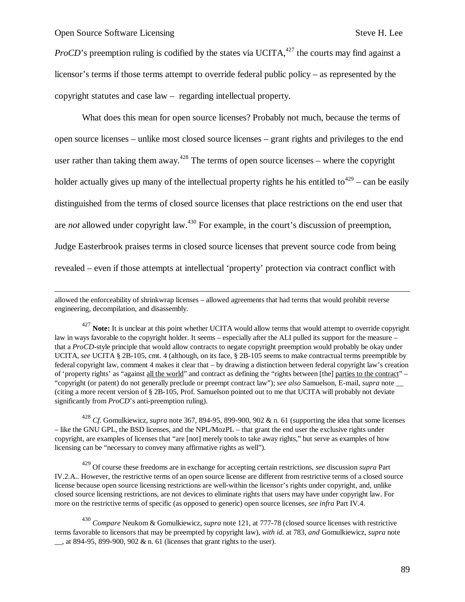1

*ProCD*'s preemption ruling is codified by the states via UCITA, $427$  the courts may find against a licensor's terms if those terms attempt to override federal public policy – as represented by the copyright statutes and case law – regarding intellectual property.

What does this mean for open source licenses? Probably not much, because the terms of open source licenses – unlike most closed source licenses – grant rights and privileges to the end user rather than taking them away.<sup>428</sup> The terms of open source licenses – where the copyright holder actually gives up many of the intellectual property rights he his entitled to<sup>429</sup> – can be easily distinguished from the terms of closed source licenses that place restrictions on the end user that are *not* allowed under copyright law.<sup>430</sup> For example, in the court's discussion of preemption, Judge Easterbrook praises terms in closed source licenses that prevent source code from being revealed – even if those attempts at intellectual 'property' protection via contract conflict with

allowed the enforceability of shrinkwrap licenses – allowed agreements that had terms that would prohibit reverse engineering, decompilation, and disassembly.

<sup>427</sup> Note: It is unclear at this point whether UCITA would allow terms that would attempt to override copyright law in ways favorable to the copyright holder. It seems – especially after the ALI pulled its support for the measure – that a *ProCD*-style principle that would allow contracts to negate copyright preemption would probably be okay under UCITA, *see* UCITA § 2B-105, cmt. 4 (although, on its face, § 2B-105 seems to make contractual terms preemptible by federal copyright law, comment 4 makes it clear that – by drawing a distinction between federal copyright law's creation of 'property rights' as "against all the world" and contract as defining the "rights between [the] parties to the contract" – "copyright (or patent) do not generally preclude or preempt contract law"); *see also* Samuelson, E-mail, *supra* note \_\_ (citing a more recent version of § 2B-105, Prof. Samuelson pointed out to me that UCITA will probably not deviate significantly from *ProCD*'s anti-preemption ruling).

<sup>428</sup> *Cf.* Gomulkiewicz, *supra* note 367, 894-95, 899-900, 902 & n. 61 (supporting the idea that some licenses – like the GNU GPL, the BSD licenses, and the NPL/MozPL – that grant the end user the exclusive rights under copyright, are examples of licenses that "are [not] merely tools to take away rights," but serve as examples of how licensing can be "necessary to convey many affirmative rights as well").

<sup>429</sup> Of course these freedoms are in exchange for accepting certain restrictions, *see* discussion *supra* Part IV.2.A.. However, the restrictive terms of an open source license are different from restrictive terms of a closed source license because open source licensing restrictions are well-within the licensor's rights under copyright, and, unlike closed source licensing restrictions, are not devices to eliminate rights that users may have under copyright law. For more on the restrictive terms of specific (as opposed to generic) open source licenses, *see infra* Part IV.4.

<sup>430</sup> *Compare* Neukom & Gomulkiewicz, *supra* note 121, at 777-78 (closed source licenses with restrictive terms favorable to licensors that may be preempted by copyright law), *with id.* at 783, *and* Gomulkiewicz, *supra* note , at 894-95, 899-900, 902  $&$  n. 61 (licenses that grant rights to the user).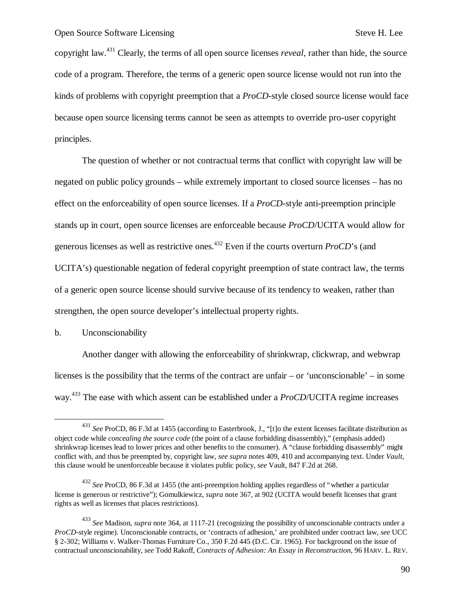copyright law.<sup>431</sup> Clearly, the terms of all open source licenses *reveal*, rather than hide, the source code of a program. Therefore, the terms of a generic open source license would not run into the kinds of problems with copyright preemption that a *ProCD*-style closed source license would face because open source licensing terms cannot be seen as attempts to override pro-user copyright principles.

The question of whether or not contractual terms that conflict with copyright law will be negated on public policy grounds – while extremely important to closed source licenses – has no effect on the enforceability of open source licenses. If a *ProCD*-style anti-preemption principle stands up in court, open source licenses are enforceable because *ProCD*/UCITA would allow for generous licenses as well as restrictive ones.<sup>432</sup> Even if the courts overturn *ProCD*'s (and UCITA's) questionable negation of federal copyright preemption of state contract law, the terms of a generic open source license should survive because of its tendency to weaken, rather than strengthen, the open source developer's intellectual property rights.

b. Unconscionability

1

Another danger with allowing the enforceability of shrinkwrap, clickwrap, and webwrap licenses is the possibility that the terms of the contract are unfair – or 'unconscionable' – in some way.<sup>433</sup> The ease with which assent can be established under a *ProCD*/UCITA regime increases

<sup>431</sup> *See* ProCD, 86 F.3d at 1455 (according to Easterbrook, J., "[t]o the extent licenses facilitate distribution as object code while *concealing the source code* (the point of a clause forbidding disassembly)," (emphasis added) shrinkwrap licenses lead to lower prices and other benefits to the consumer). A "clause forbidding disassembly" might conflict with, and thus be preempted by, copyright law, *see supra* notes 409, 410 and accompanying text. Under *Vault*, this clause would be unenforceable because it violates public policy, *see* Vault, 847 F.2d at 268.

<sup>432</sup> *See* ProCD, 86 F.3d at 1455 (the anti-preemption holding applies regardless of "whether a particular license is generous or restrictive"); Gomulkiewicz, *supra* note 367, at 902 (UCITA would benefit licenses that grant rights as well as licenses that places restrictions).

<sup>433</sup> *See* Madison, *supra* note 364, at 1117-21 (recognizing the possibility of unconscionable contracts under a *ProCD*-style regime). Unconscionable contracts, or 'contracts of adhesion,' are prohibited under contract law, *see* UCC § 2-302; Williams v. Walker-Thomas Furniture Co., 350 F.2d 445 (D.C. Cir. 1965). For background on the issue of contractual unconscionability, *see* Todd Rakoff, *Contracts of Adhesion: An Essay in Reconstruction*, 96 HARV. L. REV.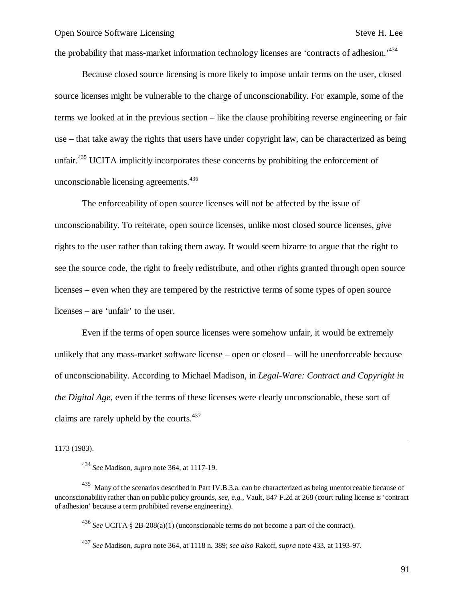the probability that mass-market information technology licenses are 'contracts of adhesion.<sup>434</sup>

Because closed source licensing is more likely to impose unfair terms on the user, closed source licenses might be vulnerable to the charge of unconscionability. For example, some of the terms we looked at in the previous section – like the clause prohibiting reverse engineering or fair use – that take away the rights that users have under copyright law, can be characterized as being unfair.<sup>435</sup> UCITA implicitly incorporates these concerns by prohibiting the enforcement of unconscionable licensing agreements. $436$ 

The enforceability of open source licenses will not be affected by the issue of unconscionability. To reiterate, open source licenses, unlike most closed source licenses, *give* rights to the user rather than taking them away. It would seem bizarre to argue that the right to see the source code, the right to freely redistribute, and other rights granted through open source licenses – even when they are tempered by the restrictive terms of some types of open source licenses – are 'unfair' to the user.

Even if the terms of open source licenses were somehow unfair, it would be extremely unlikely that any mass-market software license – open or closed – will be unenforceable because of unconscionability. According to Michael Madison, in *Legal-Ware: Contract and Copyright in the Digital Age*, even if the terms of these licenses were clearly unconscionable, these sort of claims are rarely upheld by the courts. $437$ 

1173 (1983).

-

<sup>436</sup> *See* UCITA § 2B-208(a)(1) (unconscionable terms do not become a part of the contract).

<sup>437</sup> *See* Madison, *supra* note 364, at 1118 n. 389; *see also* Rakoff, *supra* note 433, at 1193-97.

<sup>434</sup> *See* Madison, *supra* note 364, at 1117-19.

<sup>435</sup> Many of the scenarios described in Part IV.B.3.a. can be characterized as being unenforceable because of unconscionability rather than on public policy grounds, *see, e.g.,* Vault, 847 F.2d at 268 (court ruling license is 'contract of adhesion' because a term prohibited reverse engineering).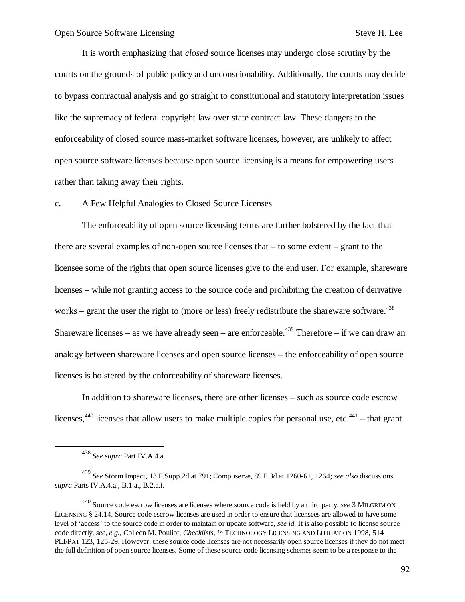It is worth emphasizing that *closed* source licenses may undergo close scrutiny by the courts on the grounds of public policy and unconscionability. Additionally, the courts may decide to bypass contractual analysis and go straight to constitutional and statutory interpretation issues like the supremacy of federal copyright law over state contract law. These dangers to the enforceability of closed source mass-market software licenses, however, are unlikely to affect open source software licenses because open source licensing is a means for empowering users rather than taking away their rights.

c. A Few Helpful Analogies to Closed Source Licenses

The enforceability of open source licensing terms are further bolstered by the fact that there are several examples of non-open source licenses that – to some extent – grant to the licensee some of the rights that open source licenses give to the end user. For example, shareware licenses – while not granting access to the source code and prohibiting the creation of derivative works – grant the user the right to (more or less) freely redistribute the shareware software.<sup>438</sup> Shareware licenses – as we have already seen – are enforceable.<sup>439</sup> Therefore – if we can draw an analogy between shareware licenses and open source licenses – the enforceability of open source licenses is bolstered by the enforceability of shareware licenses.

In addition to shareware licenses, there are other licenses – such as source code escrow licenses,  $440$  licenses that allow users to make multiple copies for personal use, etc.  $441$  – that grant

 $\overline{a}$ 

<sup>438</sup> *See supra* Part IV.A.4.a.

<sup>439</sup> *See* Storm Impact, 13 F.Supp.2d at 791; Compuserve, 89 F.3d at 1260-61, 1264; *see also* discussions *supra* Parts IV.A.4.a., B.1.a., B.2.a.i.

<sup>440</sup> Source code escrow licenses are licenses where source code is held by a third party, *see* 3 MILGRIM ON LICENSING § 24.14. Source code escrow licenses are used in order to ensure that licensees are allowed to have some level of 'access' to the source code in order to maintain or update software, *see id.* It is also possible to license source code directly, *see, e.g.,* Colleen M. Pouliot, *Checklists*, *in* TECHNOLOGY LICENSING AND LITIGATION 1998, 514 PLI/PAT 123, 125-29. However, these source code licenses are not necessarily open source licenses if they do not meet the full definition of open source licenses. Some of these source code licensing schemes seem to be a response to the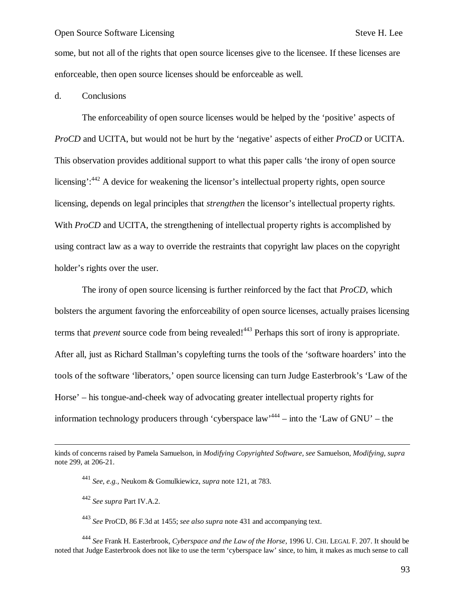some, but not all of the rights that open source licenses give to the licensee. If these licenses are enforceable, then open source licenses should be enforceable as well.

#### d. Conclusions

The enforceability of open source licenses would be helped by the 'positive' aspects of *ProCD* and UCITA, but would not be hurt by the 'negative' aspects of either *ProCD* or UCITA. This observation provides additional support to what this paper calls 'the irony of open source licensing':<sup>442</sup> A device for weakening the licensor's intellectual property rights, open source licensing, depends on legal principles that *strengthen* the licensor's intellectual property rights. With *ProCD* and UCITA, the strengthening of intellectual property rights is accomplished by using contract law as a way to override the restraints that copyright law places on the copyright holder's rights over the user.

The irony of open source licensing is further reinforced by the fact that *ProCD*, which bolsters the argument favoring the enforceability of open source licenses, actually praises licensing terms that *prevent* source code from being revealed!<sup>443</sup> Perhaps this sort of irony is appropriate. After all, just as Richard Stallman's copylefting turns the tools of the 'software hoarders' into the tools of the software 'liberators,' open source licensing can turn Judge Easterbrook's 'Law of the Horse' – his tongue-and-cheek way of advocating greater intellectual property rights for information technology producers through 'cyberspace  $law^{444}$  – into the 'Law of GNU' – the

 $\overline{\phantom{a}}$ 

<sup>443</sup> *See* ProCD, 86 F.3d at 1455; *see also supra* note 431 and accompanying text.

<sup>444</sup> *See* Frank H. Easterbrook, *Cyberspace and the Law of the Horse*, 1996 U. CHI. LEGAL F. 207. It should be noted that Judge Easterbrook does not like to use the term 'cyberspace law' since, to him, it makes as much sense to call

kinds of concerns raised by Pamela Samuelson, in *Modifying Copyrighted Software*, *see* Samuelson, *Modifying*, *supra* note 299, at 206-21.

<sup>441</sup> *See, e.g.,* Neukom & Gomulkiewicz, *supra* note 121, at 783.

<sup>442</sup> *See supra* Part IV.A.2.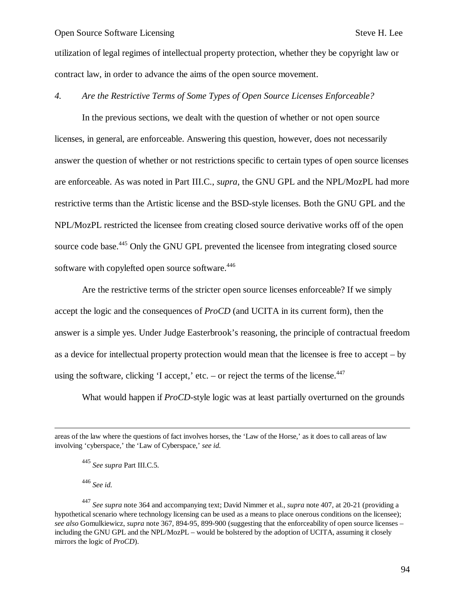utilization of legal regimes of intellectual property protection, whether they be copyright law or contract law, in order to advance the aims of the open source movement.

#### *4. Are the Restrictive Terms of Some Types of Open Source Licenses Enforceable?*

In the previous sections, we dealt with the question of whether or not open source licenses, in general, are enforceable. Answering this question, however, does not necessarily answer the question of whether or not restrictions specific to certain types of open source licenses are enforceable. As was noted in Part III.C., *supra*, the GNU GPL and the NPL/MozPL had more restrictive terms than the Artistic license and the BSD-style licenses. Both the GNU GPL and the NPL/MozPL restricted the licensee from creating closed source derivative works off of the open source code base.<sup>445</sup> Only the GNU GPL prevented the licensee from integrating closed source software with copylefted open source software.<sup>446</sup>

Are the restrictive terms of the stricter open source licenses enforceable? If we simply accept the logic and the consequences of *ProCD* (and UCITA in its current form), then the answer is a simple yes. Under Judge Easterbrook's reasoning, the principle of contractual freedom as a device for intellectual property protection would mean that the licensee is free to accept – by using the software, clicking 'I accept,' etc. – or reject the terms of the license. $447$ 

What would happen if *ProCD*-style logic was at least partially overturned on the grounds

1

areas of the law where the questions of fact involves horses, the 'Law of the Horse,' as it does to call areas of law involving 'cyberspace,' the 'Law of Cyberspace,' *see id.*

<sup>445</sup> *See supra* Part III.C.5.

<sup>446</sup> *See id.*

<sup>447</sup> *See supra* note 364 and accompanying text; David Nimmer et al., *supra* note 407, at 20-21 (providing a hypothetical scenario where technology licensing can be used as a means to place onerous conditions on the licensee); *see also* Gomulkiewicz, *supra* note 367, 894-95, 899-900 (suggesting that the enforceability of open source licenses – including the GNU GPL and the NPL/MozPL – would be bolstered by the adoption of UCITA, assuming it closely mirrors the logic of *ProCD*).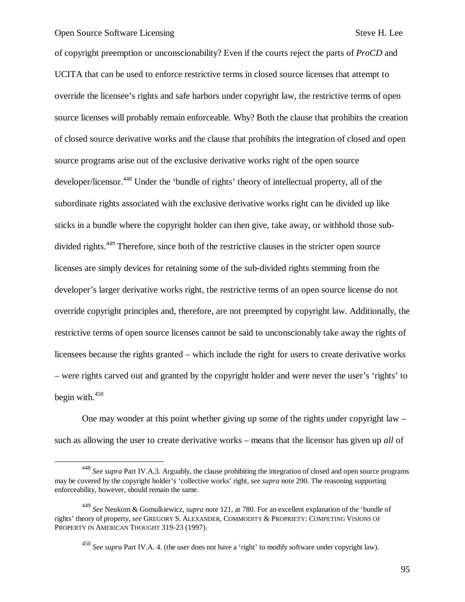$\overline{a}$ 

of copyright preemption or unconscionability? Even if the courts reject the parts of *ProCD* and UCITA that can be used to enforce restrictive terms in closed source licenses that attempt to override the licensee's rights and safe harbors under copyright law, the restrictive terms of open source licenses will probably remain enforceable. Why? Both the clause that prohibits the creation of closed source derivative works and the clause that prohibits the integration of closed and open source programs arise out of the exclusive derivative works right of the open source developer/licensor.<sup>448</sup> Under the 'bundle of rights' theory of intellectual property, all of the subordinate rights associated with the exclusive derivative works right can be divided up like sticks in a bundle where the copyright holder can then give, take away, or withhold those subdivided rights.<sup>449</sup> Therefore, since both of the restrictive clauses in the stricter open source licenses are simply devices for retaining some of the sub-divided rights stemming from the developer's larger derivative works right, the restrictive terms of an open source license do not override copyright principles and, therefore, are not preempted by copyright law. Additionally, the restrictive terms of open source licenses cannot be said to unconscionably take away the rights of licensees because the rights granted – which include the right for users to create derivative works – were rights carved out and granted by the copyright holder and were never the user's 'rights' to begin with. $450$ 

One may wonder at this point whether giving up some of the rights under copyright law – such as allowing the user to create derivative works – means that the licensor has given up *all* of

<sup>448</sup> *See supra* Part IV.A.3. Arguably, the clause prohibiting the integration of closed and open source programs may be covered by the copyright holder's 'collective works' right, *see supra* note 290. The reasoning supporting enforceability, however, should remain the same.

<sup>449</sup> *See* Neukom & Gomulkiewicz, *supra* note 121, at 780. For an excellent explanation of the 'bundle of rights' theory of property, *see* GREGORY S. ALEXANDER, COMMODITY & PROPRIETY: COMPETING VISIONS OF PROPERTY IN AMERICAN THOUGHT 319-23 (1997).

<sup>450</sup> *See supra* Part IV.A. 4. (the user does not have a 'right' to modify software under copyright law).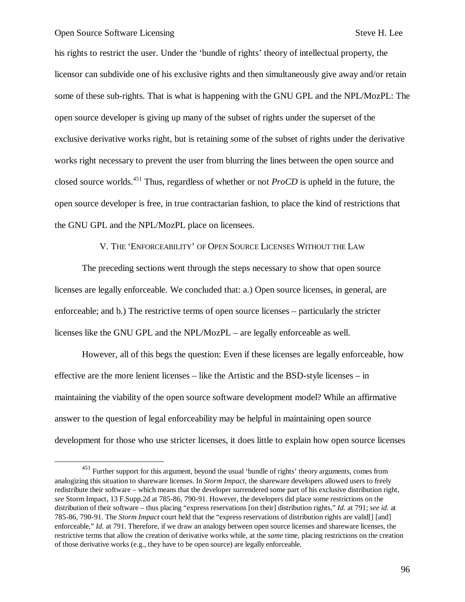$\overline{a}$ 

his rights to restrict the user. Under the 'bundle of rights' theory of intellectual property, the licensor can subdivide one of his exclusive rights and then simultaneously give away and/or retain some of these sub-rights. That is what is happening with the GNU GPL and the NPL/MozPL: The open source developer is giving up many of the subset of rights under the superset of the exclusive derivative works right, but is retaining some of the subset of rights under the derivative works right necessary to prevent the user from blurring the lines between the open source and closed source worlds.<sup>451</sup> Thus, regardless of whether or not *ProCD* is upheld in the future, the open source developer is free, in true contractarian fashion, to place the kind of restrictions that the GNU GPL and the NPL/MozPL place on licensees.

## V. THE 'ENFORCEABILITY' OF OPEN SOURCE LICENSES WITHOUT THE LAW

The preceding sections went through the steps necessary to show that open source licenses are legally enforceable. We concluded that: a.) Open source licenses, in general, are enforceable; and b.) The restrictive terms of open source licenses – particularly the stricter licenses like the GNU GPL and the NPL/MozPL – are legally enforceable as well.

However, all of this begs the question: Even if these licenses are legally enforceable, how effective are the more lenient licenses – like the Artistic and the BSD-style licenses – in maintaining the viability of the open source software development model? While an affirmative answer to the question of legal enforceability may be helpful in maintaining open source development for those who use stricter licenses, it does little to explain how open source licenses

<sup>451</sup> Further support for this argument, beyond the usual 'bundle of rights' theory arguments, comes from analogizing this situation to shareware licenses. In *Storm Impact*, the shareware developers allowed users to freely redistribute their software – which means that the developer surrendered some part of his exclusive distribution right, *see* Storm Impact, 13 F.Supp.2d at 785-86, 790-91. However, the developers did place some restrictions on the distribution of their software – thus placing "express reservations [on their] distribution rights," *Id.* at 791; *see id.* at 785-86, 790-91. The *Storm Impact* court held that the "express reservations of distribution rights are valid[] [and] enforceable," *Id.* at 791. Therefore, if we draw an analogy between open source licenses and shareware licenses, the restrictive terms that allow the creation of derivative works while, at the *same* time, placing restrictions on the creation of those derivative works (e.g., they have to be open source) are legally enforceable.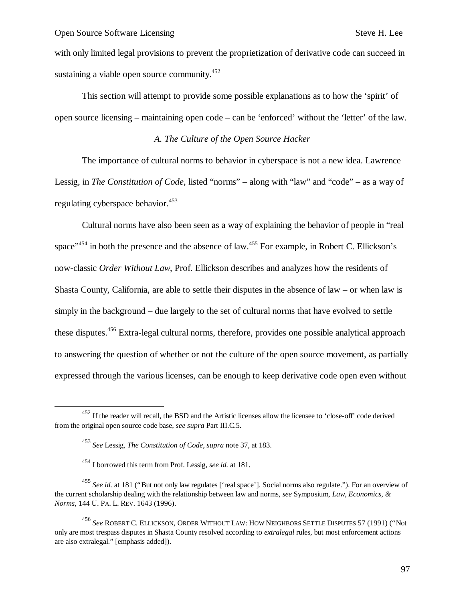with only limited legal provisions to prevent the proprietization of derivative code can succeed in sustaining a viable open source community.<sup>452</sup>

This section will attempt to provide some possible explanations as to how the 'spirit' of open source licensing – maintaining open code – can be 'enforced' without the 'letter' of the law.

## *A. The Culture of the Open Source Hacker*

The importance of cultural norms to behavior in cyberspace is not a new idea. Lawrence Lessig, in *The Constitution of Code*, listed "norms" – along with "law" and "code" – as a way of regulating cyberspace behavior.<sup>453</sup>

Cultural norms have also been seen as a way of explaining the behavior of people in "real space"<sup>454</sup> in both the presence and the absence of law.<sup>455</sup> For example, in Robert C. Ellickson's now-classic *Order Without Law*, Prof. Ellickson describes and analyzes how the residents of Shasta County, California, are able to settle their disputes in the absence of law – or when law is simply in the background – due largely to the set of cultural norms that have evolved to settle these disputes.<sup>456</sup> Extra-legal cultural norms, therefore, provides one possible analytical approach to answering the question of whether or not the culture of the open source movement, as partially expressed through the various licenses, can be enough to keep derivative code open even without

1

<sup>&</sup>lt;sup>452</sup> If the reader will recall, the BSD and the Artistic licenses allow the licensee to 'close-off' code derived from the original open source code base, *see supra* Part III.C.5.

<sup>453</sup> *See* Lessig, *The Constitution of Code*, *supra* note 37, at 183.

<sup>454</sup> I borrowed this term from Prof. Lessig, *see id.* at 181.

<sup>&</sup>lt;sup>455</sup> See id. at 181 ("But not only law regulates ['real space']. Social norms also regulate."). For an overview of the current scholarship dealing with the relationship between law and norms, *see* Symposium, *Law, Economics, & Norms*, 144 U. PA. L. REV. 1643 (1996).

<sup>456</sup> *See* ROBERT C. ELLICKSON, ORDER WITHOUT LAW: HOW NEIGHBORS SETTLE DISPUTES 57 (1991) ("Not only are most trespass disputes in Shasta County resolved according to *extralegal* rules, but most enforcement actions are also extralegal." [emphasis added]).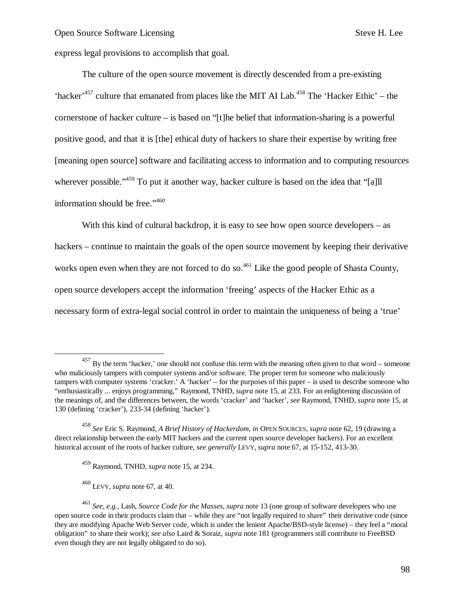express legal provisions to accomplish that goal.

The culture of the open source movement is directly descended from a pre-existing 'hacker'<sup>457</sup> culture that emanated from places like the MIT AI Lab.<sup>458</sup> The 'Hacker Ethic' – the cornerstone of hacker culture – is based on "[t]he belief that information-sharing is a powerful positive good, and that it is [the] ethical duty of hackers to share their expertise by writing free [meaning open source] software and facilitating access to information and to computing resources wherever possible."<sup>459</sup> To put it another way, hacker culture is based on the idea that "[a]ll information should be free."<sup>460</sup>

With this kind of cultural backdrop, it is easy to see how open source developers – as hackers – continue to maintain the goals of the open source movement by keeping their derivative works open even when they are not forced to do so.<sup>461</sup> Like the good people of Shasta County, open source developers accept the information 'freeing' aspects of the Hacker Ethic as a necessary form of extra-legal social control in order to maintain the uniqueness of being a 'true'

<sup>460</sup> LEVY, *supra* note 67, at 40.

 $\overline{\phantom{a}}$ 

<sup>&</sup>lt;sup>457</sup> By the term 'hacker,' one should not confuse this term with the meaning often given to that word – someone who maliciously tampers with computer systems and/or software. The proper term for someone who maliciously tampers with computer systems 'cracker.' A 'hacker' – for the purposes of this paper – is used to describe someone who "enthusiastically ... enjoys programming," Raymond, TNHD, *supra* note 15, at 233. For an enlightening discussion of the meanings of, and the differences between, the words 'cracker' and 'hacker', *see* Raymond, TNHD, *supra* note 15, at 130 (defining 'cracker'), 233-34 (defining 'hacker').

<sup>458</sup> *See* Eric S. Raymond, *A Brief History of Hackerdom*, *in* OPEN SOURCES, *supra* note 62, 19 (drawing a direct relationship between the early MIT hackers and the current open source developer hackers). For an excellent historical account of the roots of hacker culture, *see generally* LEVY, *supra* note 67, at 15-152, 413-30.

<sup>459</sup> Raymond, TNHD, *supra* note 15, at 234.

<sup>461</sup> *See, e.g.,* Lash, *Source Code for the Masses*, *supra* note 13 (one group of software developers who use open source code in their products claim that – while they are "not legally required to share" their derivative code (since they are modifying Apache Web Server code, which is under the lenient Apache/BSD-style license) – they feel a "moral obligation" to share their work); *see also* Laird & Soraiz, *supra* note 181 (programmers still contribute to FreeBSD even though they are not legally obligated to do so).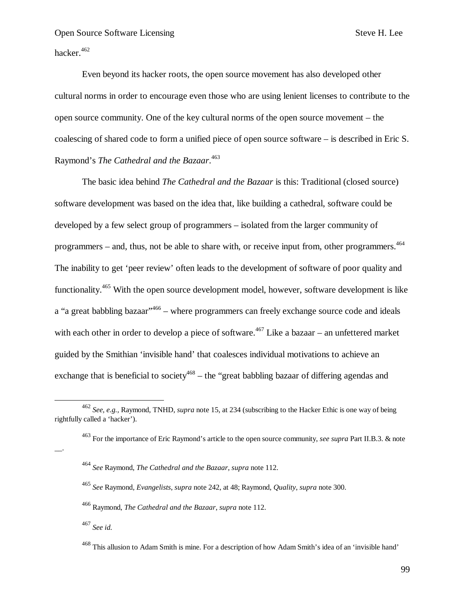hacker.<sup>462</sup>

Even beyond its hacker roots, the open source movement has also developed other cultural norms in order to encourage even those who are using lenient licenses to contribute to the open source community. One of the key cultural norms of the open source movement – the coalescing of shared code to form a unified piece of open source software – is described in Eric S. Raymond's *The Cathedral and the Bazaar*. 463

The basic idea behind *The Cathedral and the Bazaar* is this: Traditional (closed source) software development was based on the idea that, like building a cathedral, software could be developed by a few select group of programmers – isolated from the larger community of programmers – and, thus, not be able to share with, or receive input from, other programmers.  $464$ The inability to get 'peer review' often leads to the development of software of poor quality and functionality.<sup>465</sup> With the open source development model, however, software development is like a "a great babbling bazaar"<sup>,466</sup> – where programmers can freely exchange source code and ideals with each other in order to develop a piece of software.<sup>467</sup> Like a bazaar – an unfettered market guided by the Smithian 'invisible hand' that coalesces individual motivations to achieve an exchange that is beneficial to society<sup>468</sup> – the "great babbling bazaar of differing agendas and

<sup>467</sup> *See id.*

 $\overline{a}$ 

 $\overline{\phantom{a}}$ .

<sup>462</sup> *See, e.g.,* Raymond, TNHD, *supra* note 15, at 234 (subscribing to the Hacker Ethic is one way of being rightfully called a 'hacker').

<sup>463</sup> For the importance of Eric Raymond's article to the open source community, *see supra* Part II.B.3. & note

<sup>464</sup> *See* Raymond, *The Cathedral and the Bazaar*, *supra* note 112.

<sup>465</sup> *See* Raymond*, Evangelists*, *supra* note 242, at 48; Raymond, *Quality*, *supra* note 300.

<sup>466</sup> Raymond, *The Cathedral and the Bazaar*, *supra* note 112.

<sup>&</sup>lt;sup>468</sup> This allusion to Adam Smith is mine. For a description of how Adam Smith's idea of an 'invisible hand'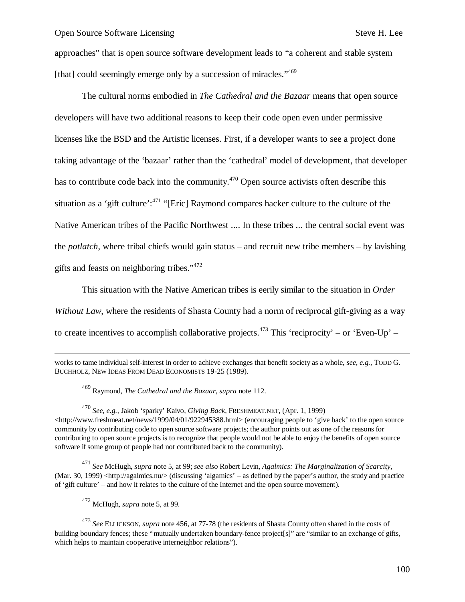approaches" that is open source software development leads to "a coherent and stable system [that] could seemingly emerge only by a succession of miracles."469

The cultural norms embodied in *The Cathedral and the Bazaar* means that open source developers will have two additional reasons to keep their code open even under permissive licenses like the BSD and the Artistic licenses. First, if a developer wants to see a project done taking advantage of the 'bazaar' rather than the 'cathedral' model of development, that developer has to contribute code back into the community.<sup>470</sup> Open source activists often describe this situation as a 'gift culture':<sup>471</sup> "[Eric] Raymond compares hacker culture to the culture of the Native American tribes of the Pacific Northwest .... In these tribes ... the central social event was the *potlatch*, where tribal chiefs would gain status – and recruit new tribe members – by lavishing gifts and feasts on neighboring tribes."<sup>472</sup>

This situation with the Native American tribes is eerily similar to the situation in *Order* 

*Without Law*, where the residents of Shasta County had a norm of reciprocal gift-giving as a way

to create incentives to accomplish collaborative projects.<sup>473</sup> This 'reciprocity' – or 'Even-Up' –

works to tame individual self-interest in order to achieve exchanges that benefit society as a whole, *see, e.g.,* TODD G. BUCHHOLZ, NEW IDEAS FROM DEAD ECONOMISTS 19-25 (1989).

<sup>469</sup> Raymond, *The Cathedral and the Bazaar*, *supra* note 112.

<sup>470</sup> *See, e.g.,* Jakob 'sparky' Kaivo, *Giving Back*, FRESHMEAT.NET, (Apr. 1, 1999) <http://www.freshmeat.net/news/1999/04/01/922945388.html> (encouraging people to 'give back' to the open source community by contributing code to open source software projects; the author points out as one of the reasons for contributing to open source projects is to recognize that people would not be able to enjoy the benefits of open source software if some group of people had not contributed back to the community).

<sup>471</sup> *See* McHugh, *supra* note 5, at 99; *see also* Robert Levin, *Agalmics: The Marginalization of Scarcity*, (Mar. 30, 1999) <http://agalmics.nu/> (discussing 'algamics' – as defined by the paper's author, the study and practice of 'gift culture' – and how it relates to the culture of the Internet and the open source movement).

<sup>472</sup> McHugh, *supra* note 5, at 99.

-

<sup>473</sup> *See* ELLICKSON, *supra* note 456, at 77-78 (the residents of Shasta County often shared in the costs of building boundary fences; these "mutually undertaken boundary-fence project[s]" are "similar to an exchange of gifts, which helps to maintain cooperative interneighbor relations").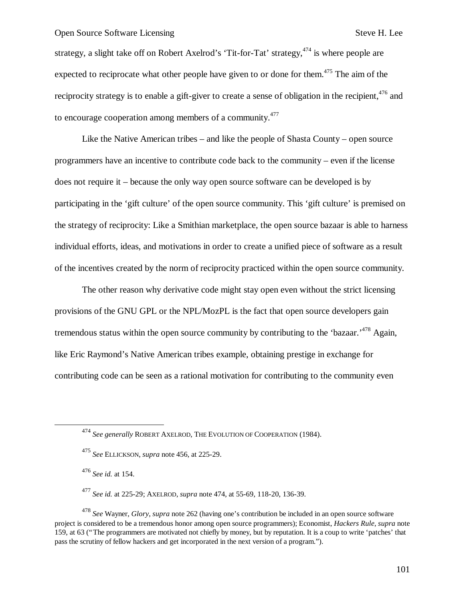strategy, a slight take off on Robert Axelrod's 'Tit-for-Tat' strategy,  $474$  is where people are expected to reciprocate what other people have given to or done for them.<sup> $475$ </sup> The aim of the reciprocity strategy is to enable a gift-giver to create a sense of obligation in the recipient,  $476$  and to encourage cooperation among members of a community.<sup>477</sup>

Like the Native American tribes – and like the people of Shasta County – open source programmers have an incentive to contribute code back to the community – even if the license does not require it – because the only way open source software can be developed is by participating in the 'gift culture' of the open source community. This 'gift culture' is premised on the strategy of reciprocity: Like a Smithian marketplace, the open source bazaar is able to harness individual efforts, ideas, and motivations in order to create a unified piece of software as a result of the incentives created by the norm of reciprocity practiced within the open source community.

The other reason why derivative code might stay open even without the strict licensing provisions of the GNU GPL or the NPL/MozPL is the fact that open source developers gain tremendous status within the open source community by contributing to the 'bazaar.'<sup>478</sup> Again, like Eric Raymond's Native American tribes example, obtaining prestige in exchange for contributing code can be seen as a rational motivation for contributing to the community even

<sup>476</sup> *See id.* at 154.

1

<sup>478</sup> *See* Wayner, *Glory*, *supra* note 262 (having one's contribution be included in an open source software project is considered to be a tremendous honor among open source programmers); Economist, *Hackers Rule*, *supra* note 159, at 63 ("The programmers are motivated not chiefly by money, but by reputation. It is a coup to write 'patches' that pass the scrutiny of fellow hackers and get incorporated in the next version of a program.").

<sup>474</sup> *See generally* ROBERT AXELROD, THE EVOLUTION OF COOPERATION (1984).

<sup>475</sup> *See* ELLICKSON, *supra* note 456, at 225-29.

<sup>477</sup> *See id.* at 225-29; AXELROD, *supra* note 474, at 55-69, 118-20, 136-39.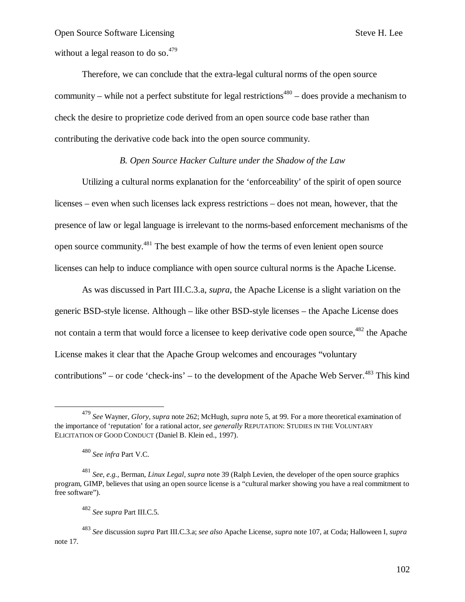without a legal reason to do so. $479$ 

Therefore, we can conclude that the extra-legal cultural norms of the open source community – while not a perfect substitute for legal restrictions<sup> $480$ </sup> – does provide a mechanism to check the desire to proprietize code derived from an open source code base rather than contributing the derivative code back into the open source community.

## *B. Open Source Hacker Culture under the Shadow of the Law*

Utilizing a cultural norms explanation for the 'enforceability' of the spirit of open source licenses – even when such licenses lack express restrictions – does not mean, however, that the presence of law or legal language is irrelevant to the norms-based enforcement mechanisms of the open source community.<sup>481</sup> The best example of how the terms of even lenient open source licenses can help to induce compliance with open source cultural norms is the Apache License.

As was discussed in Part III.C.3.a, *supra*, the Apache License is a slight variation on the generic BSD-style license. Although – like other BSD-style licenses – the Apache License does not contain a term that would force a licensee to keep derivative code open source,  $482$  the Apache License makes it clear that the Apache Group welcomes and encourages "voluntary contributions" – or code 'check-ins' – to the development of the Apache Web Server.<sup>483</sup> This kind

 $\overline{a}$ 

<sup>479</sup> *See* Wayner, *Glory*, *supra* note 262; McHugh, *supra* note 5, at 99. For a more theoretical examination of the importance of 'reputation' for a rational actor, *see generally* REPUTATION: STUDIES IN THE VOLUNTARY ELICITATION OF GOOD CONDUCT (Daniel B. Klein ed., 1997).

<sup>480</sup> *See infra* Part V.C.

<sup>481</sup> *See, e.g.,* Berman, *Linux Legal*, *supra* note 39 (Ralph Levien, the developer of the open source graphics program, GIMP, believes that using an open source license is a "cultural marker showing you have a real commitment to free software").

<sup>482</sup> *See supra* Part III.C.5.

<sup>483</sup> *See* discussion *supra* Part III.C.3.a; *see also* Apache License, *supra* note 107, at Coda; Halloween I, *supra* note 17.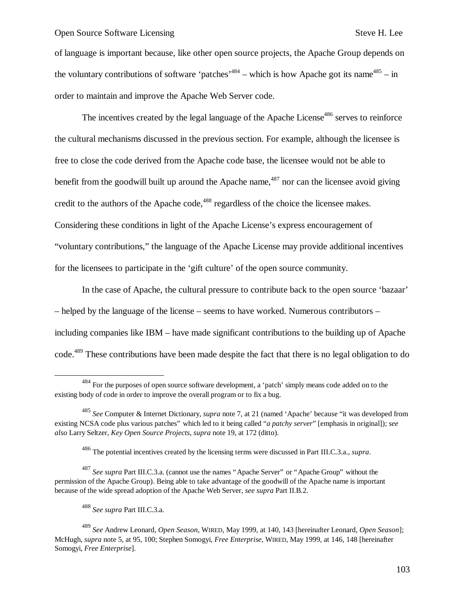of language is important because, like other open source projects, the Apache Group depends on the voluntary contributions of software 'patches'<sup>484</sup> – which is how Apache got its name<sup>485</sup> – in order to maintain and improve the Apache Web Server code.

The incentives created by the legal language of the Apache License<sup>486</sup> serves to reinforce the cultural mechanisms discussed in the previous section. For example, although the licensee is free to close the code derived from the Apache code base, the licensee would not be able to benefit from the goodwill built up around the Apache name,  $487$  nor can the licensee avoid giving credit to the authors of the Apache code,<sup>488</sup> regardless of the choice the licensee makes. Considering these conditions in light of the Apache License's express encouragement of "voluntary contributions," the language of the Apache License may provide additional incentives for the licensees to participate in the 'gift culture' of the open source community.

In the case of Apache, the cultural pressure to contribute back to the open source 'bazaar' – helped by the language of the license – seems to have worked. Numerous contributors – including companies like IBM – have made significant contributions to the building up of Apache code.<sup>489</sup> These contributions have been made despite the fact that there is no legal obligation to do

1

<sup>&</sup>lt;sup>484</sup> For the purposes of open source software development, a 'patch' simply means code added on to the existing body of code in order to improve the overall program or to fix a bug.

<sup>485</sup> *See* Computer & Internet Dictionary, *supra* note 7, at 21 (named 'Apache' because "it was developed from existing NCSA code plus various patches" which led to it being called "*a patchy server*" [emphasis in original]); *see also* Larry Seltzer, *Key Open Source Projects*, *supra* note 19, at 172 (ditto).

<sup>486</sup> The potential incentives created by the licensing terms were discussed in Part III.C.3.a., *supra*.

<sup>487</sup> *See supra* Part III.C.3.a. (cannot use the names "Apache Server" or "Apache Group" without the permission of the Apache Group). Being able to take advantage of the goodwill of the Apache name is important because of the wide spread adoption of the Apache Web Server, *see supra* Part II.B.2.

<sup>488</sup> *See supra* Part III.C.3.a.

<sup>489</sup> *See* Andrew Leonard, *Open Season*, WIRED, May 1999, at 140, 143 [hereinafter Leonard, *Open Season*]; McHugh, *supra* note 5, at 95, 100; Stephen Somogyi, *Free Enterprise*, WIRED, May 1999, at 146, 148 [hereinafter Somogyi, *Free Enterprise*].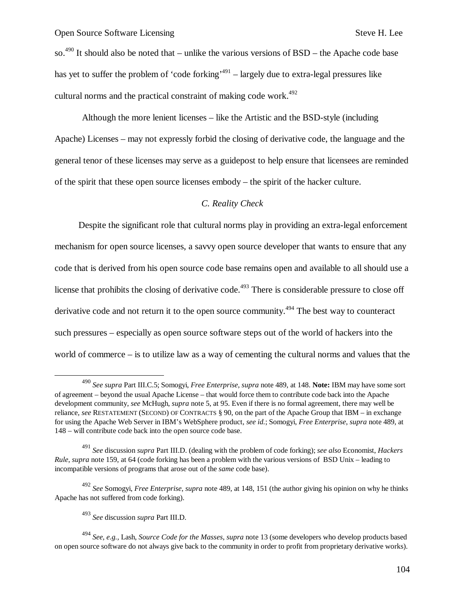so.<sup>490</sup> It should also be noted that – unlike the various versions of  $BSD$  – the Apache code base has yet to suffer the problem of 'code forking'<sup>491</sup> – largely due to extra-legal pressures like cultural norms and the practical constraint of making code work.<sup> $492$ </sup>

Although the more lenient licenses – like the Artistic and the BSD-style (including Apache) Licenses – may not expressly forbid the closing of derivative code, the language and the general tenor of these licenses may serve as a guidepost to help ensure that licensees are reminded of the spirit that these open source licenses embody – the spirit of the hacker culture.

#### *C. Reality Check*

Despite the significant role that cultural norms play in providing an extra-legal enforcement mechanism for open source licenses, a savvy open source developer that wants to ensure that any code that is derived from his open source code base remains open and available to all should use a license that prohibits the closing of derivative code.<sup>493</sup> There is considerable pressure to close off derivative code and not return it to the open source community.<sup>494</sup> The best way to counteract such pressures – especially as open source software steps out of the world of hackers into the world of commerce – is to utilize law as a way of cementing the cultural norms and values that the

1

<sup>490</sup> *See supra* Part III.C.5; Somogyi, *Free Enterprise*, *supra* note 489, at 148. **Note:** IBM may have some sort of agreement – beyond the usual Apache License – that would force them to contribute code back into the Apache development community, *see* McHugh, *supra* note 5, at 95. Even if there is no formal agreement, there may well be reliance, *see* RESTATEMENT (SECOND) OF CONTRACTS § 90, on the part of the Apache Group that IBM – in exchange for using the Apache Web Server in IBM's WebSphere product, *see id.*; Somogyi, *Free Enterprise*, *supra* note 489, at 148 – will contribute code back into the open source code base.

<sup>491</sup> *See* discussion *supra* Part III.D. (dealing with the problem of code forking); *see also* Economist, *Hackers Rule*, *supra* note 159, at 64 (code forking has been a problem with the various versions of BSD Unix – leading to incompatible versions of programs that arose out of the *same* code base).

<sup>492</sup> *See* Somogyi, *Free Enterprise*, *supra* note 489, at 148, 151 (the author giving his opinion on why he thinks Apache has not suffered from code forking).

<sup>493</sup> *See* discussion *supra* Part III.D.

<sup>494</sup> *See, e.g.,* Lash, *Source Code for the Masses*, *supra* note 13 (some developers who develop products based on open source software do not always give back to the community in order to profit from proprietary derivative works).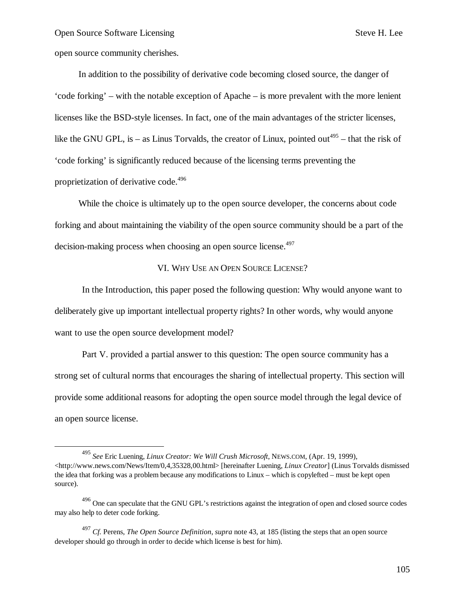open source community cherishes.

 $\overline{a}$ 

In addition to the possibility of derivative code becoming closed source, the danger of 'code forking' – with the notable exception of Apache – is more prevalent with the more lenient licenses like the BSD-style licenses. In fact, one of the main advantages of the stricter licenses, like the GNU GPL, is – as Linus Torvalds, the creator of Linux, pointed out<sup>495</sup> – that the risk of 'code forking' is significantly reduced because of the licensing terms preventing the proprietization of derivative code.<sup>496</sup>

While the choice is ultimately up to the open source developer, the concerns about code forking and about maintaining the viability of the open source community should be a part of the decision-making process when choosing an open source license.<sup>497</sup>

## VI. WHY USE AN OPEN SOURCE LICENSE?

In the Introduction, this paper posed the following question: Why would anyone want to deliberately give up important intellectual property rights? In other words, why would anyone want to use the open source development model?

Part V. provided a partial answer to this question: The open source community has a strong set of cultural norms that encourages the sharing of intellectual property. This section will provide some additional reasons for adopting the open source model through the legal device of an open source license.

<sup>495</sup> *See* Eric Luening, *Linux Creator: We Will Crush Microsoft*, NEWS.COM, (Apr. 19, 1999), <http://www.news.com/News/Item/0,4,35328,00.html> [hereinafter Luening, *Linux Creator*] (Linus Torvalds dismissed the idea that forking was a problem because any modifications to Linux – which is copylefted – must be kept open source).

<sup>&</sup>lt;sup>496</sup> One can speculate that the GNU GPL's restrictions against the integration of open and closed source codes may also help to deter code forking.

<sup>497</sup> *Cf.* Perens, *The Open Source Definition*, *supra* note 43, at 185 (listing the steps that an open source developer should go through in order to decide which license is best for him).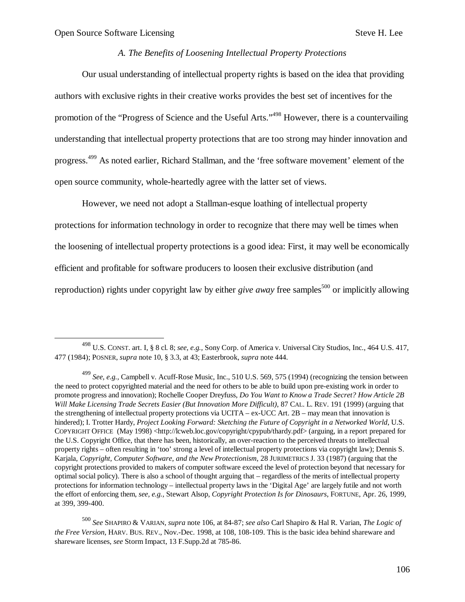$\overline{a}$ 

## *A. The Benefits of Loosening Intellectual Property Protections*

Our usual understanding of intellectual property rights is based on the idea that providing authors with exclusive rights in their creative works provides the best set of incentives for the promotion of the "Progress of Science and the Useful Arts."<sup>498</sup> However, there is a countervailing understanding that intellectual property protections that are too strong may hinder innovation and progress.<sup>499</sup> As noted earlier, Richard Stallman, and the 'free software movement' element of the open source community, whole-heartedly agree with the latter set of views.

However, we need not adopt a Stallman-esque loathing of intellectual property protections for information technology in order to recognize that there may well be times when the loosening of intellectual property protections is a good idea: First, it may well be economically efficient and profitable for software producers to loosen their exclusive distribution (and reproduction) rights under copyright law by either *give away* free samples<sup>500</sup> or implicitly allowing

<sup>498</sup> U.S. CONST. art. I, § 8 cl. 8; *see, e.g.,* Sony Corp. of America v. Universal City Studios, Inc., 464 U.S. 417, 477 (1984); POSNER, *supra* note 10, § 3.3, at 43; Easterbrook, *supra* note 444.

<sup>499</sup> *See, e.g.,* Campbell v. Acuff-Rose Music, Inc., 510 U.S. 569, 575 (1994) (recognizing the tension between the need to protect copyrighted material and the need for others to be able to build upon pre-existing work in order to promote progress and innovation); Rochelle Cooper Dreyfuss, *Do You Want to Know a Trade Secret? How Article 2B Will Make Licensing Trade Secrets Easier (But Innovation More Difficult)*, 87 CAL. L. REV. 191 (1999) (arguing that the strengthening of intellectual property protections via UCITA – ex-UCC Art. 2B – may mean that innovation is hindered); I. Trotter Hardy, *Project Looking Forward: Sketching the Future of Copyright in a Networked World*, U.S. COPYRIGHT OFFICE (May 1998) <http://lcweb.loc.gov/copyright/cpypub/thardy.pdf> (arguing, in a report prepared for the U.S. Copyright Office, that there has been, historically, an over-reaction to the perceived threats to intellectual property rights – often resulting in 'too' strong a level of intellectual property protections via copyright law); Dennis S. Karjala, *Copyright, Computer Software, and the New Protectionism*, 28 JURIMETRICS J. 33 (1987) (arguing that the copyright protections provided to makers of computer software exceed the level of protection beyond that necessary for optimal social policy). There is also a school of thought arguing that – regardless of the merits of intellectual property protections for information technology – intellectual property laws in the 'Digital Age' are largely futile and not worth the effort of enforcing them, *see, e.g.,* Stewart Alsop, *Copyright Protection Is for Dinosaurs*, FORTUNE, Apr. 26, 1999, at 399, 399-400.

<sup>500</sup> *See* SHAPIRO & VARIAN, *supra* note 106, at 84-87; *see also* Carl Shapiro & Hal R. Varian, *The Logic of the Free Version*, HARV. BUS. REV., Nov.-Dec. 1998, at 108, 108-109. This is the basic idea behind shareware and shareware licenses, *see* Storm Impact, 13 F.Supp.2d at 785-86.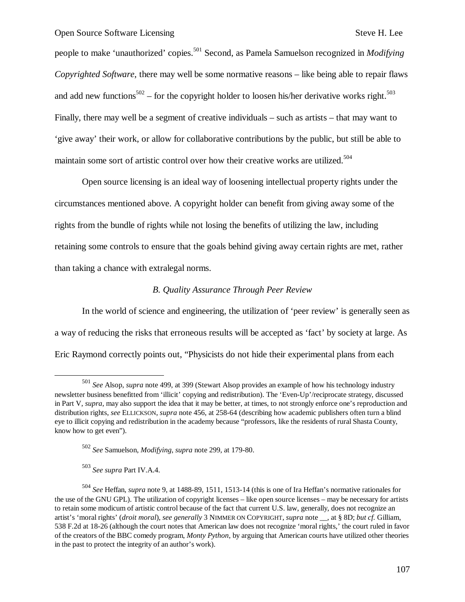people to make 'unauthorized' copies.<sup>501</sup> Second, as Pamela Samuelson recognized in *Modifying Copyrighted Software*, there may well be some normative reasons – like being able to repair flaws and add new functions<sup>502</sup> – for the copyright holder to loosen his/her derivative works right.<sup>503</sup> Finally, there may well be a segment of creative individuals – such as artists – that may want to 'give away' their work, or allow for collaborative contributions by the public, but still be able to maintain some sort of artistic control over how their creative works are utilized.<sup>504</sup>

Open source licensing is an ideal way of loosening intellectual property rights under the circumstances mentioned above. A copyright holder can benefit from giving away some of the rights from the bundle of rights while not losing the benefits of utilizing the law, including retaining some controls to ensure that the goals behind giving away certain rights are met, rather than taking a chance with extralegal norms.

## *B. Quality Assurance Through Peer Review*

In the world of science and engineering, the utilization of 'peer review' is generally seen as a way of reducing the risks that erroneous results will be accepted as 'fact' by society at large. As Eric Raymond correctly points out, "Physicists do not hide their experimental plans from each

 $\overline{a}$ 

<sup>501</sup> *See* Alsop, *supra* note 499, at 399 (Stewart Alsop provides an example of how his technology industry newsletter business benefitted from 'illicit' copying and redistribution). The 'Even-Up'/reciprocate strategy, discussed in Part V, *supra*, may also support the idea that it may be better, at times, to not strongly enforce one's reproduction and distribution rights, *see* ELLICKSON, *supra* note 456, at 258-64 (describing how academic publishers often turn a blind eye to illicit copying and redistribution in the academy because "professors, like the residents of rural Shasta County, know how to get even").

<sup>502</sup> *See* Samuelson, *Modifying*, *supra* note 299, at 179-80.

<sup>503</sup> *See supra* Part IV.A.4.

<sup>504</sup> *See* Heffan, *supra* note 9, at 1488-89, 1511, 1513-14 (this is one of Ira Heffan's normative rationales for the use of the GNU GPL). The utilization of copyright licenses – like open source licenses – may be necessary for artists to retain some modicum of artistic control because of the fact that current U.S. law, generally, does not recognize an artist's 'moral rights' (*droit moral*), *see generally* 3 NIMMER ON COPYRIGHT, *supra* note \_\_, at § 8D; *but cf.* Gilliam, 538 F.2d at 18-26 (although the court notes that American law does not recognize 'moral rights,' the court ruled in favor of the creators of the BBC comedy program, *Monty Python*, by arguing that American courts have utilized other theories in the past to protect the integrity of an author's work).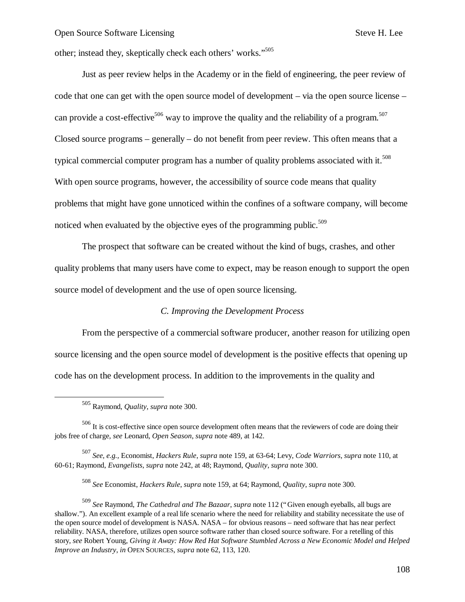other; instead they, skeptically check each others' works."<sup>505</sup>

Just as peer review helps in the Academy or in the field of engineering, the peer review of code that one can get with the open source model of development – via the open source license – can provide a cost-effective<sup>506</sup> way to improve the quality and the reliability of a program.<sup>507</sup> Closed source programs – generally – do not benefit from peer review. This often means that a typical commercial computer program has a number of quality problems associated with it.<sup>508</sup> With open source programs, however, the accessibility of source code means that quality problems that might have gone unnoticed within the confines of a software company, will become noticed when evaluated by the objective eyes of the programming public.<sup>509</sup>

The prospect that software can be created without the kind of bugs, crashes, and other quality problems that many users have come to expect, may be reason enough to support the open source model of development and the use of open source licensing.

#### *C. Improving the Development Process*

From the perspective of a commercial software producer, another reason for utilizing open source licensing and the open source model of development is the positive effects that opening up code has on the development process. In addition to the improvements in the quality and

-

<sup>508</sup> *See* Economist, *Hackers Rule*, *supra* note 159, at 64; Raymond, *Quality*, *supra* note 300.

<sup>505</sup> Raymond, *Quality*, *supra* note 300.

<sup>506</sup> It is cost-effective since open source development often means that the reviewers of code are doing their jobs free of charge, *see* Leonard, *Open Season*, *supra* note 489, at 142.

<sup>507</sup> *See, e.g.,* Economist, *Hackers Rule*, *supra* note 159, at 63-64; Levy, *Code Warriors*, *supra* note 110, at 60-61; Raymond, *Evangelists*, *supra* note 242, at 48; Raymond, *Quality*, *supra* note 300.

<sup>509</sup> *See* Raymond, *The Cathedral and The Bazaar*, *supra* note 112 ("Given enough eyeballs, all bugs are shallow."). An excellent example of a real life scenario where the need for reliability and stability necessitate the use of the open source model of development is NASA. NASA – for obvious reasons – need software that has near perfect reliability. NASA, therefore, utilizes open source software rather than closed source software. For a retelling of this story, *see* Robert Young, *Giving it Away: How Red Hat Software Stumbled Across a New Economic Model and Helped Improve an Industry*, *in* OPEN SOURCES, *supra* note 62, 113, 120.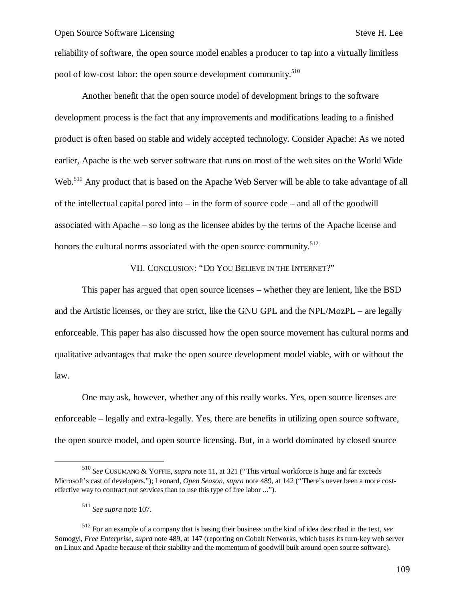reliability of software, the open source model enables a producer to tap into a virtually limitless pool of low-cost labor: the open source development community.<sup>510</sup>

Another benefit that the open source model of development brings to the software development process is the fact that any improvements and modifications leading to a finished product is often based on stable and widely accepted technology. Consider Apache: As we noted earlier, Apache is the web server software that runs on most of the web sites on the World Wide Web.<sup>511</sup> Any product that is based on the Apache Web Server will be able to take advantage of all of the intellectual capital pored into – in the form of source code – and all of the goodwill associated with Apache – so long as the licensee abides by the terms of the Apache license and honors the cultural norms associated with the open source community. $512$ 

VII. CONCLUSION: "DO YOU BELIEVE IN THE INTERNET?"

This paper has argued that open source licenses – whether they are lenient, like the BSD and the Artistic licenses, or they are strict, like the GNU GPL and the NPL/MozPL – are legally enforceable. This paper has also discussed how the open source movement has cultural norms and qualitative advantages that make the open source development model viable, with or without the law.

One may ask, however, whether any of this really works. Yes, open source licenses are enforceable – legally and extra-legally. Yes, there are benefits in utilizing open source software, the open source model, and open source licensing. But, in a world dominated by closed source

 $\overline{a}$ 

<sup>510</sup> *See* CUSUMANO & YOFFIE, *supra* note 11, at 321 ("This virtual workforce is huge and far exceeds Microsoft's cast of developers."); Leonard, *Open Season*, *supra* note 489, at 142 ("There's never been a more costeffective way to contract out services than to use this type of free labor ...").

<sup>511</sup> *See supra* note 107.

<sup>512</sup> For an example of a company that is basing their business on the kind of idea described in the text, *see* Somogyi, *Free Enterprise*, *supra* note 489, at 147 (reporting on Cobalt Networks, which bases its turn-key web server on Linux and Apache because of their stability and the momentum of goodwill built around open source software).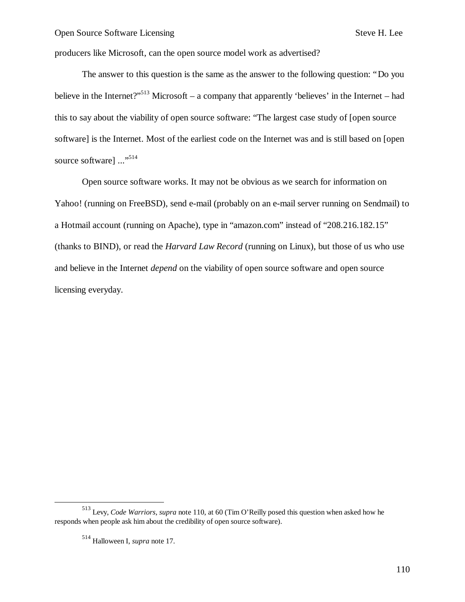producers like Microsoft, can the open source model work as advertised?

The answer to this question is the same as the answer to the following question: "Do you believe in the Internet?"<sup>513</sup> Microsoft – a company that apparently 'believes' in the Internet – had this to say about the viability of open source software: "The largest case study of [open source software] is the Internet. Most of the earliest code on the Internet was and is still based on [open source software] ..."<sup>514</sup>

Open source software works. It may not be obvious as we search for information on Yahoo! (running on FreeBSD), send e-mail (probably on an e-mail server running on Sendmail) to a Hotmail account (running on Apache), type in "amazon.com" instead of "208.216.182.15" (thanks to BIND), or read the *Harvard Law Record* (running on Linux), but those of us who use and believe in the Internet *depend* on the viability of open source software and open source licensing everyday.

-

<sup>513</sup> Levy, *Code Warriors*, *supra* note 110, at 60 (Tim O'Reilly posed this question when asked how he responds when people ask him about the credibility of open source software).

<sup>514</sup> Halloween I, *supra* note 17.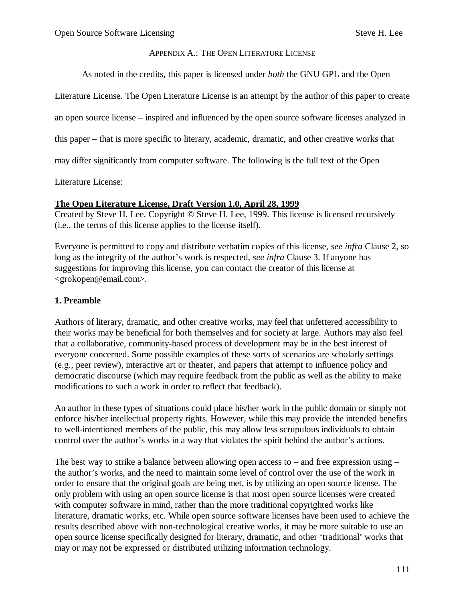### APPENDIX A.: THE OPEN LITERATURE LICENSE

As noted in the credits, this paper is licensed under *both* the GNU GPL and the Open

Literature License. The Open Literature License is an attempt by the author of this paper to create

an open source license – inspired and influenced by the open source software licenses analyzed in

this paper – that is more specific to literary, academic, dramatic, and other creative works that

may differ significantly from computer software. The following is the full text of the Open

Literature License:

### **The Open Literature License, Draft Version 1.0, April 28, 1999**

Created by Steve H. Lee. Copyright © Steve H. Lee, 1999. This license is licensed recursively (i.e., the terms of this license applies to the license itself).

Everyone is permitted to copy and distribute verbatim copies of this license, *see infra* Clause 2, so long as the integrity of the author's work is respected, *see infra* Clause 3. If anyone has suggestions for improving this license, you can contact the creator of this license at <grokopen@email.com>.

### **1. Preamble**

Authors of literary, dramatic, and other creative works, may feel that unfettered accessibility to their works may be beneficial for both themselves and for society at large. Authors may also feel that a collaborative, community-based process of development may be in the best interest of everyone concerned. Some possible examples of these sorts of scenarios are scholarly settings (e.g., peer review), interactive art or theater, and papers that attempt to influence policy and democratic discourse (which may require feedback from the public as well as the ability to make modifications to such a work in order to reflect that feedback).

An author in these types of situations could place his/her work in the public domain or simply not enforce his/her intellectual property rights. However, while this may provide the intended benefits to well-intentioned members of the public, this may allow less scrupulous individuals to obtain control over the author's works in a way that violates the spirit behind the author's actions.

The best way to strike a balance between allowing open access to – and free expression using – the author's works, and the need to maintain some level of control over the use of the work in order to ensure that the original goals are being met, is by utilizing an open source license. The only problem with using an open source license is that most open source licenses were created with computer software in mind, rather than the more traditional copyrighted works like literature, dramatic works, etc. While open source software licenses have been used to achieve the results described above with non-technological creative works, it may be more suitable to use an open source license specifically designed for literary, dramatic, and other 'traditional' works that may or may not be expressed or distributed utilizing information technology.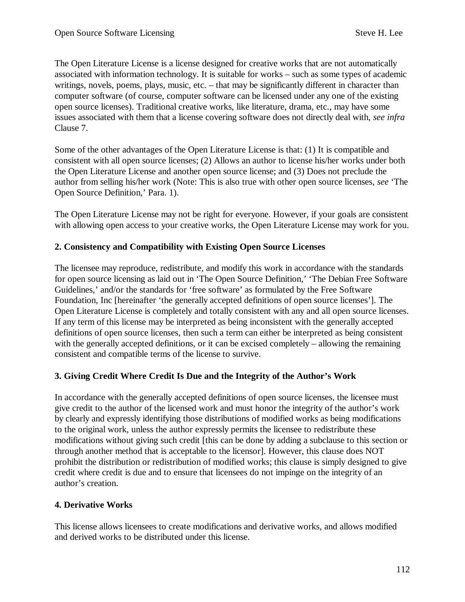The Open Literature License is a license designed for creative works that are not automatically associated with information technology. It is suitable for works – such as some types of academic writings, novels, poems, plays, music, etc. – that may be significantly different in character than computer software (of course, computer software can be licensed under any one of the existing open source licenses). Traditional creative works, like literature, drama, etc., may have some issues associated with them that a license covering software does not directly deal with, *see infra* Clause 7.

Some of the other advantages of the Open Literature License is that: (1) It is compatible and consistent with all open source licenses; (2) Allows an author to license his/her works under both the Open Literature License and another open source license; and (3) Does not preclude the author from selling his/her work (Note: This is also true with other open source licenses, *see* 'The Open Source Definition,' Para. 1).

The Open Literature License may not be right for everyone. However, if your goals are consistent with allowing open access to your creative works, the Open Literature License may work for you.

## **2. Consistency and Compatibility with Existing Open Source Licenses**

The licensee may reproduce, redistribute, and modify this work in accordance with the standards for open source licensing as laid out in 'The Open Source Definition,' 'The Debian Free Software Guidelines,' and/or the standards for 'free software' as formulated by the Free Software Foundation, Inc [hereinafter 'the generally accepted definitions of open source licenses']. The Open Literature License is completely and totally consistent with any and all open source licenses. If any term of this license may be interpreted as being inconsistent with the generally accepted definitions of open source licenses, then such a term can either be interpreted as being consistent with the generally accepted definitions, or it can be excised completely – allowing the remaining consistent and compatible terms of the license to survive.

### **3. Giving Credit Where Credit Is Due and the Integrity of the Author's Work**

In accordance with the generally accepted definitions of open source licenses, the licensee must give credit to the author of the licensed work and must honor the integrity of the author's work by clearly and expressly identifying those distributions of modified works as being modifications to the original work, unless the author expressly permits the licensee to redistribute these modifications without giving such credit [this can be done by adding a subclause to this section or through another method that is acceptable to the licensor]. However, this clause does NOT prohibit the distribution or redistribution of modified works; this clause is simply designed to give credit where credit is due and to ensure that licensees do not impinge on the integrity of an author's creation.

### **4. Derivative Works**

This license allows licensees to create modifications and derivative works, and allows modified and derived works to be distributed under this license.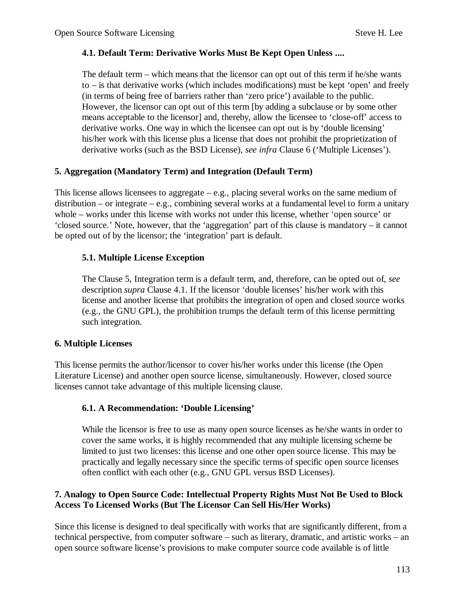### **4.1. Default Term: Derivative Works Must Be Kept Open Unless ....**

The default term – which means that the licensor can opt out of this term if he/she wants to – is that derivative works (which includes modifications) must be kept 'open' and freely (in terms of being free of barriers rather than 'zero price') available to the public. However, the licensor can opt out of this term [by adding a subclause or by some other means acceptable to the licensor] and, thereby, allow the licensee to 'close-off' access to derivative works. One way in which the licensee can opt out is by 'double licensing' his/her work with this license plus a license that does not prohibit the proprietization of derivative works (such as the BSD License), *see infra* Clause 6 ('Multiple Licenses').

### **5. Aggregation (Mandatory Term) and Integration (Default Term)**

This license allows licensees to aggregate  $-e.g.,$  placing several works on the same medium of distribution – or integrate – e.g., combining several works at a fundamental level to form a unitary whole – works under this license with works not under this license, whether 'open source' or 'closed source.' Note, however, that the 'aggregation' part of this clause is mandatory – it cannot be opted out of by the licensor; the 'integration' part is default.

### **5.1. Multiple License Exception**

The Clause 5, Integration term is a default term, and, therefore, can be opted out of, *see* description *supra* Clause 4.1. If the licensor 'double licenses' his/her work with this license and another license that prohibits the integration of open and closed source works (e.g., the GNU GPL), the prohibition trumps the default term of this license permitting such integration.

#### **6. Multiple Licenses**

This license permits the author/licensor to cover his/her works under this license (the Open Literature License) and another open source license, simultaneously. However, closed source licenses cannot take advantage of this multiple licensing clause.

### **6.1. A Recommendation: 'Double Licensing'**

While the licensor is free to use as many open source licenses as he/she wants in order to cover the same works, it is highly recommended that any multiple licensing scheme be limited to just two licenses: this license and one other open source license. This may be practically and legally necessary since the specific terms of specific open source licenses often conflict with each other (e.g., GNU GPL versus BSD Licenses).

### **7. Analogy to Open Source Code: Intellectual Property Rights Must Not Be Used to Block Access To Licensed Works (But The Licensor Can Sell His/Her Works)**

Since this license is designed to deal specifically with works that are significantly different, from a technical perspective, from computer software – such as literary, dramatic, and artistic works – an open source software license's provisions to make computer source code available is of little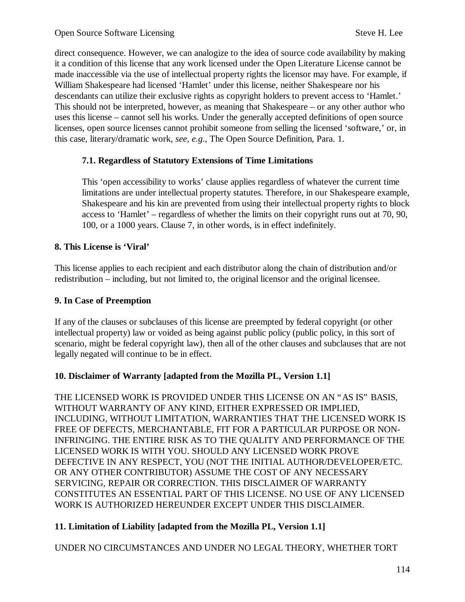direct consequence. However, we can analogize to the idea of source code availability by making it a condition of this license that any work licensed under the Open Literature License cannot be made inaccessible via the use of intellectual property rights the licensor may have. For example, if William Shakespeare had licensed 'Hamlet' under this license, neither Shakespeare nor his descendants can utilize their exclusive rights as copyright holders to prevent access to 'Hamlet.' This should not be interpreted, however, as meaning that Shakespeare – or any other author who uses this license – cannot sell his works. Under the generally accepted definitions of open source licenses, open source licenses cannot prohibit someone from selling the licensed 'software,' or, in this case, literary/dramatic work, *see, e.g.,* The Open Source Definition, Para. 1.

## **7.1. Regardless of Statutory Extensions of Time Limitations**

This 'open accessibility to works' clause applies regardless of whatever the current time limitations are under intellectual property statutes. Therefore, in our Shakespeare example, Shakespeare and his kin are prevented from using their intellectual property rights to block access to 'Hamlet' – regardless of whether the limits on their copyright runs out at 70, 90, 100, or a 1000 years. Clause 7, in other words, is in effect indefinitely.

## **8. This License is 'Viral'**

This license applies to each recipient and each distributor along the chain of distribution and/or redistribution – including, but not limited to, the original licensor and the original licensee.

### **9. In Case of Preemption**

If any of the clauses or subclauses of this license are preempted by federal copyright (or other intellectual property) law or voided as being against public policy (public policy, in this sort of scenario, might be federal copyright law), then all of the other clauses and subclauses that are not legally negated will continue to be in effect.

### **10. Disclaimer of Warranty [adapted from the Mozilla PL, Version 1.1]**

THE LICENSED WORK IS PROVIDED UNDER THIS LICENSE ON AN "AS IS" BASIS, WITHOUT WARRANTY OF ANY KIND, EITHER EXPRESSED OR IMPLIED, INCLUDING, WITHOUT LIMITATION, WARRANTIES THAT THE LICENSED WORK IS FREE OF DEFECTS, MERCHANTABLE, FIT FOR A PARTICULAR PURPOSE OR NON-INFRINGING. THE ENTIRE RISK AS TO THE QUALITY AND PERFORMANCE OF THE LICENSED WORK IS WITH YOU. SHOULD ANY LICENSED WORK PROVE DEFECTIVE IN ANY RESPECT, YOU (NOT THE INITIAL AUTHOR/DEVELOPER/ETC. OR ANY OTHER CONTRIBUTOR) ASSUME THE COST OF ANY NECESSARY SERVICING, REPAIR OR CORRECTION. THIS DISCLAIMER OF WARRANTY CONSTITUTES AN ESSENTIAL PART OF THIS LICENSE. NO USE OF ANY LICENSED WORK IS AUTHORIZED HEREUNDER EXCEPT UNDER THIS DISCLAIMER.

# **11. Limitation of Liability [adapted from the Mozilla PL, Version 1.1]**

UNDER NO CIRCUMSTANCES AND UNDER NO LEGAL THEORY, WHETHER TORT